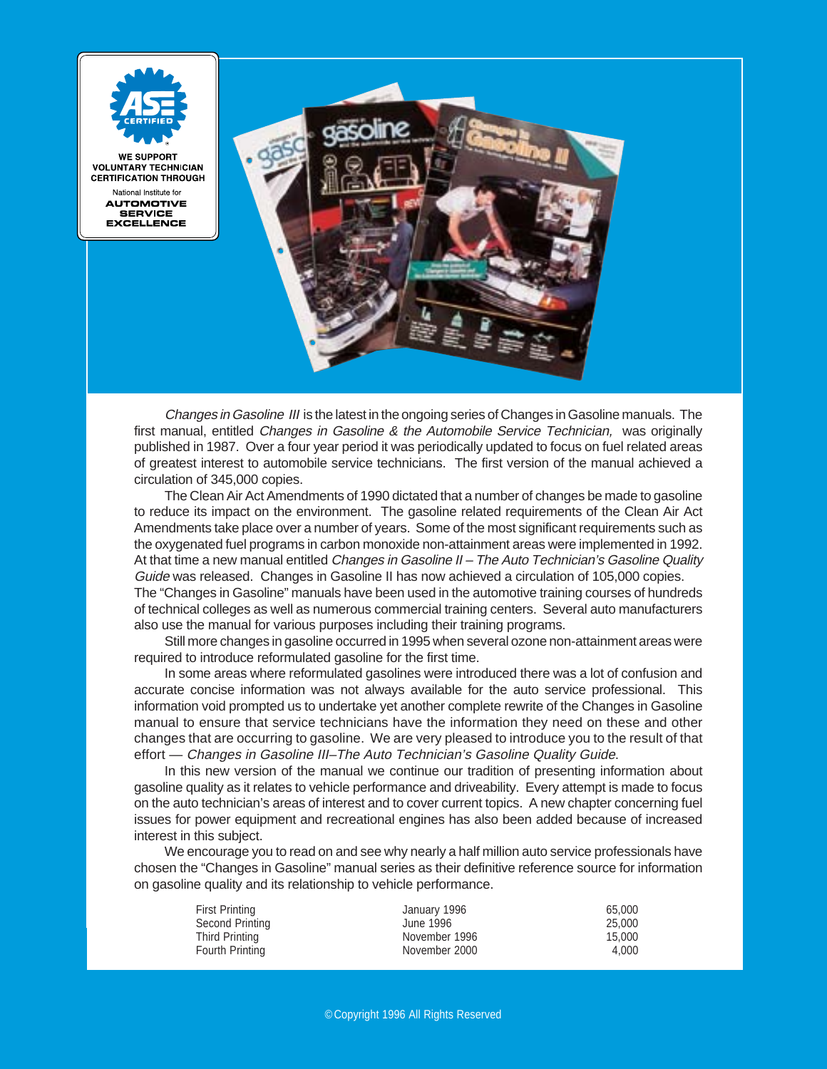

Changes in Gasoline III is the latest in the ongoing series of Changes in Gasoline manuals. The first manual, entitled Changes in Gasoline & the Automobile Service Technician, was originally published in 1987. Over a four year period it was periodically updated to focus on fuel related areas of greatest interest to automobile service technicians. The first version of the manual achieved a circulation of 345,000 copies.

The Clean Air Act Amendments of 1990 dictated that a number of changes be made to gasoline to reduce its impact on the environment. The gasoline related requirements of the Clean Air Act Amendments take place over a number of years. Some of the most significant requirements such as the oxygenated fuel programs in carbon monoxide non-attainment areas were implemented in 1992. At that time a new manual entitled Changes in Gasoline II – The Auto Technician's Gasoline Quality Guide was released. Changes in Gasoline II has now achieved a circulation of 105,000 copies. The "Changes in Gasoline" manuals have been used in the automotive training courses of hundreds of technical colleges as well as numerous commercial training centers. Several auto manufacturers also use the manual for various purposes including their training programs.

Still more changes in gasoline occurred in 1995 when several ozone non-attainment areas were required to introduce reformulated gasoline for the first time.

In some areas where reformulated gasolines were introduced there was a lot of confusion and accurate concise information was not always available for the auto service professional. This information void prompted us to undertake yet another complete rewrite of the Changes in Gasoline manual to ensure that service technicians have the information they need on these and other changes that are occurring to gasoline. We are very pleased to introduce you to the result of that effort — Changes in Gasoline III–The Auto Technician's Gasoline Quality Guide.

In this new version of the manual we continue our tradition of presenting information about gasoline quality as it relates to vehicle performance and driveability. Every attempt is made to focus on the auto technician's areas of interest and to cover current topics. A new chapter concerning fuel issues for power equipment and recreational engines has also been added because of increased interest in this subject.

We encourage you to read on and see why nearly a half million auto service professionals have chosen the "Changes in Gasoline" manual series as their definitive reference source for information on gasoline quality and its relationship to vehicle performance.

| January 1996  | 65,000 |
|---------------|--------|
| June 1996     | 25,000 |
| November 1996 | 15.000 |
| November 2000 | 4.000  |
|               |        |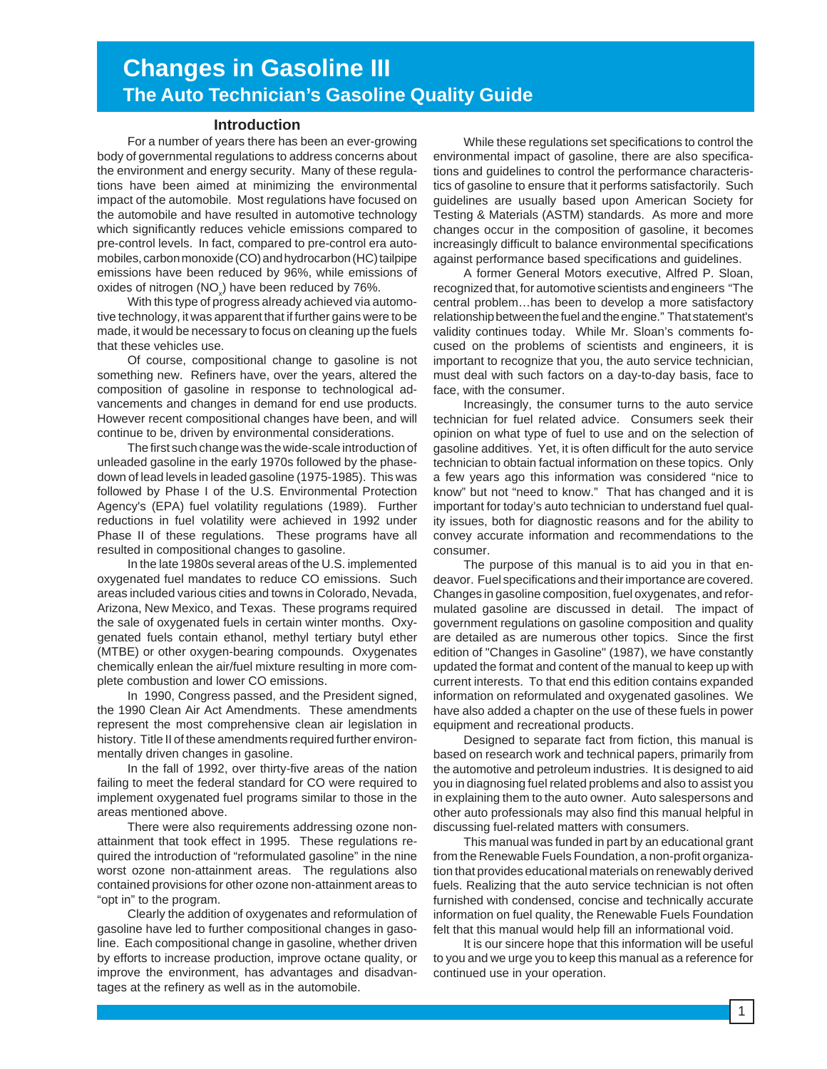# **Changes in Gasoline III The Auto Technician's Gasoline Quality Guide**

#### **Introduction**

For a number of years there has been an ever-growing body of governmental regulations to address concerns about the environment and energy security. Many of these regulations have been aimed at minimizing the environmental impact of the automobile. Most regulations have focused on the automobile and have resulted in automotive technology which significantly reduces vehicle emissions compared to pre-control levels. In fact, compared to pre-control era automobiles, carbon monoxide (CO) and hydrocarbon (HC) tailpipe emissions have been reduced by 96%, while emissions of oxides of nitrogen (NO<sub>x</sub>) have been reduced by 76%.

With this type of progress already achieved via automotive technology, it was apparent that if further gains were to be made, it would be necessary to focus on cleaning up the fuels that these vehicles use.

Of course, compositional change to gasoline is not something new. Refiners have, over the years, altered the composition of gasoline in response to technological advancements and changes in demand for end use products. However recent compositional changes have been, and will continue to be, driven by environmental considerations.

The first such change was the wide-scale introduction of unleaded gasoline in the early 1970s followed by the phasedown of lead levels in leaded gasoline (1975-1985). This was followed by Phase I of the U.S. Environmental Protection Agency's (EPA) fuel volatility regulations (1989). Further reductions in fuel volatility were achieved in 1992 under Phase II of these regulations. These programs have all resulted in compositional changes to gasoline.

In the late 1980s several areas of the U.S. implemented oxygenated fuel mandates to reduce CO emissions. Such areas included various cities and towns in Colorado, Nevada, Arizona, New Mexico, and Texas. These programs required the sale of oxygenated fuels in certain winter months. Oxygenated fuels contain ethanol, methyl tertiary butyl ether (MTBE) or other oxygen-bearing compounds. Oxygenates chemically enlean the air/fuel mixture resulting in more complete combustion and lower CO emissions.

In 1990, Congress passed, and the President signed, the 1990 Clean Air Act Amendments. These amendments represent the most comprehensive clean air legislation in history. Title II of these amendments required further environmentally driven changes in gasoline.

In the fall of 1992, over thirty-five areas of the nation failing to meet the federal standard for CO were required to implement oxygenated fuel programs similar to those in the areas mentioned above.

There were also requirements addressing ozone nonattainment that took effect in 1995. These regulations required the introduction of "reformulated gasoline" in the nine worst ozone non-attainment areas. The regulations also contained provisions for other ozone non-attainment areas to "opt in" to the program.

Clearly the addition of oxygenates and reformulation of gasoline have led to further compositional changes in gasoline. Each compositional change in gasoline, whether driven by efforts to increase production, improve octane quality, or improve the environment, has advantages and disadvantages at the refinery as well as in the automobile.

While these regulations set specifications to control the environmental impact of gasoline, there are also specifications and guidelines to control the performance characteristics of gasoline to ensure that it performs satisfactorily. Such guidelines are usually based upon American Society for Testing & Materials (ASTM) standards. As more and more changes occur in the composition of gasoline, it becomes increasingly difficult to balance environmental specifications against performance based specifications and guidelines.

A former General Motors executive, Alfred P. Sloan, recognized that, for automotive scientists and engineers "The central problem…has been to develop a more satisfactory relationship between the fuel and the engine." That statement's validity continues today. While Mr. Sloan's comments focused on the problems of scientists and engineers, it is important to recognize that you, the auto service technician, must deal with such factors on a day-to-day basis, face to face, with the consumer.

Increasingly, the consumer turns to the auto service technician for fuel related advice. Consumers seek their opinion on what type of fuel to use and on the selection of gasoline additives. Yet, it is often difficult for the auto service technician to obtain factual information on these topics. Only a few years ago this information was considered "nice to know" but not "need to know." That has changed and it is important for today's auto technician to understand fuel quality issues, both for diagnostic reasons and for the ability to convey accurate information and recommendations to the consumer.

The purpose of this manual is to aid you in that endeavor. Fuel specifications and their importance are covered. Changes in gasoline composition, fuel oxygenates, and reformulated gasoline are discussed in detail. The impact of government regulations on gasoline composition and quality are detailed as are numerous other topics. Since the first edition of "Changes in Gasoline" (1987), we have constantly updated the format and content of the manual to keep up with current interests. To that end this edition contains expanded information on reformulated and oxygenated gasolines. We have also added a chapter on the use of these fuels in power equipment and recreational products.

Designed to separate fact from fiction, this manual is based on research work and technical papers, primarily from the automotive and petroleum industries. It is designed to aid you in diagnosing fuel related problems and also to assist you in explaining them to the auto owner. Auto salespersons and other auto professionals may also find this manual helpful in discussing fuel-related matters with consumers.

This manual was funded in part by an educational grant from the Renewable Fuels Foundation, a non-profit organization that provides educational materials on renewably derived fuels. Realizing that the auto service technician is not often furnished with condensed, concise and technically accurate information on fuel quality, the Renewable Fuels Foundation felt that this manual would help fill an informational void.

It is our sincere hope that this information will be useful to you and we urge you to keep this manual as a reference for continued use in your operation.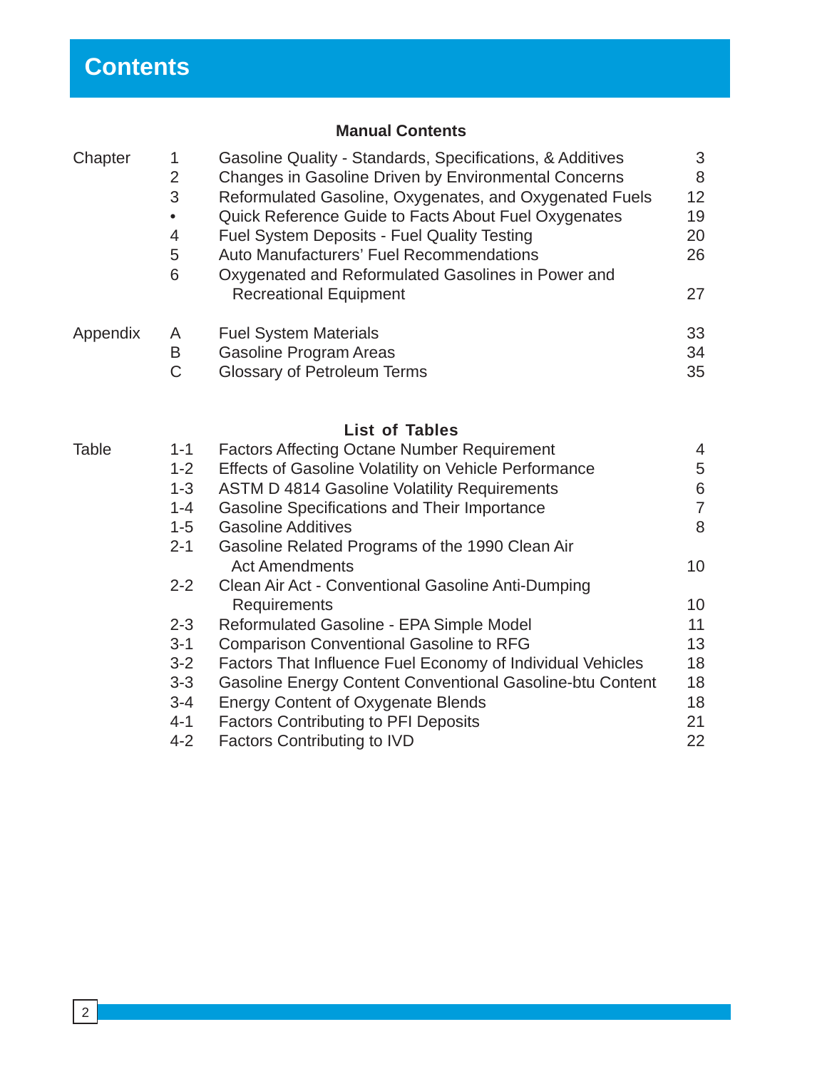# **Manual Contents**

| Chapter  | 1<br>$\overline{2}$<br>3<br>$\overline{4}$<br>5<br>6 | Gasoline Quality - Standards, Specifications, & Additives<br>Changes in Gasoline Driven by Environmental Concerns<br>Reformulated Gasoline, Oxygenates, and Oxygenated Fuels<br>Quick Reference Guide to Facts About Fuel Oxygenates<br><b>Fuel System Deposits - Fuel Quality Testing</b><br>Auto Manufacturers' Fuel Recommendations<br>Oxygenated and Reformulated Gasolines in Power and<br><b>Recreational Equipment</b> | 3<br>8<br>12<br>19<br>20<br>26<br>27 |
|----------|------------------------------------------------------|-------------------------------------------------------------------------------------------------------------------------------------------------------------------------------------------------------------------------------------------------------------------------------------------------------------------------------------------------------------------------------------------------------------------------------|--------------------------------------|
| Appendix | A                                                    | <b>Fuel System Materials</b>                                                                                                                                                                                                                                                                                                                                                                                                  | 33                                   |
|          | B                                                    | <b>Gasoline Program Areas</b>                                                                                                                                                                                                                                                                                                                                                                                                 | 34                                   |
|          | $\mathsf C$                                          | <b>Glossary of Petroleum Terms</b>                                                                                                                                                                                                                                                                                                                                                                                            | 35                                   |
|          |                                                      | <b>List of Tables</b>                                                                                                                                                                                                                                                                                                                                                                                                         |                                      |
| Table    | $1 - 1$                                              | <b>Factors Affecting Octane Number Requirement</b>                                                                                                                                                                                                                                                                                                                                                                            | 4                                    |
|          | $1 - 2$                                              | Effects of Gasoline Volatility on Vehicle Performance                                                                                                                                                                                                                                                                                                                                                                         | 5                                    |
|          | $1 - 3$                                              | <b>ASTM D 4814 Gasoline Volatility Requirements</b>                                                                                                                                                                                                                                                                                                                                                                           | 6                                    |
|          | $1 - 4$                                              | <b>Gasoline Specifications and Their Importance</b>                                                                                                                                                                                                                                                                                                                                                                           | $\overline{7}$                       |
|          | $1 - 5$                                              | <b>Gasoline Additives</b>                                                                                                                                                                                                                                                                                                                                                                                                     | 8                                    |
|          | $2 - 1$                                              | Gasoline Related Programs of the 1990 Clean Air                                                                                                                                                                                                                                                                                                                                                                               |                                      |
|          |                                                      | <b>Act Amendments</b>                                                                                                                                                                                                                                                                                                                                                                                                         | 10                                   |
|          | $2 - 2$                                              | Clean Air Act - Conventional Gasoline Anti-Dumping                                                                                                                                                                                                                                                                                                                                                                            |                                      |
|          |                                                      | Requirements                                                                                                                                                                                                                                                                                                                                                                                                                  | 10                                   |
|          | $2 - 3$                                              | Reformulated Gasoline - EPA Simple Model                                                                                                                                                                                                                                                                                                                                                                                      | 11                                   |
|          | $3 - 1$                                              | <b>Comparison Conventional Gasoline to RFG</b>                                                                                                                                                                                                                                                                                                                                                                                | 13                                   |
|          | $3 - 2$                                              | Factors That Influence Fuel Economy of Individual Vehicles                                                                                                                                                                                                                                                                                                                                                                    | 18                                   |
|          | $3 - 3$                                              | Gasoline Energy Content Conventional Gasoline-btu Content                                                                                                                                                                                                                                                                                                                                                                     | 18                                   |
|          | $3 - 4$                                              | <b>Energy Content of Oxygenate Blends</b>                                                                                                                                                                                                                                                                                                                                                                                     | 18                                   |
|          | $4 - 1$                                              | <b>Factors Contributing to PFI Deposits</b>                                                                                                                                                                                                                                                                                                                                                                                   | 21                                   |
|          | $4 - 2$                                              | <b>Factors Contributing to IVD</b>                                                                                                                                                                                                                                                                                                                                                                                            | 22                                   |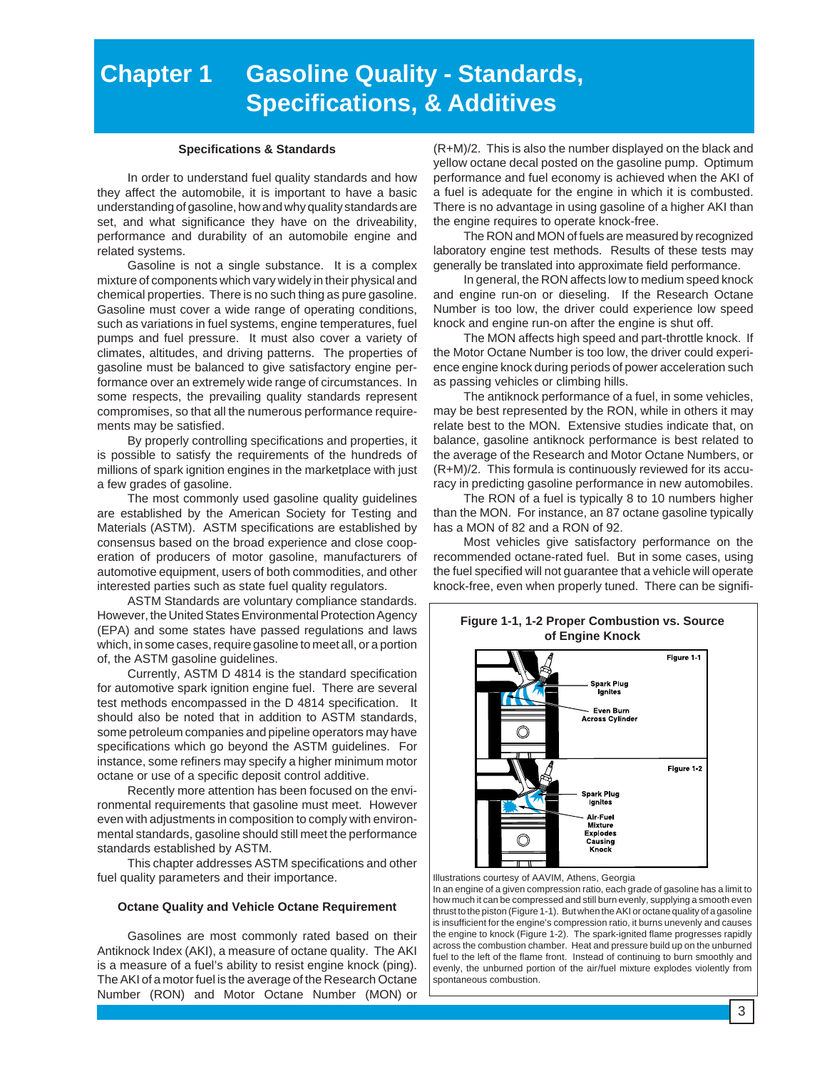# **Chapter 1 Gasoline Quality - Standards, Specifications, & Additives**

#### **Specifications & Standards**

In order to understand fuel quality standards and how they affect the automobile, it is important to have a basic understanding of gasoline, how and why quality standards are set, and what significance they have on the driveability, performance and durability of an automobile engine and related systems.

Gasoline is not a single substance. It is a complex mixture of components which vary widely in their physical and chemical properties. There is no such thing as pure gasoline. Gasoline must cover a wide range of operating conditions, such as variations in fuel systems, engine temperatures, fuel pumps and fuel pressure. It must also cover a variety of climates, altitudes, and driving patterns. The properties of gasoline must be balanced to give satisfactory engine performance over an extremely wide range of circumstances. In some respects, the prevailing quality standards represent compromises, so that all the numerous performance requirements may be satisfied.

By properly controlling specifications and properties, it is possible to satisfy the requirements of the hundreds of millions of spark ignition engines in the marketplace with just a few grades of gasoline.

The most commonly used gasoline quality guidelines are established by the American Society for Testing and Materials (ASTM). ASTM specifications are established by consensus based on the broad experience and close cooperation of producers of motor gasoline, manufacturers of automotive equipment, users of both commodities, and other interested parties such as state fuel quality regulators.

ASTM Standards are voluntary compliance standards. However, the United States Environmental Protection Agency (EPA) and some states have passed regulations and laws which, in some cases, require gasoline to meet all, or a portion of, the ASTM gasoline guidelines.

Currently, ASTM D 4814 is the standard specification for automotive spark ignition engine fuel. There are several test methods encompassed in the D 4814 specification. It should also be noted that in addition to ASTM standards, some petroleum companies and pipeline operators may have specifications which go beyond the ASTM guidelines. For instance, some refiners may specify a higher minimum motor octane or use of a specific deposit control additive.

Recently more attention has been focused on the environmental requirements that gasoline must meet. However even with adjustments in composition to comply with environmental standards, gasoline should still meet the performance standards established by ASTM.

This chapter addresses ASTM specifications and other fuel quality parameters and their importance.

#### **Octane Quality and Vehicle Octane Requirement**

Gasolines are most commonly rated based on their Antiknock Index (AKI), a measure of octane quality. The AKI is a measure of a fuel's ability to resist engine knock (ping). The AKI of a motor fuel is the average of the Research Octane Number (RON) and Motor Octane Number (MON) or

(R+M)/2. This is also the number displayed on the black and yellow octane decal posted on the gasoline pump. Optimum performance and fuel economy is achieved when the AKI of a fuel is adequate for the engine in which it is combusted. There is no advantage in using gasoline of a higher AKI than the engine requires to operate knock-free.

The RON and MON of fuels are measured by recognized laboratory engine test methods. Results of these tests may generally be translated into approximate field performance.

In general, the RON affects low to medium speed knock and engine run-on or dieseling. If the Research Octane Number is too low, the driver could experience low speed knock and engine run-on after the engine is shut off.

The MON affects high speed and part-throttle knock. If the Motor Octane Number is too low, the driver could experience engine knock during periods of power acceleration such as passing vehicles or climbing hills.

The antiknock performance of a fuel, in some vehicles, may be best represented by the RON, while in others it may relate best to the MON. Extensive studies indicate that, on balance, gasoline antiknock performance is best related to the average of the Research and Motor Octane Numbers, or (R+M)/2. This formula is continuously reviewed for its accuracy in predicting gasoline performance in new automobiles.

The RON of a fuel is typically 8 to 10 numbers higher than the MON. For instance, an 87 octane gasoline typically has a MON of 82 and a RON of 92.

Most vehicles give satisfactory performance on the recommended octane-rated fuel. But in some cases, using the fuel specified will not guarantee that a vehicle will operate knock-free, even when properly tuned. There can be signifi-



Illustrations courtesy of AAVIM, Athens, Georgia

In an engine of a given compression ratio, each grade of gasoline has a limit to how much it can be compressed and still burn evenly, supplying a smooth even thrust to the piston (Figure 1-1). But when the AKI or octane quality of a gasoline is insufficient for the engine's compression ratio, it burns unevenly and causes the engine to knock (Figure 1-2). The spark-ignited flame progresses rapidly across the combustion chamber. Heat and pressure build up on the unburned fuel to the left of the flame front. Instead of continuing to burn smoothly and evenly, the unburned portion of the air/fuel mixture explodes violently from spontaneous combustion.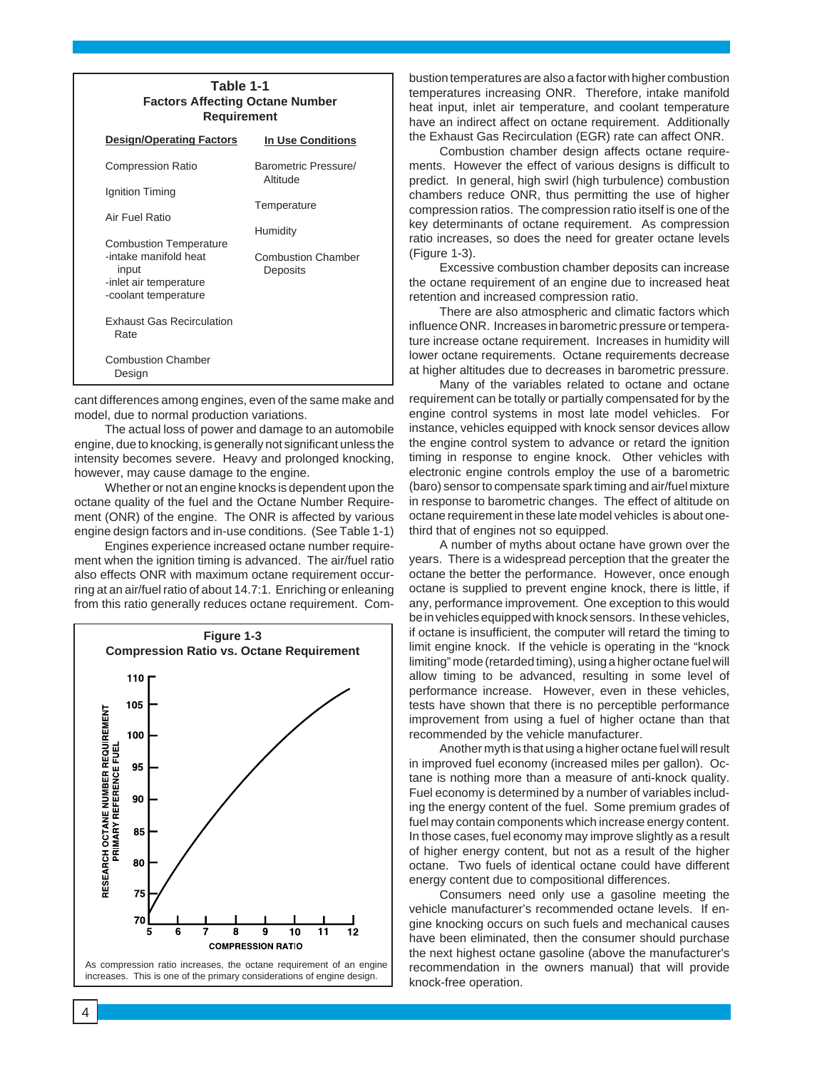| Table 1-1<br><b>Factors Affecting Octane Number</b><br>Requirement               |                                  |  |  |
|----------------------------------------------------------------------------------|----------------------------------|--|--|
| <b>Design/Operating Factors</b>                                                  | <b>In Use Conditions</b>         |  |  |
| <b>Compression Ratio</b>                                                         | Barometric Pressure/<br>Altitude |  |  |
| Ignition Timing                                                                  | Temperature                      |  |  |
| Air Fuel Ratio<br><b>Combustion Temperature</b>                                  | Humidity                         |  |  |
| -intake manifold heat<br>input<br>-inlet air temperature<br>-coolant temperature | Combustion Chamber<br>Deposits   |  |  |
| <b>Exhaust Gas Recirculation</b><br>Rate                                         |                                  |  |  |
| <b>Combustion Chamber</b><br>Design                                              |                                  |  |  |

cant differences among engines, even of the same make and model, due to normal production variations.

The actual loss of power and damage to an automobile engine, due to knocking, is generally not significant unless the intensity becomes severe. Heavy and prolonged knocking, however, may cause damage to the engine.

Whether or not an engine knocks is dependent upon the octane quality of the fuel and the Octane Number Requirement (ONR) of the engine. The ONR is affected by various engine design factors and in-use conditions. (See Table 1-1)

Engines experience increased octane number requirement when the ignition timing is advanced. The air/fuel ratio also effects ONR with maximum octane requirement occurring at an air/fuel ratio of about 14.7:1. Enriching or enleaning from this ratio generally reduces octane requirement. Com-



bustion temperatures are also a factor with higher combustion temperatures increasing ONR. Therefore, intake manifold heat input, inlet air temperature, and coolant temperature have an indirect affect on octane requirement. Additionally the Exhaust Gas Recirculation (EGR) rate can affect ONR.

Combustion chamber design affects octane requirements. However the effect of various designs is difficult to predict. In general, high swirl (high turbulence) combustion chambers reduce ONR, thus permitting the use of higher compression ratios. The compression ratio itself is one of the key determinants of octane requirement. As compression ratio increases, so does the need for greater octane levels (Figure 1-3).

Excessive combustion chamber deposits can increase the octane requirement of an engine due to increased heat retention and increased compression ratio.

There are also atmospheric and climatic factors which influence ONR. Increases in barometric pressure or temperature increase octane requirement. Increases in humidity will lower octane requirements. Octane requirements decrease at higher altitudes due to decreases in barometric pressure.

Many of the variables related to octane and octane requirement can be totally or partially compensated for by the engine control systems in most late model vehicles. For instance, vehicles equipped with knock sensor devices allow the engine control system to advance or retard the ignition timing in response to engine knock. Other vehicles with electronic engine controls employ the use of a barometric (baro) sensor to compensate spark timing and air/fuel mixture in response to barometric changes. The effect of altitude on octane requirement in these late model vehicles is about onethird that of engines not so equipped.

A number of myths about octane have grown over the years. There is a widespread perception that the greater the octane the better the performance. However, once enough octane is supplied to prevent engine knock, there is little, if any, performance improvement. One exception to this would be in vehicles equipped with knock sensors. In these vehicles, if octane is insufficient, the computer will retard the timing to limit engine knock. If the vehicle is operating in the "knock limiting" mode (retarded timing), using a higher octane fuel will allow timing to be advanced, resulting in some level of performance increase. However, even in these vehicles, tests have shown that there is no perceptible performance improvement from using a fuel of higher octane than that recommended by the vehicle manufacturer.

Another myth is that using a higher octane fuel will result in improved fuel economy (increased miles per gallon). Octane is nothing more than a measure of anti-knock quality. Fuel economy is determined by a number of variables including the energy content of the fuel. Some premium grades of fuel may contain components which increase energy content. In those cases, fuel economy may improve slightly as a result of higher energy content, but not as a result of the higher octane. Two fuels of identical octane could have different energy content due to compositional differences.

Consumers need only use a gasoline meeting the vehicle manufacturer's recommended octane levels. If engine knocking occurs on such fuels and mechanical causes have been eliminated, then the consumer should purchase the next highest octane gasoline (above the manufacturer's recommendation in the owners manual) that will provide knock-free operation.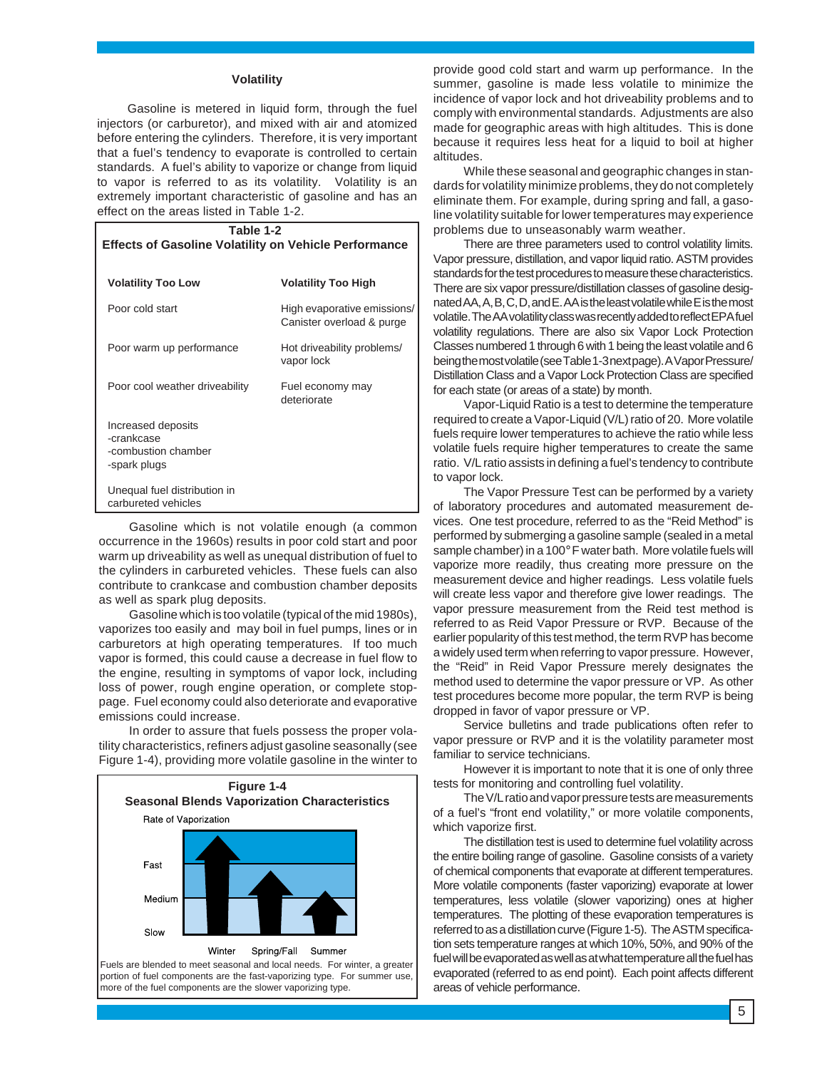#### **Volatility**

Gasoline is metered in liquid form, through the fuel injectors (or carburetor), and mixed with air and atomized before entering the cylinders. Therefore, it is very important that a fuel's tendency to evaporate is controlled to certain standards. A fuel's ability to vaporize or change from liquid to vapor is referred to as its volatility. Volatility is an extremely important characteristic of gasoline and has an effect on the areas listed in Table 1-2.

| Table 1-2<br><b>Effects of Gasoline Volatility on Vehicle Performance</b> |                                                          |  |  |
|---------------------------------------------------------------------------|----------------------------------------------------------|--|--|
| <b>Volatility Too Low</b>                                                 | <b>Volatility Too High</b>                               |  |  |
| Poor cold start                                                           | High evaporative emissions/<br>Canister overload & purge |  |  |
| Poor warm up performance                                                  | Hot driveability problems/<br>vapor lock                 |  |  |
| Poor cool weather driveability                                            | Fuel economy may<br>deteriorate                          |  |  |
| Increased deposits<br>-crankcase<br>-combustion chamber<br>-spark plugs   |                                                          |  |  |
| Unequal fuel distribution in<br>carbureted vehicles                       |                                                          |  |  |

Gasoline which is not volatile enough (a common occurrence in the 1960s) results in poor cold start and poor warm up driveability as well as unequal distribution of fuel to the cylinders in carbureted vehicles. These fuels can also contribute to crankcase and combustion chamber deposits as well as spark plug deposits.

Gasoline which is too volatile (typical of the mid 1980s), vaporizes too easily and may boil in fuel pumps, lines or in carburetors at high operating temperatures. If too much vapor is formed, this could cause a decrease in fuel flow to the engine, resulting in symptoms of vapor lock, including loss of power, rough engine operation, or complete stoppage. Fuel economy could also deteriorate and evaporative emissions could increase.

In order to assure that fuels possess the proper volatility characteristics, refiners adjust gasoline seasonally (see Figure 1-4), providing more volatile gasoline in the winter to



provide good cold start and warm up performance. In the summer, gasoline is made less volatile to minimize the incidence of vapor lock and hot driveability problems and to comply with environmental standards. Adjustments are also made for geographic areas with high altitudes. This is done because it requires less heat for a liquid to boil at higher altitudes.

While these seasonal and geographic changes in standards for volatility minimize problems, they do not completely eliminate them. For example, during spring and fall, a gasoline volatility suitable for lower temperatures may experience problems due to unseasonably warm weather.

There are three parameters used to control volatility limits. Vapor pressure, distillation, and vapor liquid ratio. ASTM provides standards for the test procedures to measure these characteristics. There are six vapor pressure/distillation classes of gasoline designated AA, A, B, C, D, and E. AA is the least volatile while E is the most volatile. The AA volatility class was recently added to reflect EPA fuel volatility regulations. There are also six Vapor Lock Protection Classes numbered 1 through 6 with 1 being the least volatile and 6 being the most volatile (see Table 1-3 next page). A Vapor Pressure/ Distillation Class and a Vapor Lock Protection Class are specified for each state (or areas of a state) by month.

Vapor-Liquid Ratio is a test to determine the temperature required to create a Vapor-Liquid (V/L) ratio of 20. More volatile fuels require lower temperatures to achieve the ratio while less volatile fuels require higher temperatures to create the same ratio. V/L ratio assists in defining a fuel's tendency to contribute to vapor lock.

The Vapor Pressure Test can be performed by a variety of laboratory procedures and automated measurement devices. One test procedure, referred to as the "Reid Method" is performed by submerging a gasoline sample (sealed in a metal sample chamber) in a 100°F water bath. More volatile fuels will vaporize more readily, thus creating more pressure on the measurement device and higher readings. Less volatile fuels will create less vapor and therefore give lower readings. The vapor pressure measurement from the Reid test method is referred to as Reid Vapor Pressure or RVP. Because of the earlier popularity of this test method, the term RVP has become a widely used term when referring to vapor pressure. However, the "Reid" in Reid Vapor Pressure merely designates the method used to determine the vapor pressure or VP. As other test procedures become more popular, the term RVP is being dropped in favor of vapor pressure or VP.

Service bulletins and trade publications often refer to vapor pressure or RVP and it is the volatility parameter most familiar to service technicians.

However it is important to note that it is one of only three tests for monitoring and controlling fuel volatility.

The V/L ratio and vapor pressure tests are measurements of a fuel's "front end volatility," or more volatile components, which vaporize first.

The distillation test is used to determine fuel volatility across the entire boiling range of gasoline. Gasoline consists of a variety of chemical components that evaporate at different temperatures. More volatile components (faster vaporizing) evaporate at lower temperatures, less volatile (slower vaporizing) ones at higher temperatures. The plotting of these evaporation temperatures is referred to as a distillation curve (Figure 1-5). The ASTM specification sets temperature ranges at which 10%, 50%, and 90% of the fuel will be evaporated as well as at what temperature all the fuel has evaporated (referred to as end point). Each point affects different areas of vehicle performance.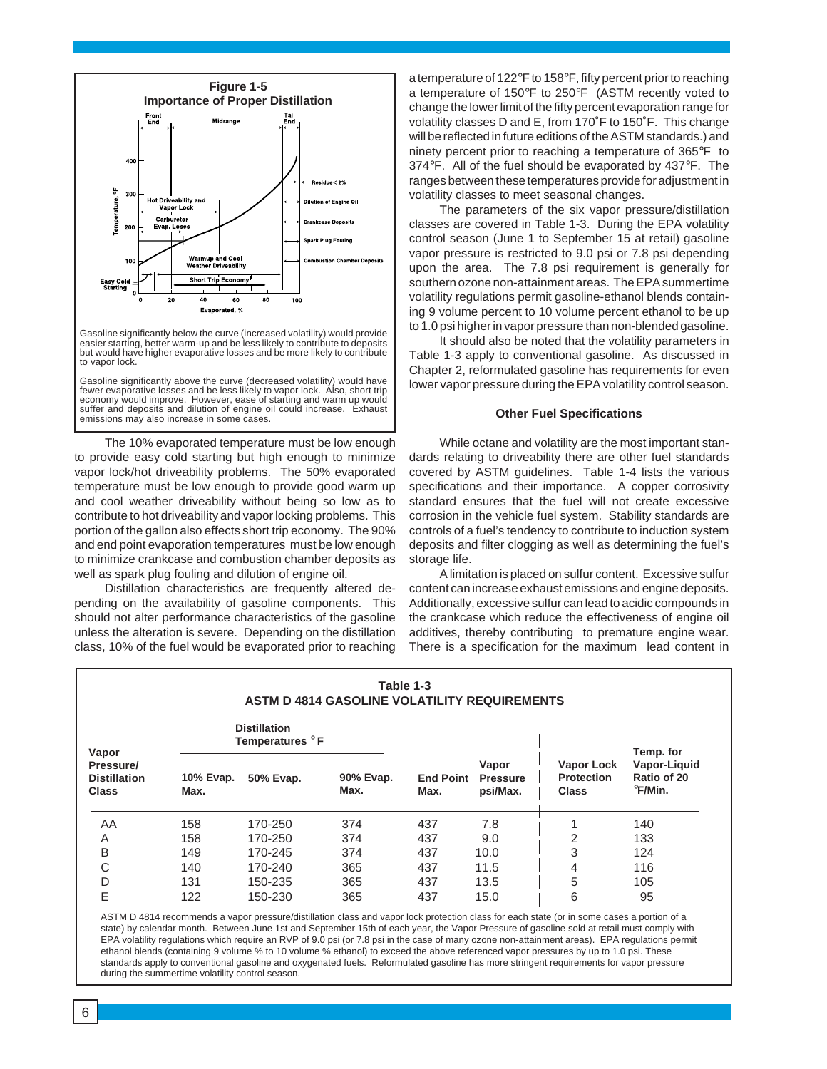

Gasoline significantly below the curve (increased volatility) would provide easier starting, better warm-up and be less likely to contribute to deposits but would have higher evaporative losses and be more likely to contribute to vapor lock.

Gasoline significantly above the curve (decreased volatility) would have fewer evaporative losses and be less likely to vapor lock. Also, short trip economy would improve. However, ease of starting and warm up would suffer and deposits and dilution of engine oil could increase. Exhaust emissions may also increase in some cases.

The 10% evaporated temperature must be low enough to provide easy cold starting but high enough to minimize vapor lock/hot driveability problems. The 50% evaporated temperature must be low enough to provide good warm up and cool weather driveability without being so low as to contribute to hot driveability and vapor locking problems. This portion of the gallon also effects short trip economy. The 90% and end point evaporation temperatures must be low enough to minimize crankcase and combustion chamber deposits as well as spark plug fouling and dilution of engine oil.

Distillation characteristics are frequently altered depending on the availability of gasoline components. This should not alter performance characteristics of the gasoline unless the alteration is severe. Depending on the distillation class, 10% of the fuel would be evaporated prior to reaching

a temperature of 122°F to 158°F, fifty percent prior to reaching a temperature of 150°F to 250°F (ASTM recently voted to change the lower limit of the fifty percent evaporation range for volatility classes D and E, from 170˚F to 150˚F. This change will be reflected in future editions of the ASTM standards.) and ninety percent prior to reaching a temperature of 365°F to 374°F. All of the fuel should be evaporated by 437°F. The ranges between these temperatures provide for adjustment in volatility classes to meet seasonal changes.

The parameters of the six vapor pressure/distillation classes are covered in Table 1-3. During the EPA volatility control season (June 1 to September 15 at retail) gasoline vapor pressure is restricted to 9.0 psi or 7.8 psi depending upon the area. The 7.8 psi requirement is generally for southern ozone non-attainment areas. The EPA summertime volatility regulations permit gasoline-ethanol blends containing 9 volume percent to 10 volume percent ethanol to be up to 1.0 psi higher in vapor pressure than non-blended gasoline.

It should also be noted that the volatility parameters in Table 1-3 apply to conventional gasoline. As discussed in Chapter 2, reformulated gasoline has requirements for even lower vapor pressure during the EPA volatility control season.

#### **Other Fuel Specifications**

While octane and volatility are the most important standards relating to driveability there are other fuel standards covered by ASTM guidelines. Table 1-4 lists the various specifications and their importance. A copper corrosivity standard ensures that the fuel will not create excessive corrosion in the vehicle fuel system. Stability standards are controls of a fuel's tendency to contribute to induction system deposits and filter clogging as well as determining the fuel's storage life.

A limitation is placed on sulfur content. Excessive sulfur content can increase exhaust emissions and engine deposits. Additionally, excessive sulfur can lead to acidic compounds in the crankcase which reduce the effectiveness of engine oil additives, thereby contributing to premature engine wear. There is a specification for the maximum lead content in

| Table 1-3<br><b>ASTM D 4814 GASOLINE VOLATILITY REQUIREMENTS</b> |                   |                                        |                   |                          |                                      |                                                        |                                        |
|------------------------------------------------------------------|-------------------|----------------------------------------|-------------------|--------------------------|--------------------------------------|--------------------------------------------------------|----------------------------------------|
| Vapor                                                            |                   | <b>Distillation</b><br>Temperatures °F |                   |                          |                                      |                                                        | Temp. for                              |
| Pressure/<br><b>Distillation</b><br><b>Class</b>                 | 10% Evap.<br>Max. | 50% Evap.                              | 90% Evap.<br>Max. | <b>End Point</b><br>Max. | Vapor<br><b>Pressure</b><br>psi/Max. | <b>Vapor Lock</b><br><b>Protection</b><br><b>Class</b> | Vapor-Liquid<br>Ratio of 20<br>°F/Min. |
| AA                                                               | 158               | 170-250                                | 374               | 437                      | 7.8                                  |                                                        | 140                                    |
| A                                                                | 158               | 170-250                                | 374               | 437                      | 9.0                                  | 2                                                      | 133                                    |
| B                                                                | 149               | 170-245                                | 374               | 437                      | 10.0                                 | 3                                                      | 124                                    |
| C                                                                | 140               | 170-240                                | 365               | 437                      | 11.5                                 | 4                                                      | 116                                    |
| D                                                                | 131               | 150-235                                | 365               | 437                      | 13.5                                 | 5                                                      | 105                                    |
| E                                                                | 122               | 150-230                                | 365               | 437                      | 15.0                                 | 6                                                      | 95                                     |

ASTM D 4814 recommends a vapor pressure/distillation class and vapor lock protection class for each state (or in some cases a portion of a state) by calendar month. Between June 1st and September 15th of each year, the Vapor Pressure of gasoline sold at retail must comply with EPA volatility regulations which require an RVP of 9.0 psi (or 7.8 psi in the case of many ozone non-attainment areas). EPA regulations permit ethanol blends (containing 9 volume % to 10 volume % ethanol) to exceed the above referenced vapor pressures by up to 1.0 psi. These standards apply to conventional gasoline and oxygenated fuels. Reformulated gasoline has more stringent requirements for vapor pressure during the summertime volatility control season.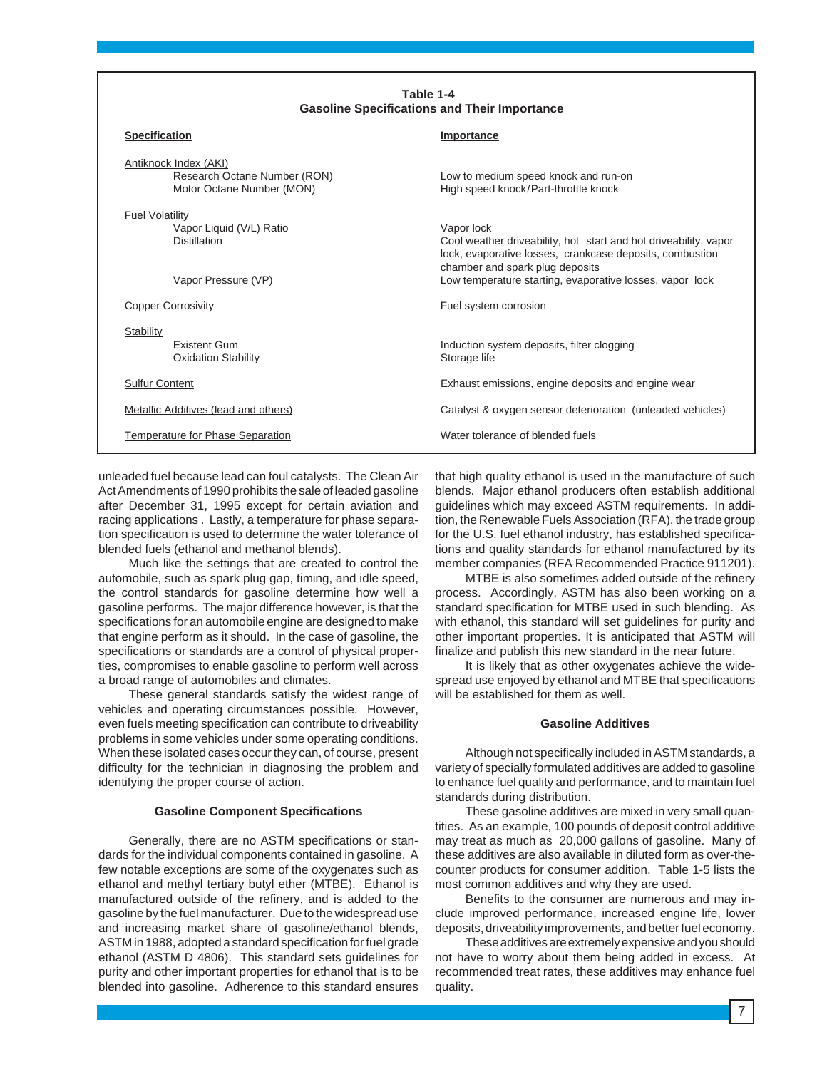| Table 1-4<br><b>Gasoline Specifications and Their Importance</b>                                 |                                                                                                                                                                                                                                           |  |  |
|--------------------------------------------------------------------------------------------------|-------------------------------------------------------------------------------------------------------------------------------------------------------------------------------------------------------------------------------------------|--|--|
| <b>Specification</b>                                                                             | Importance                                                                                                                                                                                                                                |  |  |
| Antiknock Index (AKI)<br>Research Octane Number (RON)<br>Motor Octane Number (MON)               | Low to medium speed knock and run-on<br>High speed knock/Part-throttle knock                                                                                                                                                              |  |  |
| <b>Fuel Volatility</b><br>Vapor Liquid (V/L) Ratio<br><b>Distillation</b><br>Vapor Pressure (VP) | Vapor lock<br>Cool weather driveability, hot start and hot driveability, vapor<br>lock, evaporative losses, crankcase deposits, combustion<br>chamber and spark plug deposits<br>Low temperature starting, evaporative losses, vapor lock |  |  |
| <b>Copper Corrosivity</b>                                                                        | Fuel system corrosion                                                                                                                                                                                                                     |  |  |
| Stability<br><b>Existent Gum</b><br><b>Oxidation Stability</b>                                   | Induction system deposits, filter clogging<br>Storage life                                                                                                                                                                                |  |  |
| <b>Sulfur Content</b>                                                                            | Exhaust emissions, engine deposits and engine wear                                                                                                                                                                                        |  |  |
| Metallic Additives (lead and others)<br>Temperature for Phase Separation                         | Catalyst & oxygen sensor deterioration (unleaded vehicles)<br>Water tolerance of blended fuels                                                                                                                                            |  |  |
|                                                                                                  |                                                                                                                                                                                                                                           |  |  |

unleaded fuel because lead can foul catalysts. The Clean Air Act Amendments of 1990 prohibits the sale of leaded gasoline after December 31, 1995 except for certain aviation and racing applications . Lastly, a temperature for phase separation specification is used to determine the water tolerance of blended fuels (ethanol and methanol blends).

Much like the settings that are created to control the automobile, such as spark plug gap, timing, and idle speed, the control standards for gasoline determine how well a gasoline performs. The major difference however, is that the specifications for an automobile engine are designed to make that engine perform as it should. In the case of gasoline, the specifications or standards are a control of physical properties, compromises to enable gasoline to perform well across a broad range of automobiles and climates.

These general standards satisfy the widest range of vehicles and operating circumstances possible. However, even fuels meeting specification can contribute to driveability problems in some vehicles under some operating conditions. When these isolated cases occur they can, of course, present difficulty for the technician in diagnosing the problem and identifying the proper course of action.

#### **Gasoline Component Specifications**

Generally, there are no ASTM specifications or standards for the individual components contained in gasoline. A few notable exceptions are some of the oxygenates such as ethanol and methyl tertiary butyl ether (MTBE). Ethanol is manufactured outside of the refinery, and is added to the gasoline by the fuel manufacturer. Due to the widespread use and increasing market share of gasoline/ethanol blends, ASTM in 1988, adopted a standard specification for fuel grade ethanol (ASTM D 4806). This standard sets guidelines for purity and other important properties for ethanol that is to be blended into gasoline. Adherence to this standard ensures that high quality ethanol is used in the manufacture of such blends. Major ethanol producers often establish additional guidelines which may exceed ASTM requirements. In addition, the Renewable Fuels Association (RFA), the trade group for the U.S. fuel ethanol industry, has established specifications and quality standards for ethanol manufactured by its member companies (RFA Recommended Practice 911201).

MTBE is also sometimes added outside of the refinery process. Accordingly, ASTM has also been working on a standard specification for MTBE used in such blending. As with ethanol, this standard will set guidelines for purity and other important properties. It is anticipated that ASTM will finalize and publish this new standard in the near future.

It is likely that as other oxygenates achieve the widespread use enjoyed by ethanol and MTBE that specifications will be established for them as well.

#### **Gasoline Additives**

Although not specifically included in ASTM standards, a variety of specially formulated additives are added to gasoline to enhance fuel quality and performance, and to maintain fuel standards during distribution.

These gasoline additives are mixed in very small quantities. As an example, 100 pounds of deposit control additive may treat as much as 20,000 gallons of gasoline. Many of these additives are also available in diluted form as over-thecounter products for consumer addition. Table 1-5 lists the most common additives and why they are used.

Benefits to the consumer are numerous and may include improved performance, increased engine life, lower deposits, driveability improvements, and better fuel economy.

These additives are extremely expensive and you should not have to worry about them being added in excess. At recommended treat rates, these additives may enhance fuel quality.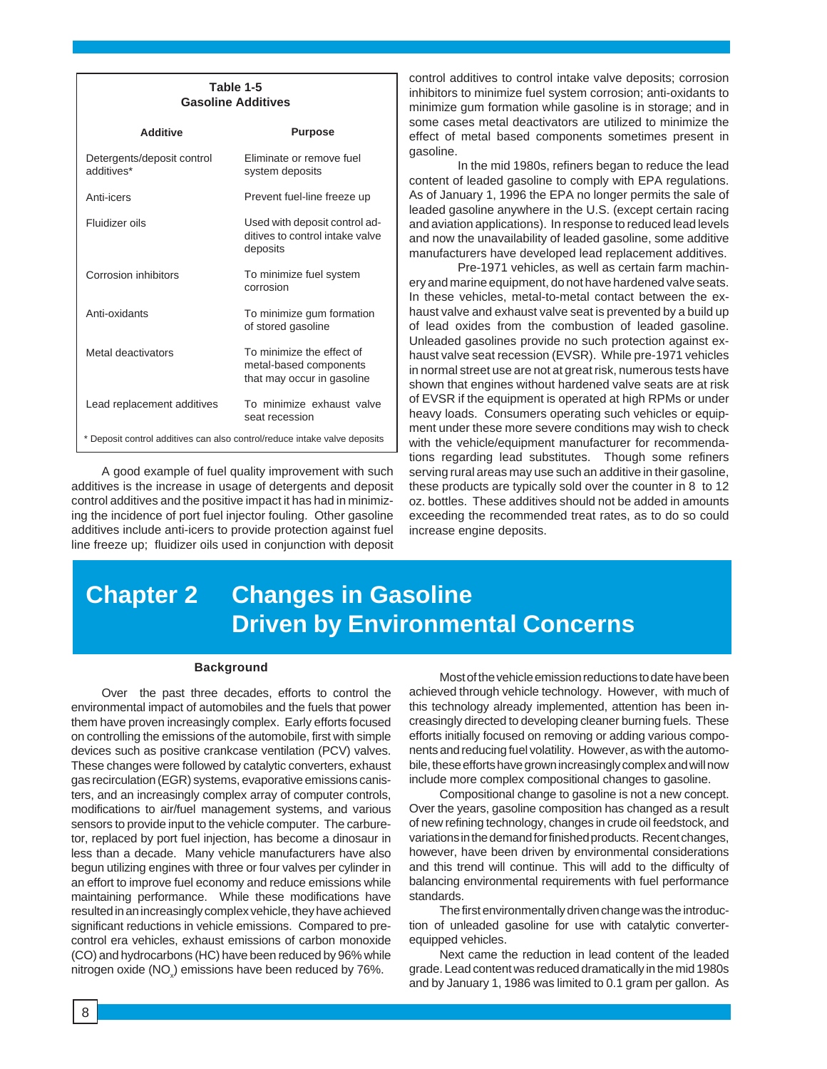#### **Table 1-5 Gasoline Additives**

| <b>Additive</b>                                                           | Purpose                                                                           |
|---------------------------------------------------------------------------|-----------------------------------------------------------------------------------|
| Detergents/deposit control<br>additives*                                  | Fliminate or remove fuel<br>system deposits                                       |
| Anti-icers                                                                | Prevent fuel-line freeze up                                                       |
| Fluidizer oils                                                            | Used with deposit control ad-<br>ditives to control intake valve<br>deposits      |
| Corrosion inhibitors                                                      | To minimize fuel system<br>corrosion                                              |
| Anti-oxidants                                                             | To minimize gum formation<br>of stored gasoline                                   |
| Metal deactivators                                                        | To minimize the effect of<br>metal-based components<br>that may occur in gasoline |
| Lead replacement additives                                                | To minimize exhaust valve<br>seat recession                                       |
| * Deposit control additives can also control/reduce intake valve deposits |                                                                                   |

A good example of fuel quality improvement with such additives is the increase in usage of detergents and deposit control additives and the positive impact it has had in minimizing the incidence of port fuel injector fouling. Other gasoline additives include anti-icers to provide protection against fuel line freeze up; fluidizer oils used in conjunction with deposit

control additives to control intake valve deposits; corrosion inhibitors to minimize fuel system corrosion; anti-oxidants to minimize gum formation while gasoline is in storage; and in some cases metal deactivators are utilized to minimize the effect of metal based components sometimes present in gasoline.

In the mid 1980s, refiners began to reduce the lead content of leaded gasoline to comply with EPA regulations. As of January 1, 1996 the EPA no longer permits the sale of leaded gasoline anywhere in the U.S. (except certain racing and aviation applications). In response to reduced lead levels and now the unavailability of leaded gasoline, some additive manufacturers have developed lead replacement additives.

Pre-1971 vehicles, as well as certain farm machinery and marine equipment, do not have hardened valve seats. In these vehicles, metal-to-metal contact between the exhaust valve and exhaust valve seat is prevented by a build up of lead oxides from the combustion of leaded gasoline. Unleaded gasolines provide no such protection against exhaust valve seat recession (EVSR). While pre-1971 vehicles in normal street use are not at great risk, numerous tests have shown that engines without hardened valve seats are at risk of EVSR if the equipment is operated at high RPMs or under heavy loads. Consumers operating such vehicles or equipment under these more severe conditions may wish to check with the vehicle/equipment manufacturer for recommendations regarding lead substitutes. Though some refiners serving rural areas may use such an additive in their gasoline, these products are typically sold over the counter in 8 to 12 oz. bottles. These additives should not be added in amounts exceeding the recommended treat rates, as to do so could increase engine deposits.

# **Chapter 2 Changes in Gasoline Driven by Environmental Concerns**

#### **Background**

Over the past three decades, efforts to control the environmental impact of automobiles and the fuels that power them have proven increasingly complex. Early efforts focused on controlling the emissions of the automobile, first with simple devices such as positive crankcase ventilation (PCV) valves. These changes were followed by catalytic converters, exhaust gas recirculation (EGR) systems, evaporative emissions canisters, and an increasingly complex array of computer controls, modifications to air/fuel management systems, and various sensors to provide input to the vehicle computer. The carburetor, replaced by port fuel injection, has become a dinosaur in less than a decade. Many vehicle manufacturers have also begun utilizing engines with three or four valves per cylinder in an effort to improve fuel economy and reduce emissions while maintaining performance. While these modifications have resulted in an increasingly complex vehicle, they have achieved significant reductions in vehicle emissions. Compared to precontrol era vehicles, exhaust emissions of carbon monoxide (CO) and hydrocarbons (HC) have been reduced by 96% while nitrogen oxide (NO<sub>x</sub>) emissions have been reduced by 76%.

Most of the vehicle emission reductions to date have been achieved through vehicle technology. However, with much of this technology already implemented, attention has been increasingly directed to developing cleaner burning fuels. These efforts initially focused on removing or adding various components and reducing fuel volatility. However, as with the automobile, these efforts have grown increasingly complex and will now include more complex compositional changes to gasoline.

Compositional change to gasoline is not a new concept. Over the years, gasoline composition has changed as a result of new refining technology, changes in crude oil feedstock, and variations in the demand for finished products. Recent changes, however, have been driven by environmental considerations and this trend will continue. This will add to the difficulty of balancing environmental requirements with fuel performance standards.

The first environmentally driven change was the introduction of unleaded gasoline for use with catalytic converterequipped vehicles.

Next came the reduction in lead content of the leaded grade. Lead content was reduced dramatically in the mid 1980s and by January 1, 1986 was limited to 0.1 gram per gallon. As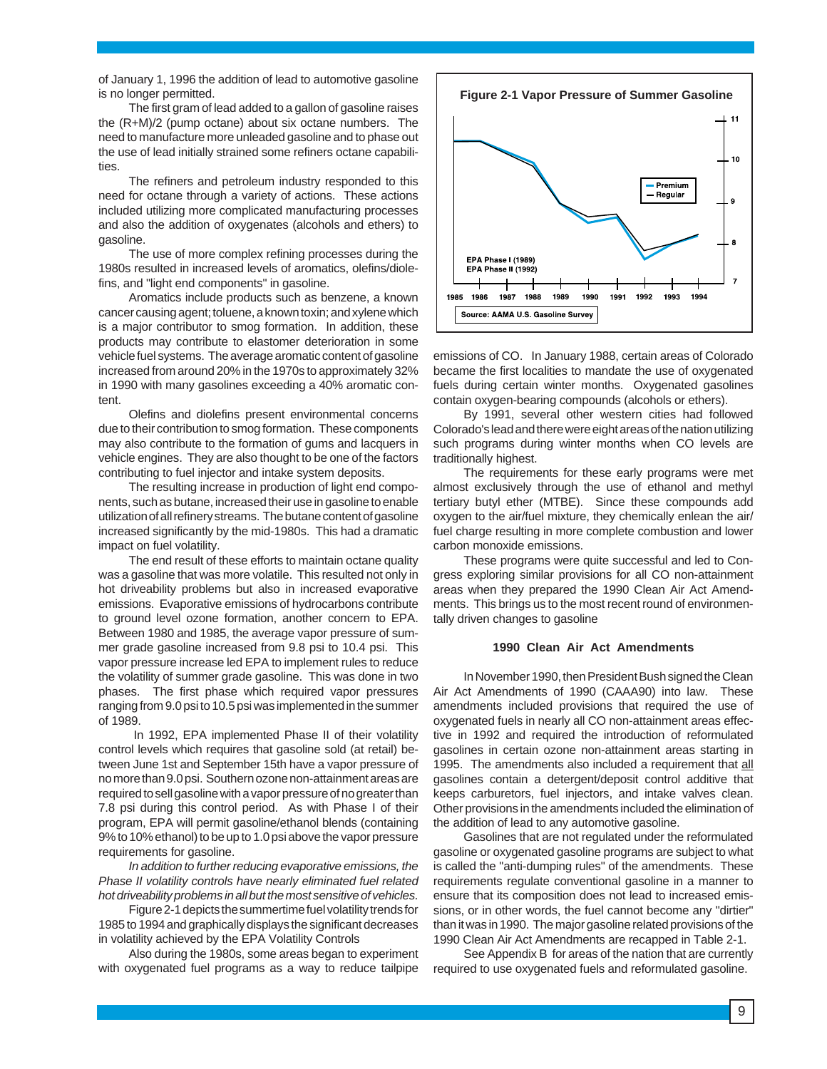of January 1, 1996 the addition of lead to automotive gasoline is no longer permitted.

The first gram of lead added to a gallon of gasoline raises the (R+M)/2 (pump octane) about six octane numbers. The need to manufacture more unleaded gasoline and to phase out the use of lead initially strained some refiners octane capabilities.

The refiners and petroleum industry responded to this need for octane through a variety of actions. These actions included utilizing more complicated manufacturing processes and also the addition of oxygenates (alcohols and ethers) to gasoline.

The use of more complex refining processes during the 1980s resulted in increased levels of aromatics, olefins/diolefins, and "light end components" in gasoline.

Aromatics include products such as benzene, a known cancer causing agent; toluene, a known toxin; and xylene which is a major contributor to smog formation. In addition, these products may contribute to elastomer deterioration in some vehicle fuel systems. The average aromatic content of gasoline increased from around 20% in the 1970s to approximately 32% in 1990 with many gasolines exceeding a 40% aromatic content.

Olefins and diolefins present environmental concerns due to their contribution to smog formation. These components may also contribute to the formation of gums and lacquers in vehicle engines. They are also thought to be one of the factors contributing to fuel injector and intake system deposits.

The resulting increase in production of light end components, such as butane, increased their use in gasoline to enable utilization of all refinery streams. The butane content of gasoline increased significantly by the mid-1980s. This had a dramatic impact on fuel volatility.

The end result of these efforts to maintain octane quality was a gasoline that was more volatile. This resulted not only in hot driveability problems but also in increased evaporative emissions. Evaporative emissions of hydrocarbons contribute to ground level ozone formation, another concern to EPA. Between 1980 and 1985, the average vapor pressure of summer grade gasoline increased from 9.8 psi to 10.4 psi. This vapor pressure increase led EPA to implement rules to reduce the volatility of summer grade gasoline. This was done in two phases. The first phase which required vapor pressures ranging from 9.0 psi to 10.5 psi was implemented in the summer of 1989.

In 1992, EPA implemented Phase II of their volatility control levels which requires that gasoline sold (at retail) between June 1st and September 15th have a vapor pressure of no more than 9.0 psi. Southern ozone non-attainment areas are required to sell gasoline with a vapor pressure of no greater than 7.8 psi during this control period. As with Phase I of their program, EPA will permit gasoline/ethanol blends (containing 9% to 10% ethanol) to be up to 1.0 psi above the vapor pressure requirements for gasoline.

In addition to further reducing evaporative emissions, the Phase II volatility controls have nearly eliminated fuel related hot driveability problems in all but the most sensitive of vehicles.

Figure 2-1 depicts the summertime fuel volatility trends for 1985 to 1994 and graphically displays the significant decreases in volatility achieved by the EPA Volatility Controls

Also during the 1980s, some areas began to experiment with oxygenated fuel programs as a way to reduce tailpipe



emissions of CO. In January 1988, certain areas of Colorado became the first localities to mandate the use of oxygenated fuels during certain winter months. Oxygenated gasolines contain oxygen-bearing compounds (alcohols or ethers).

By 1991, several other western cities had followed Colorado's lead and there were eight areas of the nation utilizing such programs during winter months when CO levels are traditionally highest.

The requirements for these early programs were met almost exclusively through the use of ethanol and methyl tertiary butyl ether (MTBE). Since these compounds add oxygen to the air/fuel mixture, they chemically enlean the air/ fuel charge resulting in more complete combustion and lower carbon monoxide emissions.

These programs were quite successful and led to Congress exploring similar provisions for all CO non-attainment areas when they prepared the 1990 Clean Air Act Amendments. This brings us to the most recent round of environmentally driven changes to gasoline

#### **1990 Clean Air Act Amendments**

In November 1990, then President Bush signed the Clean Air Act Amendments of 1990 (CAAA90) into law. These amendments included provisions that required the use of oxygenated fuels in nearly all CO non-attainment areas effective in 1992 and required the introduction of reformulated gasolines in certain ozone non-attainment areas starting in 1995. The amendments also included a requirement that all gasolines contain a detergent/deposit control additive that keeps carburetors, fuel injectors, and intake valves clean. Other provisions in the amendments included the elimination of the addition of lead to any automotive gasoline.

Gasolines that are not regulated under the reformulated gasoline or oxygenated gasoline programs are subject to what is called the "anti-dumping rules" of the amendments. These requirements regulate conventional gasoline in a manner to ensure that its composition does not lead to increased emissions, or in other words, the fuel cannot become any "dirtier" than it was in 1990. The major gasoline related provisions of the 1990 Clean Air Act Amendments are recapped in Table 2-1.

See Appendix B for areas of the nation that are currently required to use oxygenated fuels and reformulated gasoline.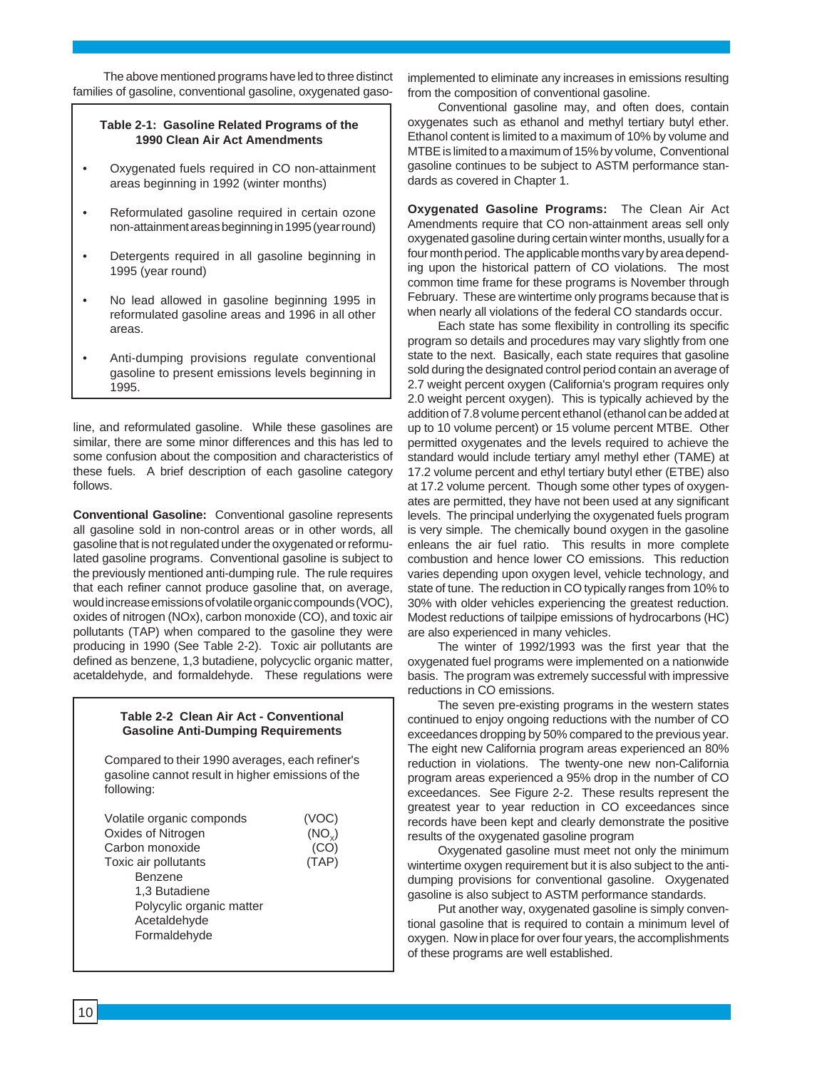The above mentioned programs have led to three distinct families of gasoline, conventional gasoline, oxygenated gaso-

#### **Table 2-1: Gasoline Related Programs of the 1990 Clean Air Act Amendments**

- Oxygenated fuels required in CO non-attainment areas beginning in 1992 (winter months)
- Reformulated gasoline required in certain ozone non-attainment areas beginning in 1995 (year round)
- Detergents required in all gasoline beginning in 1995 (year round)
- No lead allowed in gasoline beginning 1995 in reformulated gasoline areas and 1996 in all other areas.
- Anti-dumping provisions regulate conventional gasoline to present emissions levels beginning in 1995.

line, and reformulated gasoline. While these gasolines are similar, there are some minor differences and this has led to some confusion about the composition and characteristics of these fuels. A brief description of each gasoline category follows.

**Conventional Gasoline:** Conventional gasoline represents all gasoline sold in non-control areas or in other words, all gasoline that is not regulated under the oxygenated or reformulated gasoline programs. Conventional gasoline is subject to the previously mentioned anti-dumping rule. The rule requires that each refiner cannot produce gasoline that, on average, would increase emissions of volatile organic compounds (VOC), oxides of nitrogen (NOx), carbon monoxide (CO), and toxic air pollutants (TAP) when compared to the gasoline they were producing in 1990 (See Table 2-2). Toxic air pollutants are defined as benzene, 1,3 butadiene, polycyclic organic matter, acetaldehyde, and formaldehyde. These regulations were

#### **Table 2-2 Clean Air Act - Conventional Gasoline Anti-Dumping Requirements**

Compared to their 1990 averages, each refiner's gasoline cannot result in higher emissions of the following:

| Volatile organic componds | (VOC)              |
|---------------------------|--------------------|
| Oxides of Nitrogen        | (NO <sub>v</sub> ) |
| Carbon monoxide           | (CO)               |
| Toxic air pollutants      | (TAP)              |
| Benzene                   |                    |
| 1,3 Butadiene             |                    |
| Polycylic organic matter  |                    |
| Acetaldehyde              |                    |
| Formaldehyde              |                    |
|                           |                    |

implemented to eliminate any increases in emissions resulting from the composition of conventional gasoline.

Conventional gasoline may, and often does, contain oxygenates such as ethanol and methyl tertiary butyl ether. Ethanol content is limited to a maximum of 10% by volume and MTBE is limited to a maximum of 15% by volume, Conventional gasoline continues to be subject to ASTM performance standards as covered in Chapter 1.

**Oxygenated Gasoline Programs:** The Clean Air Act Amendments require that CO non-attainment areas sell only oxygenated gasoline during certain winter months, usually for a four month period. The applicable months vary by area depending upon the historical pattern of CO violations. The most common time frame for these programs is November through February. These are wintertime only programs because that is when nearly all violations of the federal CO standards occur.

Each state has some flexibility in controlling its specific program so details and procedures may vary slightly from one state to the next. Basically, each state requires that gasoline sold during the designated control period contain an average of 2.7 weight percent oxygen (California's program requires only 2.0 weight percent oxygen). This is typically achieved by the addition of 7.8 volume percent ethanol (ethanol can be added at up to 10 volume percent) or 15 volume percent MTBE. Other permitted oxygenates and the levels required to achieve the standard would include tertiary amyl methyl ether (TAME) at 17.2 volume percent and ethyl tertiary butyl ether (ETBE) also at 17.2 volume percent. Though some other types of oxygenates are permitted, they have not been used at any significant levels. The principal underlying the oxygenated fuels program is very simple. The chemically bound oxygen in the gasoline enleans the air fuel ratio. This results in more complete combustion and hence lower CO emissions. This reduction varies depending upon oxygen level, vehicle technology, and state of tune. The reduction in CO typically ranges from 10% to 30% with older vehicles experiencing the greatest reduction. Modest reductions of tailpipe emissions of hydrocarbons (HC) are also experienced in many vehicles.

The winter of 1992/1993 was the first year that the oxygenated fuel programs were implemented on a nationwide basis. The program was extremely successful with impressive reductions in CO emissions.

The seven pre-existing programs in the western states continued to enjoy ongoing reductions with the number of CO exceedances dropping by 50% compared to the previous year. The eight new California program areas experienced an 80% reduction in violations. The twenty-one new non-California program areas experienced a 95% drop in the number of CO exceedances. See Figure 2-2. These results represent the greatest year to year reduction in CO exceedances since records have been kept and clearly demonstrate the positive results of the oxygenated gasoline program

Oxygenated gasoline must meet not only the minimum wintertime oxygen requirement but it is also subject to the antidumping provisions for conventional gasoline. Oxygenated gasoline is also subject to ASTM performance standards.

Put another way, oxygenated gasoline is simply conventional gasoline that is required to contain a minimum level of oxygen. Now in place for over four years, the accomplishments of these programs are well established.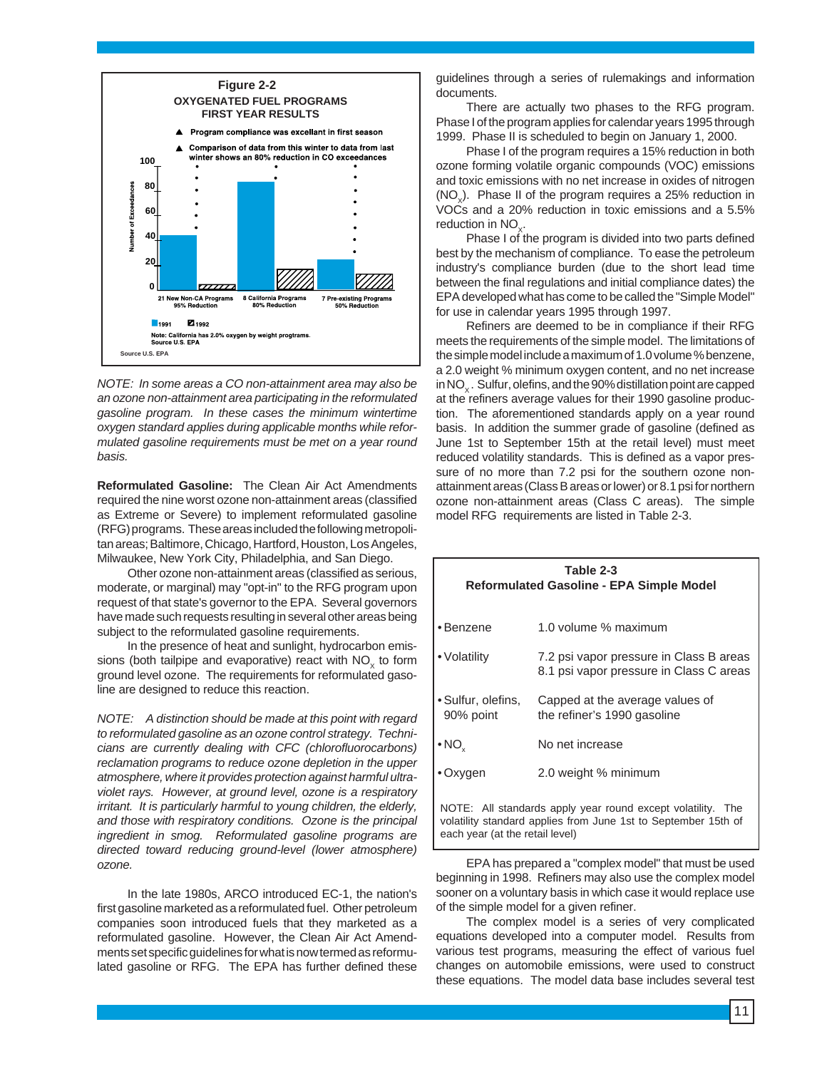

NOTE: In some areas a CO non-attainment area may also be an ozone non-attainment area participating in the reformulated gasoline program. In these cases the minimum wintertime oxygen standard applies during applicable months while reformulated gasoline requirements must be met on a year round basis.

**Reformulated Gasoline:** The Clean Air Act Amendments required the nine worst ozone non-attainment areas (classified as Extreme or Severe) to implement reformulated gasoline (RFG) programs. These areas included the following metropolitan areas; Baltimore, Chicago, Hartford, Houston, Los Angeles, Milwaukee, New York City, Philadelphia, and San Diego.

Other ozone non-attainment areas (classified as serious, moderate, or marginal) may "opt-in" to the RFG program upon request of that state's governor to the EPA. Several governors have made such requests resulting in several other areas being subject to the reformulated gasoline requirements.

In the presence of heat and sunlight, hydrocarbon emissions (both tailpipe and evaporative) react with  $NO<sub>x</sub>$  to form ground level ozone. The requirements for reformulated gasoline are designed to reduce this reaction.

NOTE: A distinction should be made at this point with regard to reformulated gasoline as an ozone control strategy. Technicians are currently dealing with CFC (chlorofluorocarbons) reclamation programs to reduce ozone depletion in the upper atmosphere, where it provides protection against harmful ultraviolet rays. However, at ground level, ozone is a respiratory irritant. It is particularly harmful to young children, the elderly, and those with respiratory conditions. Ozone is the principal ingredient in smog. Reformulated gasoline programs are directed toward reducing ground-level (lower atmosphere) ozone.

In the late 1980s, ARCO introduced EC-1, the nation's first gasoline marketed as a reformulated fuel. Other petroleum companies soon introduced fuels that they marketed as a reformulated gasoline. However, the Clean Air Act Amendments set specific guidelines for what is now termed as reformulated gasoline or RFG. The EPA has further defined these guidelines through a series of rulemakings and information documents.

There are actually two phases to the RFG program. Phase I of the program applies for calendar years 1995 through 1999. Phase II is scheduled to begin on January 1, 2000.

Phase I of the program requires a 15% reduction in both ozone forming volatile organic compounds (VOC) emissions and toxic emissions with no net increase in oxides of nitrogen  $(NO<sub>x</sub>)$ . Phase II of the program requires a 25% reduction in VOCs and a 20% reduction in toxic emissions and a 5.5% reduction in  $NO_{\sim}$ .

Phase I of the program is divided into two parts defined best by the mechanism of compliance. To ease the petroleum industry's compliance burden (due to the short lead time between the final regulations and initial compliance dates) the EPA developed what has come to be called the "Simple Model" for use in calendar years 1995 through 1997.

Refiners are deemed to be in compliance if their RFG meets the requirements of the simple model. The limitations of the simple model include a maximum of 1.0 volume % benzene, a 2.0 weight % minimum oxygen content, and no net increase in  $NO<sub>x</sub>$ . Sulfur, olefins, and the 90% distillation point are capped at the refiners average values for their 1990 gasoline production. The aforementioned standards apply on a year round basis. In addition the summer grade of gasoline (defined as June 1st to September 15th at the retail level) must meet reduced volatility standards. This is defined as a vapor pressure of no more than 7.2 psi for the southern ozone nonattainment areas (Class B areas or lower) or 8.1 psi for northern ozone non-attainment areas (Class C areas). The simple model RFG requirements are listed in Table 2-3.

| Table 2-3<br><b>Reformulated Gasoline - EPA Simple Model</b>                                                                                                          |                                                                                    |  |
|-----------------------------------------------------------------------------------------------------------------------------------------------------------------------|------------------------------------------------------------------------------------|--|
| • Benzene                                                                                                                                                             | 1.0 volume % maximum                                                               |  |
| ∙ Volatilitv                                                                                                                                                          | 7.2 psi vapor pressure in Class B areas<br>8.1 psi vapor pressure in Class C areas |  |
| l ∙ Sulfur, olefins,<br>90% point                                                                                                                                     | Capped at the average values of<br>the refiner's 1990 gasoline                     |  |
| $\bullet$ NO <sub>x</sub>                                                                                                                                             | No net increase                                                                    |  |
| ∙Oxygen                                                                                                                                                               | 2.0 weight % minimum                                                               |  |
| NOTE: All standards apply year round except volatility.<br>- The<br>volatility standard applies from June 1st to September 15th of<br>each year (at the retail level) |                                                                                    |  |

EPA has prepared a "complex model" that must be used beginning in 1998. Refiners may also use the complex model sooner on a voluntary basis in which case it would replace use of the simple model for a given refiner.

The complex model is a series of very complicated equations developed into a computer model. Results from various test programs, measuring the effect of various fuel changes on automobile emissions, were used to construct these equations. The model data base includes several test

11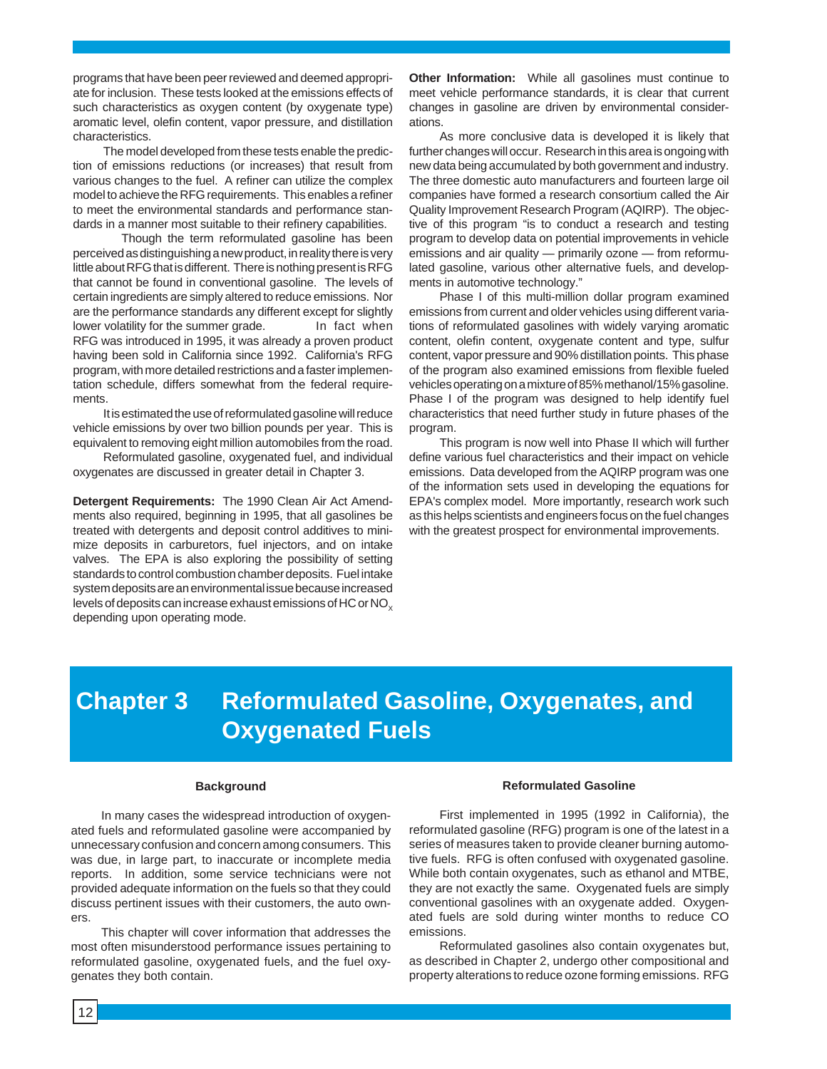programs that have been peer reviewed and deemed appropriate for inclusion. These tests looked at the emissions effects of such characteristics as oxygen content (by oxygenate type) aromatic level, olefin content, vapor pressure, and distillation characteristics.

The model developed from these tests enable the prediction of emissions reductions (or increases) that result from various changes to the fuel. A refiner can utilize the complex model to achieve the RFG requirements. This enables a refiner to meet the environmental standards and performance standards in a manner most suitable to their refinery capabilities.

Though the term reformulated gasoline has been perceived as distinguishing a new product, in reality there is very little about RFG that is different. There is nothing present is RFG that cannot be found in conventional gasoline. The levels of certain ingredients are simply altered to reduce emissions. Nor are the performance standards any different except for slightly lower volatility for the summer grade. In fact when RFG was introduced in 1995, it was already a proven product having been sold in California since 1992. California's RFG program, with more detailed restrictions and a faster implementation schedule, differs somewhat from the federal requirements.

It is estimated the use of reformulated gasoline will reduce vehicle emissions by over two billion pounds per year. This is equivalent to removing eight million automobiles from the road.

Reformulated gasoline, oxygenated fuel, and individual oxygenates are discussed in greater detail in Chapter 3.

**Detergent Requirements:** The 1990 Clean Air Act Amendments also required, beginning in 1995, that all gasolines be treated with detergents and deposit control additives to minimize deposits in carburetors, fuel injectors, and on intake valves. The EPA is also exploring the possibility of setting standards to control combustion chamber deposits. Fuel intake system deposits are an environmental issue because increased levels of deposits can increase exhaust emissions of HC or  $NO<sub>x</sub>$ depending upon operating mode.

**Other Information:** While all gasolines must continue to meet vehicle performance standards, it is clear that current changes in gasoline are driven by environmental considerations.

As more conclusive data is developed it is likely that further changes will occur. Research in this area is ongoing with new data being accumulated by both government and industry. The three domestic auto manufacturers and fourteen large oil companies have formed a research consortium called the Air Quality Improvement Research Program (AQIRP). The objective of this program "is to conduct a research and testing program to develop data on potential improvements in vehicle emissions and air quality — primarily ozone — from reformulated gasoline, various other alternative fuels, and developments in automotive technology."

Phase I of this multi-million dollar program examined emissions from current and older vehicles using different variations of reformulated gasolines with widely varying aromatic content, olefin content, oxygenate content and type, sulfur content, vapor pressure and 90% distillation points. This phase of the program also examined emissions from flexible fueled vehicles operating on a mixture of 85% methanol/15% gasoline. Phase I of the program was designed to help identify fuel characteristics that need further study in future phases of the program.

This program is now well into Phase II which will further define various fuel characteristics and their impact on vehicle emissions. Data developed from the AQIRP program was one of the information sets used in developing the equations for EPA's complex model. More importantly, research work such as this helps scientists and engineers focus on the fuel changes with the greatest prospect for environmental improvements.

# **Chapter 3 Reformulated Gasoline, Oxygenates, and Oxygenated Fuels**

#### **Background**

In many cases the widespread introduction of oxygenated fuels and reformulated gasoline were accompanied by unnecessary confusion and concern among consumers. This was due, in large part, to inaccurate or incomplete media reports. In addition, some service technicians were not provided adequate information on the fuels so that they could discuss pertinent issues with their customers, the auto owners.

This chapter will cover information that addresses the most often misunderstood performance issues pertaining to reformulated gasoline, oxygenated fuels, and the fuel oxygenates they both contain.

#### **Reformulated Gasoline**

First implemented in 1995 (1992 in California), the reformulated gasoline (RFG) program is one of the latest in a series of measures taken to provide cleaner burning automotive fuels. RFG is often confused with oxygenated gasoline. While both contain oxygenates, such as ethanol and MTBE, they are not exactly the same. Oxygenated fuels are simply conventional gasolines with an oxygenate added. Oxygenated fuels are sold during winter months to reduce CO emissions.

Reformulated gasolines also contain oxygenates but, as described in Chapter 2, undergo other compositional and property alterations to reduce ozone forming emissions. RFG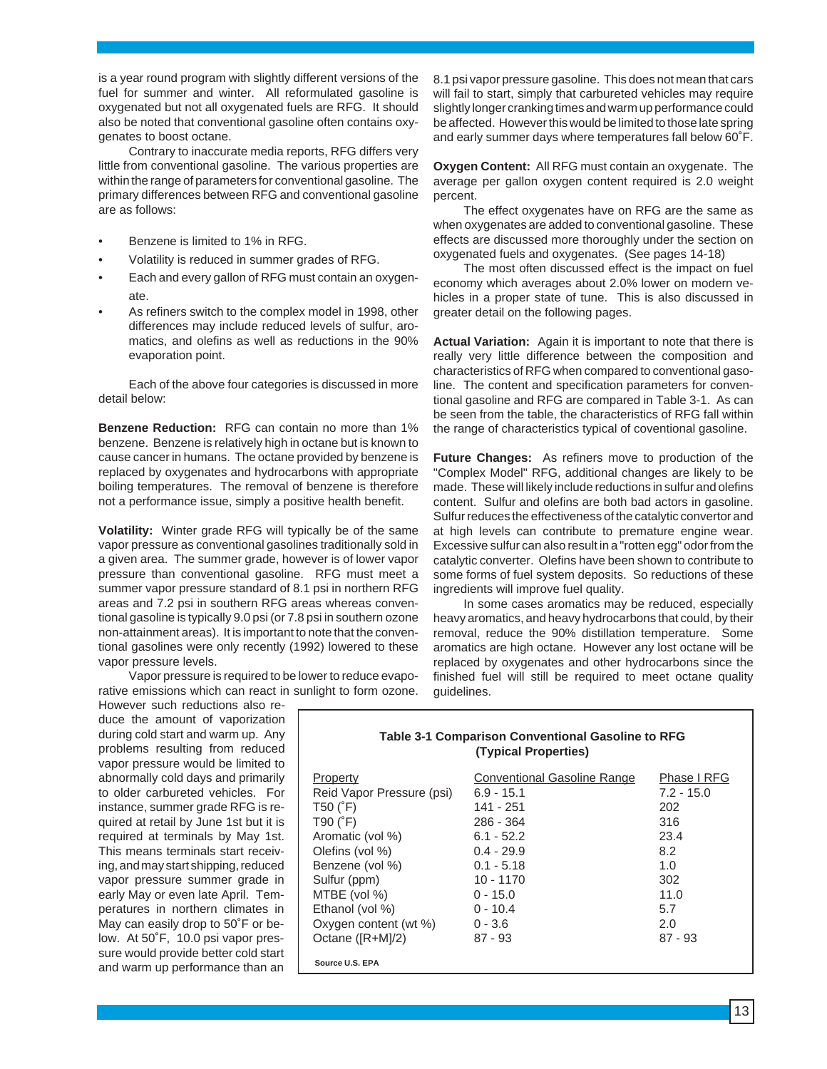is a year round program with slightly different versions of the fuel for summer and winter. All reformulated gasoline is oxygenated but not all oxygenated fuels are RFG. It should also be noted that conventional gasoline often contains oxygenates to boost octane.

Contrary to inaccurate media reports, RFG differs very little from conventional gasoline. The various properties are within the range of parameters for conventional gasoline. The primary differences between RFG and conventional gasoline are as follows:

- Benzene is limited to 1% in RFG.
- Volatility is reduced in summer grades of RFG.
- Each and every gallon of RFG must contain an oxygenate.
- As refiners switch to the complex model in 1998, other differences may include reduced levels of sulfur, aromatics, and olefins as well as reductions in the 90% evaporation point.

Each of the above four categories is discussed in more detail below:

**Benzene Reduction:** RFG can contain no more than 1% benzene. Benzene is relatively high in octane but is known to cause cancer in humans. The octane provided by benzene is replaced by oxygenates and hydrocarbons with appropriate boiling temperatures. The removal of benzene is therefore not a performance issue, simply a positive health benefit.

**Volatility:** Winter grade RFG will typically be of the same vapor pressure as conventional gasolines traditionally sold in a given area. The summer grade, however is of lower vapor pressure than conventional gasoline. RFG must meet a summer vapor pressure standard of 8.1 psi in northern RFG areas and 7.2 psi in southern RFG areas whereas conventional gasoline is typically 9.0 psi (or 7.8 psi in southern ozone non-attainment areas). It is important to note that the conventional gasolines were only recently (1992) lowered to these vapor pressure levels.

Vapor pressure is required to be lower to reduce evaporative emissions which can react in sunlight to form ozone.

However such reductions also reduce the amount of vaporization during cold start and warm up. Any problems resulting from reduced vapor pressure would be limited to abnormally cold days and primarily to older carbureted vehicles. For instance, summer grade RFG is required at retail by June 1st but it is required at terminals by May 1st. This means terminals start receiving, and may start shipping, reduced vapor pressure summer grade in early May or even late April. Temperatures in northern climates in May can easily drop to 50˚F or below. At 50˚F, 10.0 psi vapor pressure would provide better cold start and warm up performance than an

8.1 psi vapor pressure gasoline. This does not mean that cars will fail to start, simply that carbureted vehicles may require slightly longer cranking times and warm up performance could be affected. However this would be limited to those late spring and early summer days where temperatures fall below 60˚F.

**Oxygen Content:** All RFG must contain an oxygenate. The average per gallon oxygen content required is 2.0 weight percent.

The effect oxygenates have on RFG are the same as when oxygenates are added to conventional gasoline. These effects are discussed more thoroughly under the section on oxygenated fuels and oxygenates. (See pages 14-18)

The most often discussed effect is the impact on fuel economy which averages about 2.0% lower on modern vehicles in a proper state of tune. This is also discussed in greater detail on the following pages.

**Actual Variation:** Again it is important to note that there is really very little difference between the composition and characteristics of RFG when compared to conventional gasoline. The content and specification parameters for conventional gasoline and RFG are compared in Table 3-1. As can be seen from the table, the characteristics of RFG fall within the range of characteristics typical of coventional gasoline.

**Future Changes:** As refiners move to production of the "Complex Model" RFG, additional changes are likely to be made. These will likely include reductions in sulfur and olefins content. Sulfur and olefins are both bad actors in gasoline. Sulfur reduces the effectiveness of the catalytic convertor and at high levels can contribute to premature engine wear. Excessive sulfur can also result in a "rotten egg" odor from the catalytic converter. Olefins have been shown to contribute to some forms of fuel system deposits. So reductions of these ingredients will improve fuel quality.

In some cases aromatics may be reduced, especially heavy aromatics, and heavy hydrocarbons that could, by their removal, reduce the 90% distillation temperature. Some aromatics are high octane. However any lost octane will be replaced by oxygenates and other hydrocarbons since the finished fuel will still be required to meet octane quality guidelines.

| <b>Table 3-1 Comparison Conventional Gasoline to RFG</b><br>(Typical Properties) |                                    |              |  |
|----------------------------------------------------------------------------------|------------------------------------|--------------|--|
| Property                                                                         | <b>Conventional Gasoline Range</b> | Phase I RFG  |  |
| Reid Vapor Pressure (psi)                                                        | $6.9 - 15.1$                       | $7.2 - 15.0$ |  |
| T50 $(^{\circ}F)$                                                                | 141 - 251                          | 202          |  |
| $T90$ ( $F$ )                                                                    | 286 - 364                          | 316          |  |
| Aromatic (vol %)                                                                 | $6.1 - 52.2$                       | 23.4         |  |
| Olefins (vol %)                                                                  | $0.4 - 29.9$                       | 8.2          |  |
| Benzene (vol %)                                                                  | $0.1 - 5.18$                       | 1.0          |  |
| Sulfur (ppm)                                                                     | 10 - 1170                          | 302          |  |
| MTBE (vol %)                                                                     | $0 - 15.0$                         | 11.0         |  |
| Ethanol (vol %)                                                                  | $0 - 10.4$                         | 5.7          |  |
| Oxygen content (wt %)                                                            | $0 - 3.6$                          | 2.0          |  |
| Octane ([R+M]/2)                                                                 | $87 - 93$                          | $87 - 93$    |  |
| Source U.S. EPA                                                                  |                                    |              |  |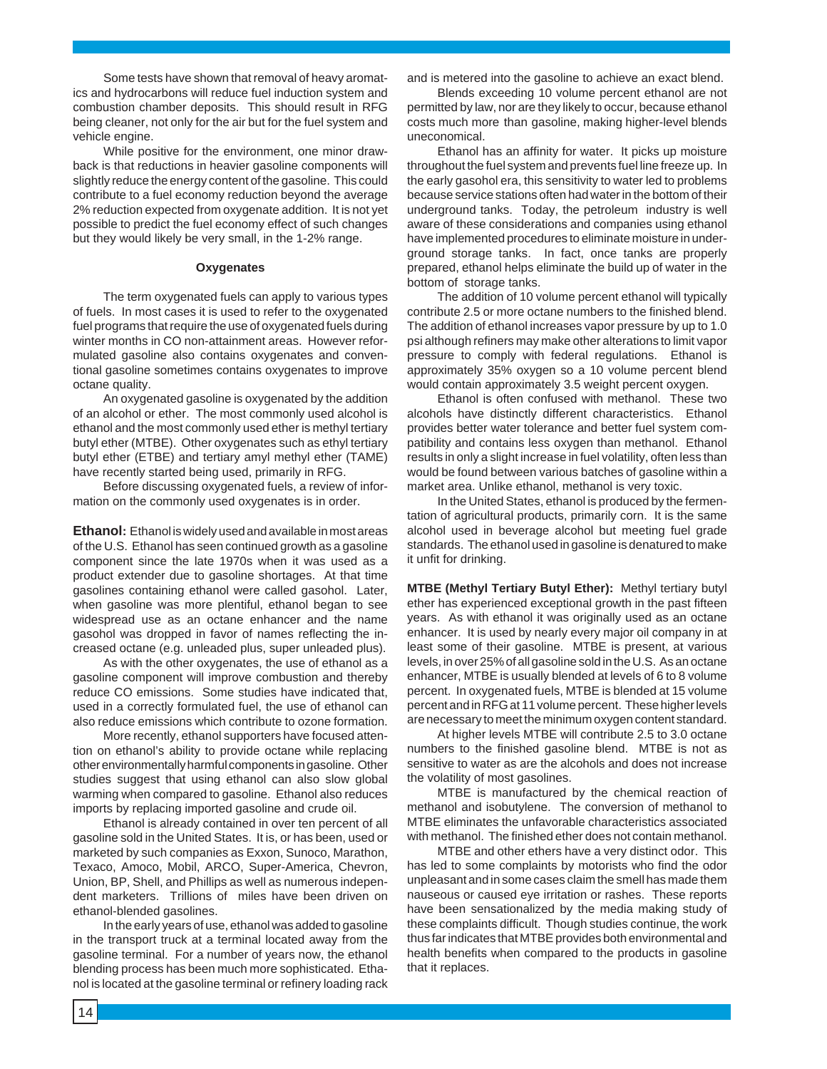Some tests have shown that removal of heavy aromatics and hydrocarbons will reduce fuel induction system and combustion chamber deposits. This should result in RFG being cleaner, not only for the air but for the fuel system and vehicle engine.

While positive for the environment, one minor drawback is that reductions in heavier gasoline components will slightly reduce the energy content of the gasoline. This could contribute to a fuel economy reduction beyond the average 2% reduction expected from oxygenate addition. It is not yet possible to predict the fuel economy effect of such changes but they would likely be very small, in the 1-2% range.

#### **Oxygenates**

The term oxygenated fuels can apply to various types of fuels. In most cases it is used to refer to the oxygenated fuel programs that require the use of oxygenated fuels during winter months in CO non-attainment areas. However reformulated gasoline also contains oxygenates and conventional gasoline sometimes contains oxygenates to improve octane quality.

An oxygenated gasoline is oxygenated by the addition of an alcohol or ether. The most commonly used alcohol is ethanol and the most commonly used ether is methyl tertiary butyl ether (MTBE). Other oxygenates such as ethyl tertiary butyl ether (ETBE) and tertiary amyl methyl ether (TAME) have recently started being used, primarily in RFG.

Before discussing oxygenated fuels, a review of information on the commonly used oxygenates is in order.

**Ethanol:** Ethanol is widely used and available in most areas of the U.S. Ethanol has seen continued growth as a gasoline component since the late 1970s when it was used as a product extender due to gasoline shortages. At that time gasolines containing ethanol were called gasohol. Later, when gasoline was more plentiful, ethanol began to see widespread use as an octane enhancer and the name gasohol was dropped in favor of names reflecting the increased octane (e.g. unleaded plus, super unleaded plus).

As with the other oxygenates, the use of ethanol as a gasoline component will improve combustion and thereby reduce CO emissions. Some studies have indicated that, used in a correctly formulated fuel, the use of ethanol can also reduce emissions which contribute to ozone formation.

More recently, ethanol supporters have focused attention on ethanol's ability to provide octane while replacing other environmentally harmful components in gasoline. Other studies suggest that using ethanol can also slow global warming when compared to gasoline. Ethanol also reduces imports by replacing imported gasoline and crude oil.

Ethanol is already contained in over ten percent of all gasoline sold in the United States. It is, or has been, used or marketed by such companies as Exxon, Sunoco, Marathon, Texaco, Amoco, Mobil, ARCO, Super-America, Chevron, Union, BP, Shell, and Phillips as well as numerous independent marketers. Trillions of miles have been driven on ethanol-blended gasolines.

In the early years of use, ethanol was added to gasoline in the transport truck at a terminal located away from the gasoline terminal. For a number of years now, the ethanol blending process has been much more sophisticated. Ethanol is located at the gasoline terminal or refinery loading rack and is metered into the gasoline to achieve an exact blend.

Blends exceeding 10 volume percent ethanol are not permitted by law, nor are they likely to occur, because ethanol costs much more than gasoline, making higher-level blends uneconomical.

Ethanol has an affinity for water. It picks up moisture throughout the fuel system and prevents fuel line freeze up. In the early gasohol era, this sensitivity to water led to problems because service stations often had water in the bottom of their underground tanks. Today, the petroleum industry is well aware of these considerations and companies using ethanol have implemented procedures to eliminate moisture in underground storage tanks. In fact, once tanks are properly prepared, ethanol helps eliminate the build up of water in the bottom of storage tanks.

The addition of 10 volume percent ethanol will typically contribute 2.5 or more octane numbers to the finished blend. The addition of ethanol increases vapor pressure by up to 1.0 psi although refiners may make other alterations to limit vapor pressure to comply with federal regulations. Ethanol is approximately 35% oxygen so a 10 volume percent blend would contain approximately 3.5 weight percent oxygen.

Ethanol is often confused with methanol. These two alcohols have distinctly different characteristics. Ethanol provides better water tolerance and better fuel system compatibility and contains less oxygen than methanol. Ethanol results in only a slight increase in fuel volatility, often less than would be found between various batches of gasoline within a market area. Unlike ethanol, methanol is very toxic.

In the United States, ethanol is produced by the fermentation of agricultural products, primarily corn. It is the same alcohol used in beverage alcohol but meeting fuel grade standards. The ethanol used in gasoline is denatured to make it unfit for drinking.

**MTBE (Methyl Tertiary Butyl Ether):** Methyl tertiary butyl ether has experienced exceptional growth in the past fifteen years. As with ethanol it was originally used as an octane enhancer. It is used by nearly every major oil company in at least some of their gasoline. MTBE is present, at various levels, in over 25% of all gasoline sold in the U.S. As an octane enhancer, MTBE is usually blended at levels of 6 to 8 volume percent. In oxygenated fuels, MTBE is blended at 15 volume percent and in RFG at 11 volume percent. These higher levels are necessary to meet the minimum oxygen content standard.

At higher levels MTBE will contribute 2.5 to 3.0 octane numbers to the finished gasoline blend. MTBE is not as sensitive to water as are the alcohols and does not increase the volatility of most gasolines.

MTBE is manufactured by the chemical reaction of methanol and isobutylene. The conversion of methanol to MTBE eliminates the unfavorable characteristics associated with methanol. The finished ether does not contain methanol.

MTBE and other ethers have a very distinct odor. This has led to some complaints by motorists who find the odor unpleasant and in some cases claim the smell has made them nauseous or caused eye irritation or rashes. These reports have been sensationalized by the media making study of these complaints difficult. Though studies continue, the work thus far indicates that MTBE provides both environmental and health benefits when compared to the products in gasoline that it replaces.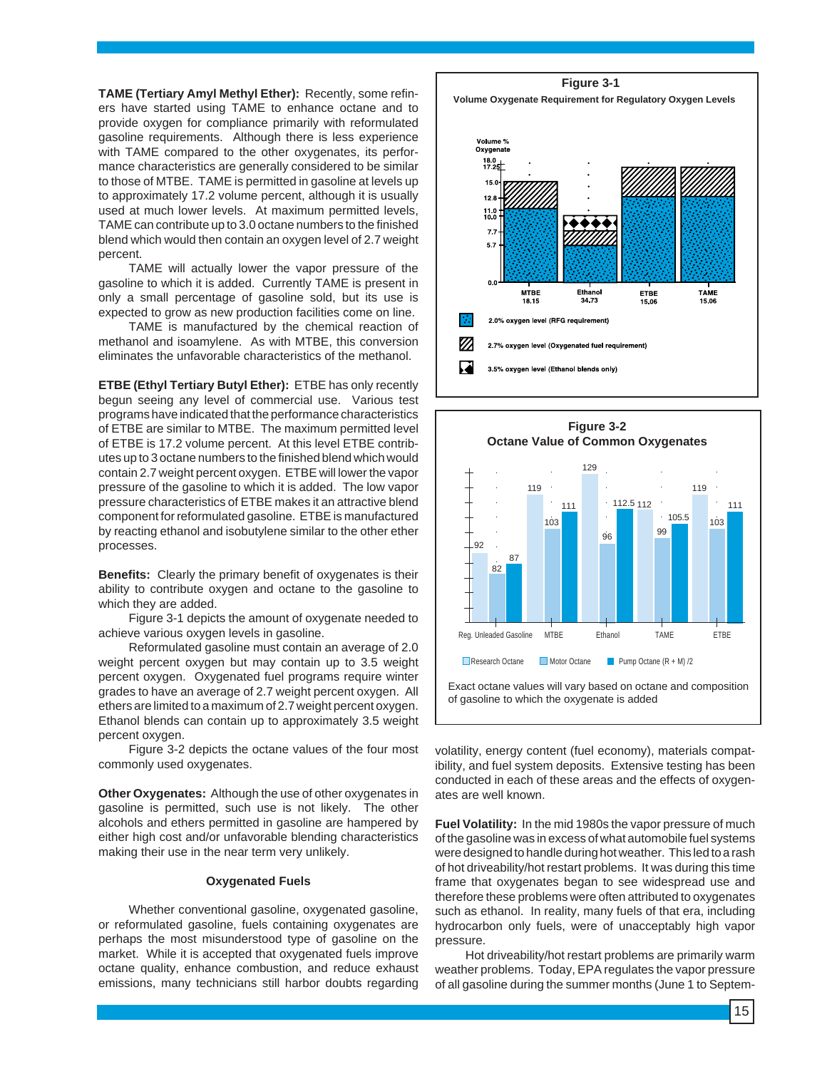**TAME (Tertiary Amyl Methyl Ether):** Recently, some refiners have started using TAME to enhance octane and to provide oxygen for compliance primarily with reformulated gasoline requirements. Although there is less experience with TAME compared to the other oxygenates, its performance characteristics are generally considered to be similar to those of MTBE. TAME is permitted in gasoline at levels up to approximately 17.2 volume percent, although it is usually used at much lower levels. At maximum permitted levels, TAME can contribute up to 3.0 octane numbers to the finished blend which would then contain an oxygen level of 2.7 weight percent.

TAME will actually lower the vapor pressure of the gasoline to which it is added. Currently TAME is present in only a small percentage of gasoline sold, but its use is expected to grow as new production facilities come on line.

TAME is manufactured by the chemical reaction of methanol and isoamylene. As with MTBE, this conversion eliminates the unfavorable characteristics of the methanol.

**ETBE (Ethyl Tertiary Butyl Ether):** ETBE has only recently begun seeing any level of commercial use. Various test programs have indicated that the performance characteristics of ETBE are similar to MTBE. The maximum permitted level of ETBE is 17.2 volume percent. At this level ETBE contributes up to 3 octane numbers to the finished blend which would contain 2.7 weight percent oxygen. ETBE will lower the vapor pressure of the gasoline to which it is added. The low vapor pressure characteristics of ETBE makes it an attractive blend component for reformulated gasoline. ETBE is manufactured by reacting ethanol and isobutylene similar to the other ether processes.

**Benefits:** Clearly the primary benefit of oxygenates is their ability to contribute oxygen and octane to the gasoline to which they are added.

Figure 3-1 depicts the amount of oxygenate needed to achieve various oxygen levels in gasoline.

Reformulated gasoline must contain an average of 2.0 weight percent oxygen but may contain up to 3.5 weight percent oxygen. Oxygenated fuel programs require winter grades to have an average of 2.7 weight percent oxygen. All ethers are limited to a maximum of 2.7 weight percent oxygen. Ethanol blends can contain up to approximately 3.5 weight percent oxygen.

Figure 3-2 depicts the octane values of the four most commonly used oxygenates.

**Other Oxygenates:** Although the use of other oxygenates in gasoline is permitted, such use is not likely. The other alcohols and ethers permitted in gasoline are hampered by either high cost and/or unfavorable blending characteristics making their use in the near term very unlikely.

#### **Oxygenated Fuels**

Whether conventional gasoline, oxygenated gasoline, or reformulated gasoline, fuels containing oxygenates are perhaps the most misunderstood type of gasoline on the market. While it is accepted that oxygenated fuels improve octane quality, enhance combustion, and reduce exhaust emissions, many technicians still harbor doubts regarding

**Figure 3-1 Volume Oxygenate Requirement for Regulatory Oxygen Levels**





volatility, energy content (fuel economy), materials compatibility, and fuel system deposits. Extensive testing has been conducted in each of these areas and the effects of oxygenates are well known.

**Fuel Volatility:** In the mid 1980s the vapor pressure of much of the gasoline was in excess of what automobile fuel systems were designed to handle during hot weather. This led to a rash of hot driveability/hot restart problems. It was during this time frame that oxygenates began to see widespread use and therefore these problems were often attributed to oxygenates such as ethanol. In reality, many fuels of that era, including hydrocarbon only fuels, were of unacceptably high vapor pressure.

Hot driveability/hot restart problems are primarily warm weather problems. Today, EPA regulates the vapor pressure of all gasoline during the summer months (June 1 to Septem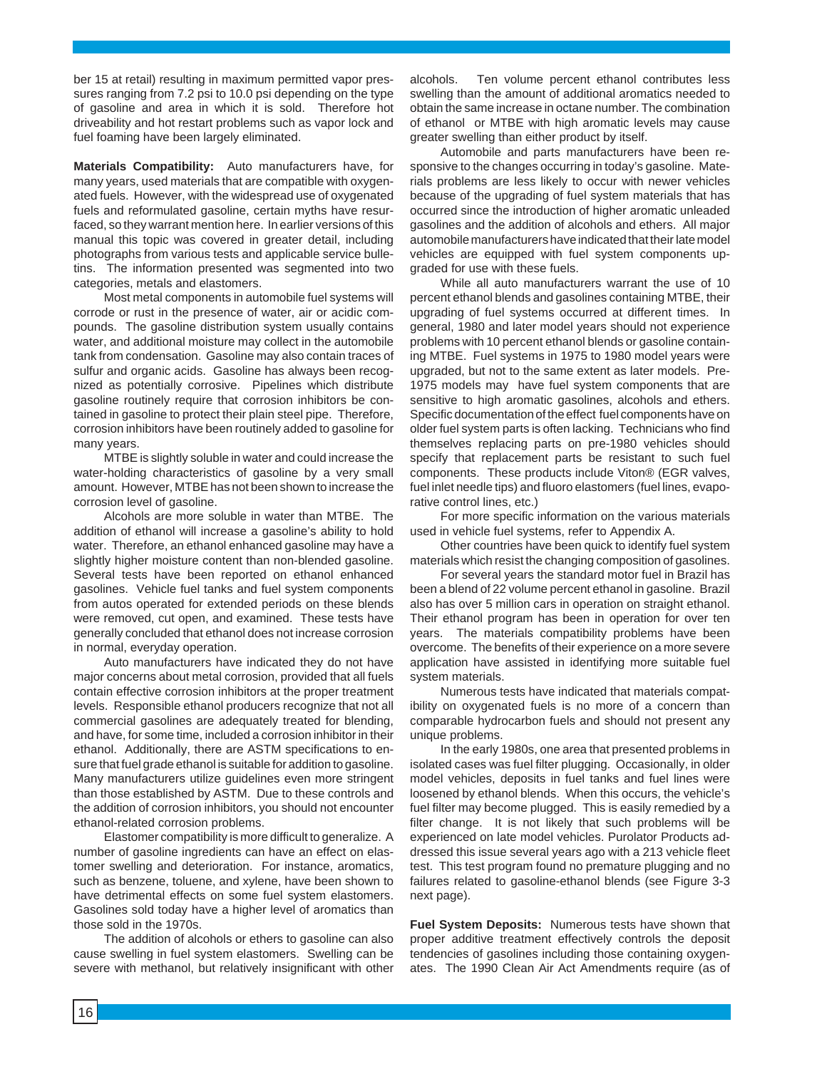ber 15 at retail) resulting in maximum permitted vapor pressures ranging from 7.2 psi to 10.0 psi depending on the type of gasoline and area in which it is sold. Therefore hot driveability and hot restart problems such as vapor lock and fuel foaming have been largely eliminated.

**Materials Compatibility:** Auto manufacturers have, for many years, used materials that are compatible with oxygenated fuels. However, with the widespread use of oxygenated fuels and reformulated gasoline, certain myths have resurfaced, so they warrant mention here. In earlier versions of this manual this topic was covered in greater detail, including photographs from various tests and applicable service bulletins. The information presented was segmented into two categories, metals and elastomers.

Most metal components in automobile fuel systems will corrode or rust in the presence of water, air or acidic compounds. The gasoline distribution system usually contains water, and additional moisture may collect in the automobile tank from condensation. Gasoline may also contain traces of sulfur and organic acids. Gasoline has always been recognized as potentially corrosive. Pipelines which distribute gasoline routinely require that corrosion inhibitors be contained in gasoline to protect their plain steel pipe. Therefore, corrosion inhibitors have been routinely added to gasoline for many years.

MTBE is slightly soluble in water and could increase the water-holding characteristics of gasoline by a very small amount. However, MTBE has not been shown to increase the corrosion level of gasoline.

Alcohols are more soluble in water than MTBE. The addition of ethanol will increase a gasoline's ability to hold water. Therefore, an ethanol enhanced gasoline may have a slightly higher moisture content than non-blended gasoline. Several tests have been reported on ethanol enhanced gasolines. Vehicle fuel tanks and fuel system components from autos operated for extended periods on these blends were removed, cut open, and examined. These tests have generally concluded that ethanol does not increase corrosion in normal, everyday operation.

Auto manufacturers have indicated they do not have major concerns about metal corrosion, provided that all fuels contain effective corrosion inhibitors at the proper treatment levels. Responsible ethanol producers recognize that not all commercial gasolines are adequately treated for blending, and have, for some time, included a corrosion inhibitor in their ethanol. Additionally, there are ASTM specifications to ensure that fuel grade ethanol is suitable for addition to gasoline. Many manufacturers utilize guidelines even more stringent than those established by ASTM. Due to these controls and the addition of corrosion inhibitors, you should not encounter ethanol-related corrosion problems.

Elastomer compatibility is more difficult to generalize. A number of gasoline ingredients can have an effect on elastomer swelling and deterioration. For instance, aromatics, such as benzene, toluene, and xylene, have been shown to have detrimental effects on some fuel system elastomers. Gasolines sold today have a higher level of aromatics than those sold in the 1970s.

The addition of alcohols or ethers to gasoline can also cause swelling in fuel system elastomers. Swelling can be severe with methanol, but relatively insignificant with other alcohols. Ten volume percent ethanol contributes less swelling than the amount of additional aromatics needed to obtain the same increase in octane number. The combination of ethanol or MTBE with high aromatic levels may cause greater swelling than either product by itself.

Automobile and parts manufacturers have been responsive to the changes occurring in today's gasoline. Materials problems are less likely to occur with newer vehicles because of the upgrading of fuel system materials that has occurred since the introduction of higher aromatic unleaded gasolines and the addition of alcohols and ethers. All major automobile manufacturers have indicated that their late model vehicles are equipped with fuel system components upgraded for use with these fuels.

While all auto manufacturers warrant the use of 10 percent ethanol blends and gasolines containing MTBE, their upgrading of fuel systems occurred at different times. In general, 1980 and later model years should not experience problems with 10 percent ethanol blends or gasoline containing MTBE. Fuel systems in 1975 to 1980 model years were upgraded, but not to the same extent as later models. Pre-1975 models may have fuel system components that are sensitive to high aromatic gasolines, alcohols and ethers. Specific documentation of the effect fuel components have on older fuel system parts is often lacking. Technicians who find themselves replacing parts on pre-1980 vehicles should specify that replacement parts be resistant to such fuel components. These products include Viton® (EGR valves, fuel inlet needle tips) and fluoro elastomers (fuel lines, evaporative control lines, etc.)

For more specific information on the various materials used in vehicle fuel systems, refer to Appendix A.

Other countries have been quick to identify fuel system materials which resist the changing composition of gasolines.

For several years the standard motor fuel in Brazil has been a blend of 22 volume percent ethanol in gasoline. Brazil also has over 5 million cars in operation on straight ethanol. Their ethanol program has been in operation for over ten years. The materials compatibility problems have been overcome. The benefits of their experience on a more severe application have assisted in identifying more suitable fuel system materials.

Numerous tests have indicated that materials compatibility on oxygenated fuels is no more of a concern than comparable hydrocarbon fuels and should not present any unique problems.

In the early 1980s, one area that presented problems in isolated cases was fuel filter plugging. Occasionally, in older model vehicles, deposits in fuel tanks and fuel lines were loosened by ethanol blends. When this occurs, the vehicle's fuel filter may become plugged. This is easily remedied by a filter change. It is not likely that such problems will be experienced on late model vehicles. Purolator Products addressed this issue several years ago with a 213 vehicle fleet test. This test program found no premature plugging and no failures related to gasoline-ethanol blends (see Figure 3-3 next page).

**Fuel System Deposits:** Numerous tests have shown that proper additive treatment effectively controls the deposit tendencies of gasolines including those containing oxygenates. The 1990 Clean Air Act Amendments require (as of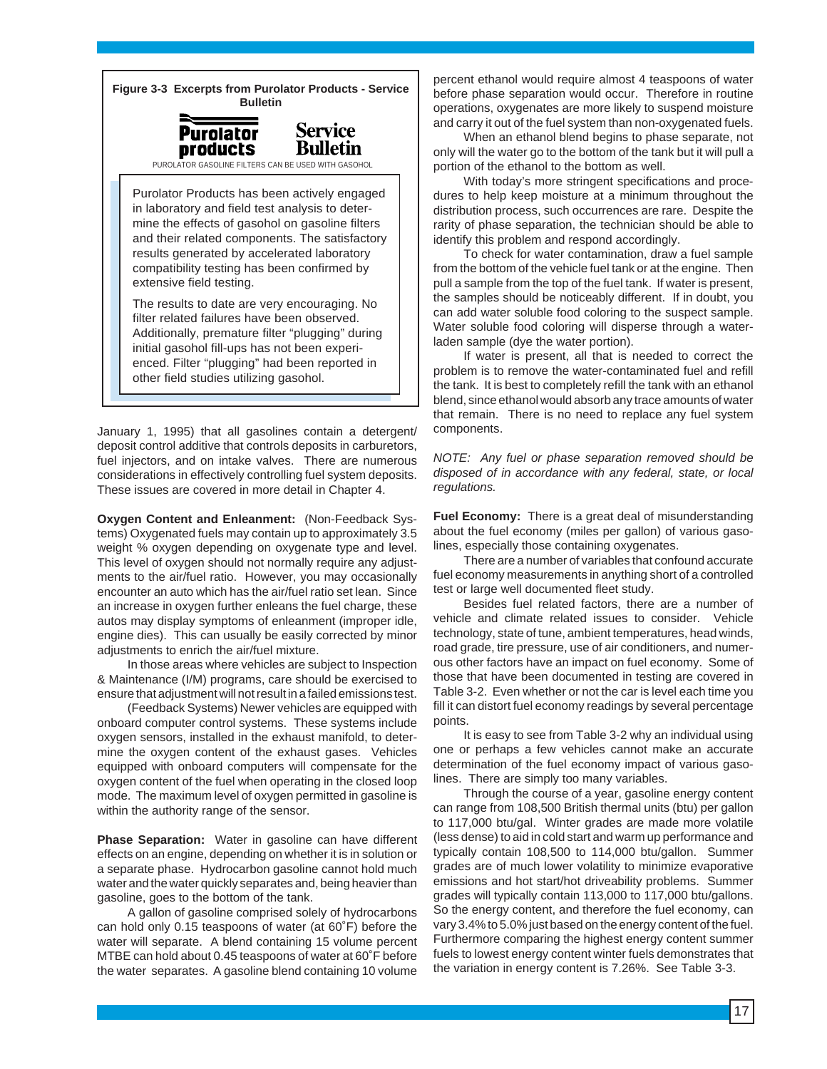**Figure 3-3 Excerpts from Purolator Products - Service Bulletin**

**Service** 

**Bulletin** 



PUROLATOR GASOLINE FILTERS CAN BE USED WITH GASOHOL

Purolator Products has been actively engaged in laboratory and field test analysis to determine the effects of gasohol on gasoline filters and their related components. The satisfactory results generated by accelerated laboratory compatibility testing has been confirmed by extensive field testing.

The results to date are very encouraging. No filter related failures have been observed. Additionally, premature filter "plugging" during initial gasohol fill-ups has not been experienced. Filter "plugging" had been reported in other field studies utilizing gasohol.

January 1, 1995) that all gasolines contain a detergent/ deposit control additive that controls deposits in carburetors, fuel injectors, and on intake valves. There are numerous considerations in effectively controlling fuel system deposits. These issues are covered in more detail in Chapter 4.

**Oxygen Content and Enleanment:** (Non-Feedback Systems) Oxygenated fuels may contain up to approximately 3.5 weight % oxygen depending on oxygenate type and level. This level of oxygen should not normally require any adjustments to the air/fuel ratio. However, you may occasionally encounter an auto which has the air/fuel ratio set lean. Since an increase in oxygen further enleans the fuel charge, these autos may display symptoms of enleanment (improper idle, engine dies). This can usually be easily corrected by minor adjustments to enrich the air/fuel mixture.

In those areas where vehicles are subject to Inspection & Maintenance (I/M) programs, care should be exercised to ensure that adjustment will not result in a failed emissions test.

(Feedback Systems) Newer vehicles are equipped with onboard computer control systems. These systems include oxygen sensors, installed in the exhaust manifold, to determine the oxygen content of the exhaust gases. Vehicles equipped with onboard computers will compensate for the oxygen content of the fuel when operating in the closed loop mode. The maximum level of oxygen permitted in gasoline is within the authority range of the sensor.

**Phase Separation:** Water in gasoline can have different effects on an engine, depending on whether it is in solution or a separate phase. Hydrocarbon gasoline cannot hold much water and the water quickly separates and, being heavier than gasoline, goes to the bottom of the tank.

A gallon of gasoline comprised solely of hydrocarbons can hold only 0.15 teaspoons of water (at 60˚F) before the water will separate. A blend containing 15 volume percent MTBE can hold about 0.45 teaspoons of water at 60˚F before the water separates. A gasoline blend containing 10 volume

percent ethanol would require almost 4 teaspoons of water before phase separation would occur. Therefore in routine operations, oxygenates are more likely to suspend moisture and carry it out of the fuel system than non-oxygenated fuels.

When an ethanol blend begins to phase separate, not only will the water go to the bottom of the tank but it will pull a portion of the ethanol to the bottom as well.

With today's more stringent specifications and procedures to help keep moisture at a minimum throughout the distribution process, such occurrences are rare. Despite the rarity of phase separation, the technician should be able to identify this problem and respond accordingly.

To check for water contamination, draw a fuel sample from the bottom of the vehicle fuel tank or at the engine. Then pull a sample from the top of the fuel tank. If water is present, the samples should be noticeably different. If in doubt, you can add water soluble food coloring to the suspect sample. Water soluble food coloring will disperse through a waterladen sample (dye the water portion).

If water is present, all that is needed to correct the problem is to remove the water-contaminated fuel and refill the tank. It is best to completely refill the tank with an ethanol blend, since ethanol would absorb any trace amounts of water that remain. There is no need to replace any fuel system components.

NOTE: Any fuel or phase separation removed should be disposed of in accordance with any federal, state, or local regulations.

**Fuel Economy:** There is a great deal of misunderstanding about the fuel economy (miles per gallon) of various gasolines, especially those containing oxygenates.

There are a number of variables that confound accurate fuel economy measurements in anything short of a controlled test or large well documented fleet study.

Besides fuel related factors, there are a number of vehicle and climate related issues to consider. Vehicle technology, state of tune, ambient temperatures, head winds, road grade, tire pressure, use of air conditioners, and numerous other factors have an impact on fuel economy. Some of those that have been documented in testing are covered in Table 3-2. Even whether or not the car is level each time you fill it can distort fuel economy readings by several percentage points.

It is easy to see from Table 3-2 why an individual using one or perhaps a few vehicles cannot make an accurate determination of the fuel economy impact of various gasolines. There are simply too many variables.

Through the course of a year, gasoline energy content can range from 108,500 British thermal units (btu) per gallon to 117,000 btu/gal. Winter grades are made more volatile (less dense) to aid in cold start and warm up performance and typically contain 108,500 to 114,000 btu/gallon. Summer grades are of much lower volatility to minimize evaporative emissions and hot start/hot driveability problems. Summer grades will typically contain 113,000 to 117,000 btu/gallons. So the energy content, and therefore the fuel economy, can vary 3.4% to 5.0% just based on the energy content of the fuel. Furthermore comparing the highest energy content summer fuels to lowest energy content winter fuels demonstrates that the variation in energy content is 7.26%. See Table 3-3.

17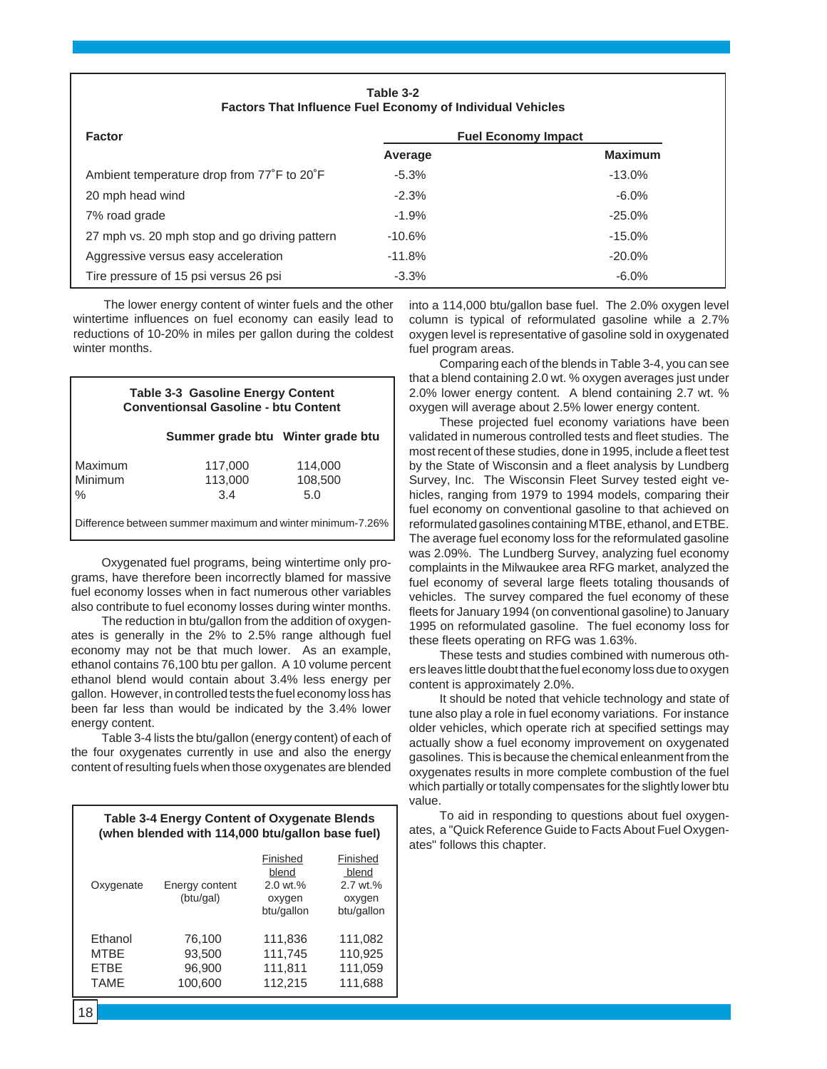| Table 3-2<br><b>Factors That Influence Fuel Economy of Individual Vehicles</b> |                            |                |  |
|--------------------------------------------------------------------------------|----------------------------|----------------|--|
| <b>Factor</b>                                                                  | <b>Fuel Economy Impact</b> |                |  |
|                                                                                | Average                    | <b>Maximum</b> |  |
| Ambient temperature drop from 77°F to 20°F                                     | $-5.3%$                    | $-13.0%$       |  |
| 20 mph head wind                                                               | $-2.3%$                    | $-6.0\%$       |  |
| 7% road grade                                                                  | $-1.9%$                    | $-25.0%$       |  |
| 27 mph vs. 20 mph stop and go driving pattern                                  | $-10.6%$                   | $-15.0%$       |  |
| Aggressive versus easy acceleration                                            | $-11.8%$                   | $-20.0\%$      |  |
| Tire pressure of 15 psi versus 26 psi                                          | $-3.3%$                    | $-6.0\%$       |  |

The lower energy content of winter fuels and the other wintertime influences on fuel economy can easily lead to reductions of 10-20% in miles per gallon during the coldest winter months.

| <b>Table 3-3 Gasoline Energy Content</b><br><b>Conventionsal Gasoline - btu Content</b> |                                   |                |  |
|-----------------------------------------------------------------------------------------|-----------------------------------|----------------|--|
|                                                                                         | Summer grade btu Winter grade btu |                |  |
| Maximum                                                                                 | 117,000                           | 114,000        |  |
| Minimum<br>$\%$                                                                         | 113,000<br>3.4                    | 108,500<br>5.0 |  |
| Difference between summer maximum and winter minimum-7.26%                              |                                   |                |  |

Oxygenated fuel programs, being wintertime only programs, have therefore been incorrectly blamed for massive fuel economy losses when in fact numerous other variables also contribute to fuel economy losses during winter months.

The reduction in btu/gallon from the addition of oxygenates is generally in the 2% to 2.5% range although fuel economy may not be that much lower. As an example, ethanol contains 76,100 btu per gallon. A 10 volume percent ethanol blend would contain about 3.4% less energy per gallon. However, in controlled tests the fuel economy loss has been far less than would be indicated by the 3.4% lower energy content.

Table 3-4 lists the btu/gallon (energy content) of each of the four oxygenates currently in use and also the energy content of resulting fuels when those oxygenates are blended

**Table 3-4 Energy Content of Oxygenate Blends**

| (when blended with 114,000 btu/gallon base fuel)     |                                       |                                                                  |                                                       |
|------------------------------------------------------|---------------------------------------|------------------------------------------------------------------|-------------------------------------------------------|
| Oxygenate                                            | Energy content<br>(btu/gal)           | Finished<br>blend<br>$2.0 \text{ wt.} %$<br>oxygen<br>btu/gallon | Finished<br>blend<br>2.7 wt.%<br>oxygen<br>btu/gallon |
| Ethanol<br><b>MTBE</b><br><b>ETBE</b><br><b>TAME</b> | 76,100<br>93,500<br>96,900<br>100,600 | 111,836<br>111,745<br>111,811<br>112,215                         | 111,082<br>110,925<br>111,059<br>111,688              |

into a 114,000 btu/gallon base fuel. The 2.0% oxygen level column is typical of reformulated gasoline while a 2.7% oxygen level is representative of gasoline sold in oxygenated fuel program areas.

Comparing each of the blends in Table 3-4, you can see that a blend containing 2.0 wt. % oxygen averages just under 2.0% lower energy content. A blend containing 2.7 wt. % oxygen will average about 2.5% lower energy content.

These projected fuel economy variations have been validated in numerous controlled tests and fleet studies. The most recent of these studies, done in 1995, include a fleet test by the State of Wisconsin and a fleet analysis by Lundberg Survey, Inc. The Wisconsin Fleet Survey tested eight vehicles, ranging from 1979 to 1994 models, comparing their fuel economy on conventional gasoline to that achieved on reformulated gasolines containing MTBE, ethanol, and ETBE. The average fuel economy loss for the reformulated gasoline was 2.09%. The Lundberg Survey, analyzing fuel economy complaints in the Milwaukee area RFG market, analyzed the fuel economy of several large fleets totaling thousands of vehicles. The survey compared the fuel economy of these fleets for January 1994 (on conventional gasoline) to January 1995 on reformulated gasoline. The fuel economy loss for these fleets operating on RFG was 1.63%.

These tests and studies combined with numerous others leaves little doubt that the fuel economy loss due to oxygen content is approximately 2.0%.

It should be noted that vehicle technology and state of tune also play a role in fuel economy variations. For instance older vehicles, which operate rich at specified settings may actually show a fuel economy improvement on oxygenated gasolines. This is because the chemical enleanment from the oxygenates results in more complete combustion of the fuel which partially or totally compensates for the slightly lower btu value.

To aid in responding to questions about fuel oxygenates, a "Quick Reference Guide to Facts About Fuel Oxygenates" follows this chapter.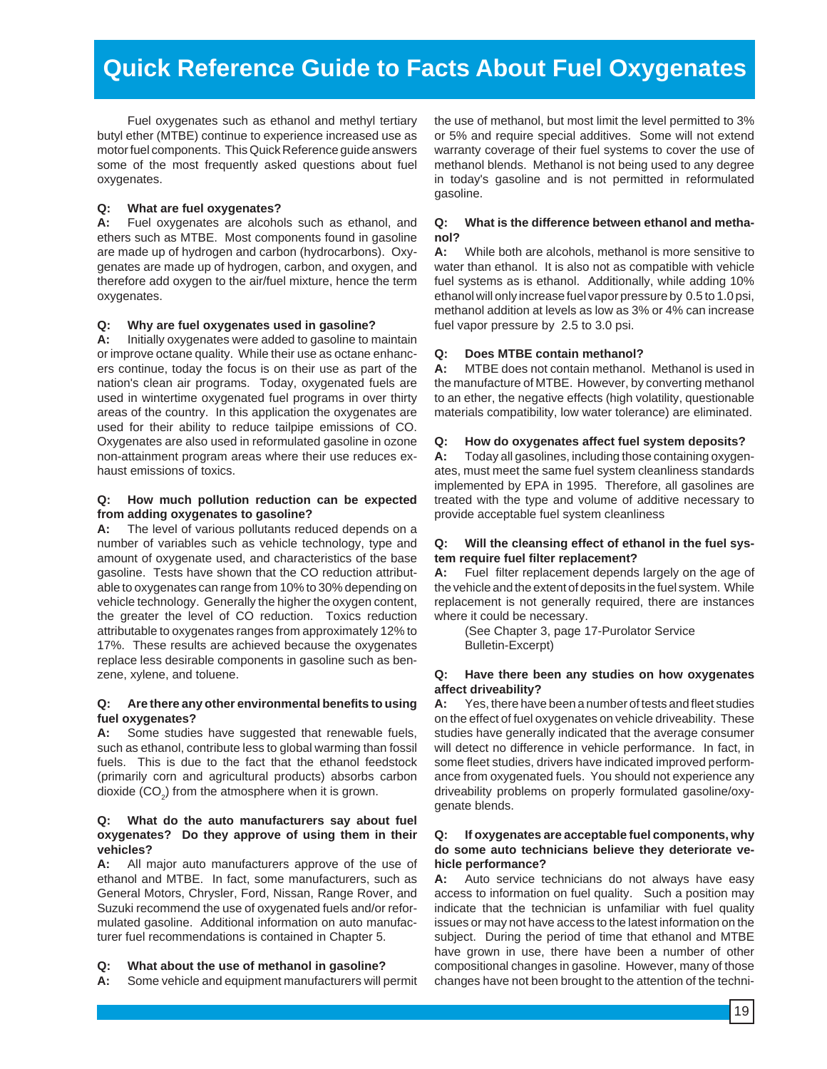# **Quick Reference Guide to Facts About Fuel Oxygenates**

Fuel oxygenates such as ethanol and methyl tertiary butyl ether (MTBE) continue to experience increased use as motor fuel components. This Quick Reference guide answers some of the most frequently asked questions about fuel oxygenates.

#### **Q: What are fuel oxygenates?**

**A:** Fuel oxygenates are alcohols such as ethanol, and ethers such as MTBE. Most components found in gasoline are made up of hydrogen and carbon (hydrocarbons). Oxygenates are made up of hydrogen, carbon, and oxygen, and therefore add oxygen to the air/fuel mixture, hence the term oxygenates.

#### **Q: Why are fuel oxygenates used in gasoline?**

**A:** Initially oxygenates were added to gasoline to maintain or improve octane quality. While their use as octane enhancers continue, today the focus is on their use as part of the nation's clean air programs. Today, oxygenated fuels are used in wintertime oxygenated fuel programs in over thirty areas of the country. In this application the oxygenates are used for their ability to reduce tailpipe emissions of CO. Oxygenates are also used in reformulated gasoline in ozone non-attainment program areas where their use reduces exhaust emissions of toxics.

#### **Q: How much pollution reduction can be expected from adding oxygenates to gasoline?**

**A:** The level of various pollutants reduced depends on a number of variables such as vehicle technology, type and amount of oxygenate used, and characteristics of the base gasoline. Tests have shown that the CO reduction attributable to oxygenates can range from 10% to 30% depending on vehicle technology. Generally the higher the oxygen content, the greater the level of CO reduction. Toxics reduction attributable to oxygenates ranges from approximately 12% to 17%. These results are achieved because the oxygenates replace less desirable components in gasoline such as benzene, xylene, and toluene.

#### **Q: Are there any other environmental benefits to using fuel oxygenates?**

**A:** Some studies have suggested that renewable fuels, such as ethanol, contribute less to global warming than fossil fuels. This is due to the fact that the ethanol feedstock (primarily corn and agricultural products) absorbs carbon dioxide (CO<sub>2</sub>) from the atmosphere when it is grown.

#### **Q: What do the auto manufacturers say about fuel oxygenates? Do they approve of using them in their vehicles?**

**A:** All major auto manufacturers approve of the use of ethanol and MTBE. In fact, some manufacturers, such as General Motors, Chrysler, Ford, Nissan, Range Rover, and Suzuki recommend the use of oxygenated fuels and/or reformulated gasoline. Additional information on auto manufacturer fuel recommendations is contained in Chapter 5.

#### **Q: What about the use of methanol in gasoline?**

**A:** Some vehicle and equipment manufacturers will permit

the use of methanol, but most limit the level permitted to 3% or 5% and require special additives. Some will not extend warranty coverage of their fuel systems to cover the use of methanol blends. Methanol is not being used to any degree in today's gasoline and is not permitted in reformulated gasoline.

#### **Q: What is the difference between ethanol and methanol?**

**A:** While both are alcohols, methanol is more sensitive to water than ethanol. It is also not as compatible with vehicle fuel systems as is ethanol. Additionally, while adding 10% ethanol will only increase fuel vapor pressure by 0.5 to 1.0 psi, methanol addition at levels as low as 3% or 4% can increase fuel vapor pressure by 2.5 to 3.0 psi.

#### **Q: Does MTBE contain methanol?**

**A:** MTBE does not contain methanol. Methanol is used in the manufacture of MTBE. However, by converting methanol to an ether, the negative effects (high volatility, questionable materials compatibility, low water tolerance) are eliminated.

#### **Q: How do oxygenates affect fuel system deposits?**

**A:** Today all gasolines, including those containing oxygenates, must meet the same fuel system cleanliness standards implemented by EPA in 1995. Therefore, all gasolines are treated with the type and volume of additive necessary to provide acceptable fuel system cleanliness

#### **Q: Will the cleansing effect of ethanol in the fuel system require fuel filter replacement?**

**A:** Fuel filter replacement depends largely on the age of the vehicle and the extent of deposits in the fuel system. While replacement is not generally required, there are instances where it could be necessary.

(See Chapter 3, page 17-Purolator Service Bulletin-Excerpt)

#### **Q: Have there been any studies on how oxygenates affect driveability?**

**A:** Yes, there have been a number of tests and fleet studies on the effect of fuel oxygenates on vehicle driveability. These studies have generally indicated that the average consumer will detect no difference in vehicle performance. In fact, in some fleet studies, drivers have indicated improved performance from oxygenated fuels. You should not experience any driveability problems on properly formulated gasoline/oxygenate blends.

#### **Q: If oxygenates are acceptable fuel components, why do some auto technicians believe they deteriorate vehicle performance?**

**A:** Auto service technicians do not always have easy access to information on fuel quality. Such a position may indicate that the technician is unfamiliar with fuel quality issues or may not have access to the latest information on the subject. During the period of time that ethanol and MTBE have grown in use, there have been a number of other compositional changes in gasoline. However, many of those changes have not been brought to the attention of the techni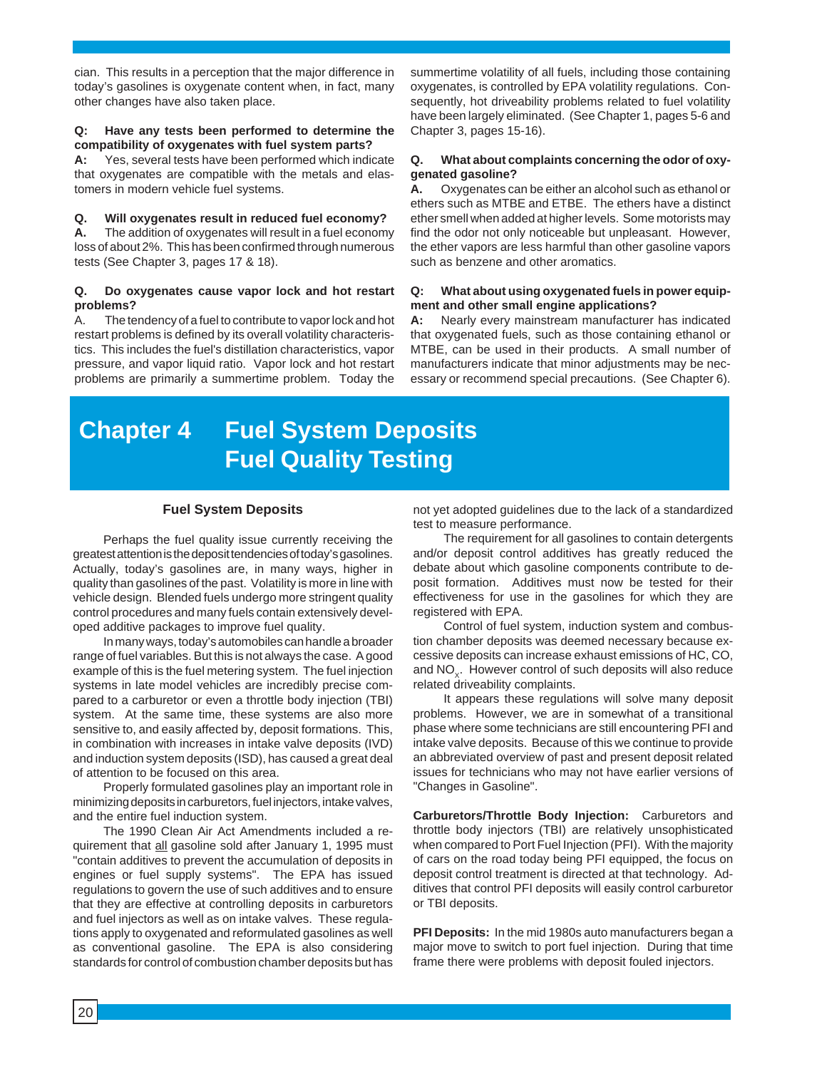cian. This results in a perception that the major difference in today's gasolines is oxygenate content when, in fact, many other changes have also taken place.

#### **Q: Have any tests been performed to determine the compatibility of oxygenates with fuel system parts?**

**A:** Yes, several tests have been performed which indicate that oxygenates are compatible with the metals and elastomers in modern vehicle fuel systems.

#### **Q. Will oxygenates result in reduced fuel economy?**

**A.** The addition of oxygenates will result in a fuel economy loss of about 2%. This has been confirmed through numerous tests (See Chapter 3, pages 17 & 18).

#### **Q. Do oxygenates cause vapor lock and hot restart problems?**

A. The tendency of a fuel to contribute to vapor lock and hot restart problems is defined by its overall volatility characteristics. This includes the fuel's distillation characteristics, vapor pressure, and vapor liquid ratio. Vapor lock and hot restart problems are primarily a summertime problem. Today the

summertime volatility of all fuels, including those containing oxygenates, is controlled by EPA volatility regulations. Consequently, hot driveability problems related to fuel volatility have been largely eliminated. (See Chapter 1, pages 5-6 and Chapter 3, pages 15-16).

#### **Q. What about complaints concerning the odor of oxygenated gasoline?**

**A.** Oxygenates can be either an alcohol such as ethanol or ethers such as MTBE and ETBE. The ethers have a distinct ether smell when added at higher levels. Some motorists may find the odor not only noticeable but unpleasant. However, the ether vapors are less harmful than other gasoline vapors such as benzene and other aromatics.

#### **Q: What about using oxygenated fuels in power equipment and other small engine applications?**

**A:** Nearly every mainstream manufacturer has indicated that oxygenated fuels, such as those containing ethanol or MTBE, can be used in their products. A small number of manufacturers indicate that minor adjustments may be necessary or recommend special precautions. (See Chapter 6).

# **Chapter 4 Fuel System Deposits Fuel Quality Testing**

#### **Fuel System Deposits**

Perhaps the fuel quality issue currently receiving the greatest attention is the deposit tendencies of today's gasolines. Actually, today's gasolines are, in many ways, higher in quality than gasolines of the past. Volatility is more in line with vehicle design. Blended fuels undergo more stringent quality control procedures and many fuels contain extensively developed additive packages to improve fuel quality.

In many ways, today's automobiles can handle a broader range of fuel variables. But this is not always the case. A good example of this is the fuel metering system. The fuel injection systems in late model vehicles are incredibly precise compared to a carburetor or even a throttle body injection (TBI) system. At the same time, these systems are also more sensitive to, and easily affected by, deposit formations. This, in combination with increases in intake valve deposits (IVD) and induction system deposits (ISD), has caused a great deal of attention to be focused on this area.

Properly formulated gasolines play an important role in minimizing deposits in carburetors, fuel injectors, intake valves, and the entire fuel induction system.

The 1990 Clean Air Act Amendments included a requirement that all gasoline sold after January 1, 1995 must "contain additives to prevent the accumulation of deposits in engines or fuel supply systems". The EPA has issued regulations to govern the use of such additives and to ensure that they are effective at controlling deposits in carburetors and fuel injectors as well as on intake valves. These regulations apply to oxygenated and reformulated gasolines as well as conventional gasoline. The EPA is also considering standards for control of combustion chamber deposits but has

not yet adopted guidelines due to the lack of a standardized test to measure performance.

The requirement for all gasolines to contain detergents and/or deposit control additives has greatly reduced the debate about which gasoline components contribute to deposit formation. Additives must now be tested for their effectiveness for use in the gasolines for which they are registered with EPA.

Control of fuel system, induction system and combustion chamber deposits was deemed necessary because excessive deposits can increase exhaust emissions of HC, CO, and NO<sub>y</sub>. However control of such deposits will also reduce related driveability complaints.

It appears these regulations will solve many deposit problems. However, we are in somewhat of a transitional phase where some technicians are still encountering PFI and intake valve deposits. Because of this we continue to provide an abbreviated overview of past and present deposit related issues for technicians who may not have earlier versions of "Changes in Gasoline".

**Carburetors/Throttle Body Injection:** Carburetors and throttle body injectors (TBI) are relatively unsophisticated when compared to Port Fuel Injection (PFI). With the majority of cars on the road today being PFI equipped, the focus on deposit control treatment is directed at that technology. Additives that control PFI deposits will easily control carburetor or TBI deposits.

**PFI Deposits:** In the mid 1980s auto manufacturers began a major move to switch to port fuel injection. During that time frame there were problems with deposit fouled injectors.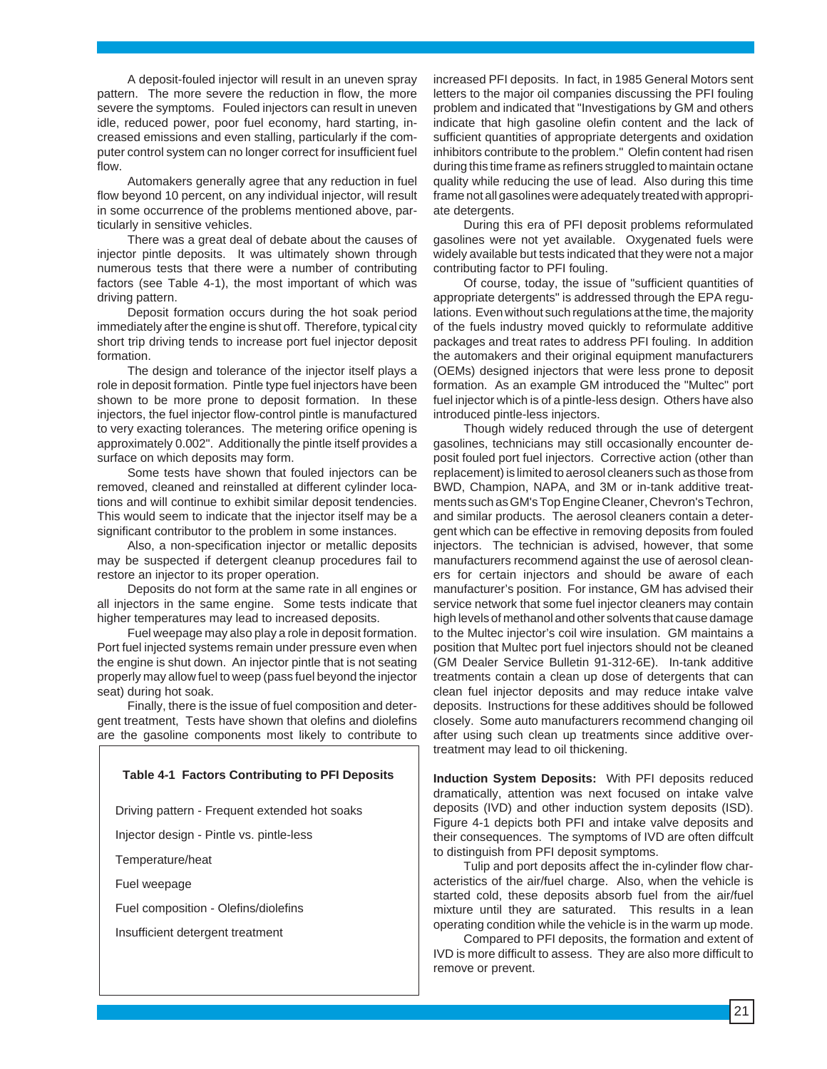A deposit-fouled injector will result in an uneven spray pattern. The more severe the reduction in flow, the more severe the symptoms. Fouled injectors can result in uneven idle, reduced power, poor fuel economy, hard starting, increased emissions and even stalling, particularly if the computer control system can no longer correct for insufficient fuel flow.

Automakers generally agree that any reduction in fuel flow beyond 10 percent, on any individual injector, will result in some occurrence of the problems mentioned above, particularly in sensitive vehicles.

There was a great deal of debate about the causes of injector pintle deposits. It was ultimately shown through numerous tests that there were a number of contributing factors (see Table 4-1), the most important of which was driving pattern.

Deposit formation occurs during the hot soak period immediately after the engine is shut off. Therefore, typical city short trip driving tends to increase port fuel injector deposit formation.

The design and tolerance of the injector itself plays a role in deposit formation. Pintle type fuel injectors have been shown to be more prone to deposit formation. In these injectors, the fuel injector flow-control pintle is manufactured to very exacting tolerances. The metering orifice opening is approximately 0.002". Additionally the pintle itself provides a surface on which deposits may form.

Some tests have shown that fouled injectors can be removed, cleaned and reinstalled at different cylinder locations and will continue to exhibit similar deposit tendencies. This would seem to indicate that the injector itself may be a significant contributor to the problem in some instances.

Also, a non-specification injector or metallic deposits may be suspected if detergent cleanup procedures fail to restore an injector to its proper operation.

Deposits do not form at the same rate in all engines or all injectors in the same engine. Some tests indicate that higher temperatures may lead to increased deposits.

Fuel weepage may also play a role in deposit formation. Port fuel injected systems remain under pressure even when the engine is shut down. An injector pintle that is not seating properly may allow fuel to weep (pass fuel beyond the injector seat) during hot soak.

Finally, there is the issue of fuel composition and detergent treatment, Tests have shown that olefins and diolefins are the gasoline components most likely to contribute to

#### **Table 4-1 Factors Contributing to PFI Deposits**

Driving pattern - Frequent extended hot soaks

Injector design - Pintle vs. pintle-less

Temperature/heat

Fuel weepage

Fuel composition - Olefins/diolefins

Insufficient detergent treatment

increased PFI deposits. In fact, in 1985 General Motors sent letters to the major oil companies discussing the PFI fouling problem and indicated that "Investigations by GM and others indicate that high gasoline olefin content and the lack of sufficient quantities of appropriate detergents and oxidation inhibitors contribute to the problem." Olefin content had risen during this time frame as refiners struggled to maintain octane quality while reducing the use of lead. Also during this time frame not all gasolines were adequately treated with appropriate detergents.

During this era of PFI deposit problems reformulated gasolines were not yet available. Oxygenated fuels were widely available but tests indicated that they were not a major contributing factor to PFI fouling.

Of course, today, the issue of "sufficient quantities of appropriate detergents" is addressed through the EPA regulations. Even without such regulations at the time, the majority of the fuels industry moved quickly to reformulate additive packages and treat rates to address PFI fouling. In addition the automakers and their original equipment manufacturers (OEMs) designed injectors that were less prone to deposit formation. As an example GM introduced the "Multec" port fuel injector which is of a pintle-less design. Others have also introduced pintle-less injectors.

Though widely reduced through the use of detergent gasolines, technicians may still occasionally encounter deposit fouled port fuel injectors. Corrective action (other than replacement) is limited to aerosol cleaners such as those from BWD, Champion, NAPA, and 3M or in-tank additive treatments such as GM's Top Engine Cleaner, Chevron's Techron, and similar products. The aerosol cleaners contain a detergent which can be effective in removing deposits from fouled injectors. The technician is advised, however, that some manufacturers recommend against the use of aerosol cleaners for certain injectors and should be aware of each manufacturer's position. For instance, GM has advised their service network that some fuel injector cleaners may contain high levels of methanol and other solvents that cause damage to the Multec injector's coil wire insulation. GM maintains a position that Multec port fuel injectors should not be cleaned (GM Dealer Service Bulletin 91-312-6E). In-tank additive treatments contain a clean up dose of detergents that can clean fuel injector deposits and may reduce intake valve deposits. Instructions for these additives should be followed closely. Some auto manufacturers recommend changing oil after using such clean up treatments since additive overtreatment may lead to oil thickening.

**Induction System Deposits:** With PFI deposits reduced dramatically, attention was next focused on intake valve deposits (IVD) and other induction system deposits (ISD). Figure 4-1 depicts both PFI and intake valve deposits and their consequences. The symptoms of IVD are often diffcult to distinguish from PFI deposit symptoms.

Tulip and port deposits affect the in-cylinder flow characteristics of the air/fuel charge. Also, when the vehicle is started cold, these deposits absorb fuel from the air/fuel mixture until they are saturated. This results in a lean operating condition while the vehicle is in the warm up mode.

Compared to PFI deposits, the formation and extent of IVD is more difficult to assess. They are also more difficult to remove or prevent.

21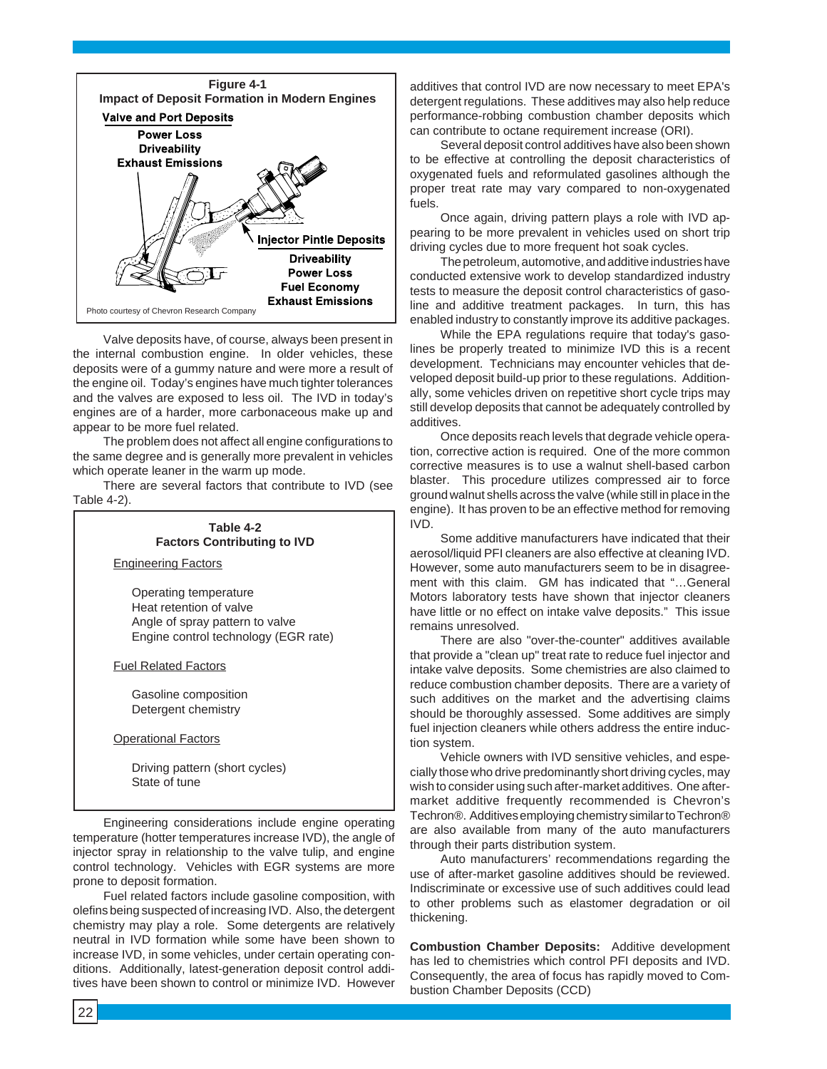

Valve deposits have, of course, always been present in the internal combustion engine. In older vehicles, these deposits were of a gummy nature and were more a result of the engine oil. Today's engines have much tighter tolerances and the valves are exposed to less oil. The IVD in today's engines are of a harder, more carbonaceous make up and appear to be more fuel related.

The problem does not affect all engine configurations to the same degree and is generally more prevalent in vehicles which operate leaner in the warm up mode.

There are several factors that contribute to IVD (see Table 4-2).



Engineering considerations include engine operating temperature (hotter temperatures increase IVD), the angle of injector spray in relationship to the valve tulip, and engine control technology. Vehicles with EGR systems are more prone to deposit formation.

Fuel related factors include gasoline composition, with olefins being suspected of increasing IVD. Also, the detergent chemistry may play a role. Some detergents are relatively neutral in IVD formation while some have been shown to increase IVD, in some vehicles, under certain operating conditions. Additionally, latest-generation deposit control additives have been shown to control or minimize IVD. However

additives that control IVD are now necessary to meet EPA's detergent regulations. These additives may also help reduce performance-robbing combustion chamber deposits which can contribute to octane requirement increase (ORI).

Several deposit control additives have also been shown to be effective at controlling the deposit characteristics of oxygenated fuels and reformulated gasolines although the proper treat rate may vary compared to non-oxygenated fuels.

Once again, driving pattern plays a role with IVD appearing to be more prevalent in vehicles used on short trip driving cycles due to more frequent hot soak cycles.

The petroleum, automotive, and additive industries have conducted extensive work to develop standardized industry tests to measure the deposit control characteristics of gasoline and additive treatment packages. In turn, this has enabled industry to constantly improve its additive packages.

While the EPA regulations require that today's gasolines be properly treated to minimize IVD this is a recent development. Technicians may encounter vehicles that developed deposit build-up prior to these regulations. Additionally, some vehicles driven on repetitive short cycle trips may still develop deposits that cannot be adequately controlled by additives.

Once deposits reach levels that degrade vehicle operation, corrective action is required. One of the more common corrective measures is to use a walnut shell-based carbon blaster. This procedure utilizes compressed air to force ground walnut shells across the valve (while still in place in the engine). It has proven to be an effective method for removing IVD.

Some additive manufacturers have indicated that their aerosol/liquid PFI cleaners are also effective at cleaning IVD. However, some auto manufacturers seem to be in disagreement with this claim. GM has indicated that "…General Motors laboratory tests have shown that injector cleaners have little or no effect on intake valve deposits." This issue remains unresolved.

There are also "over-the-counter" additives available that provide a "clean up" treat rate to reduce fuel injector and intake valve deposits. Some chemistries are also claimed to reduce combustion chamber deposits. There are a variety of such additives on the market and the advertising claims should be thoroughly assessed. Some additives are simply fuel injection cleaners while others address the entire induction system.

Vehicle owners with IVD sensitive vehicles, and especially those who drive predominantly short driving cycles, may wish to consider using such after-market additives. One aftermarket additive frequently recommended is Chevron's Techron®. Additives employing chemistry similar to Techron® are also available from many of the auto manufacturers through their parts distribution system.

Auto manufacturers' recommendations regarding the use of after-market gasoline additives should be reviewed. Indiscriminate or excessive use of such additives could lead to other problems such as elastomer degradation or oil thickening.

**Combustion Chamber Deposits:** Additive development has led to chemistries which control PFI deposits and IVD. Consequently, the area of focus has rapidly moved to Combustion Chamber Deposits (CCD)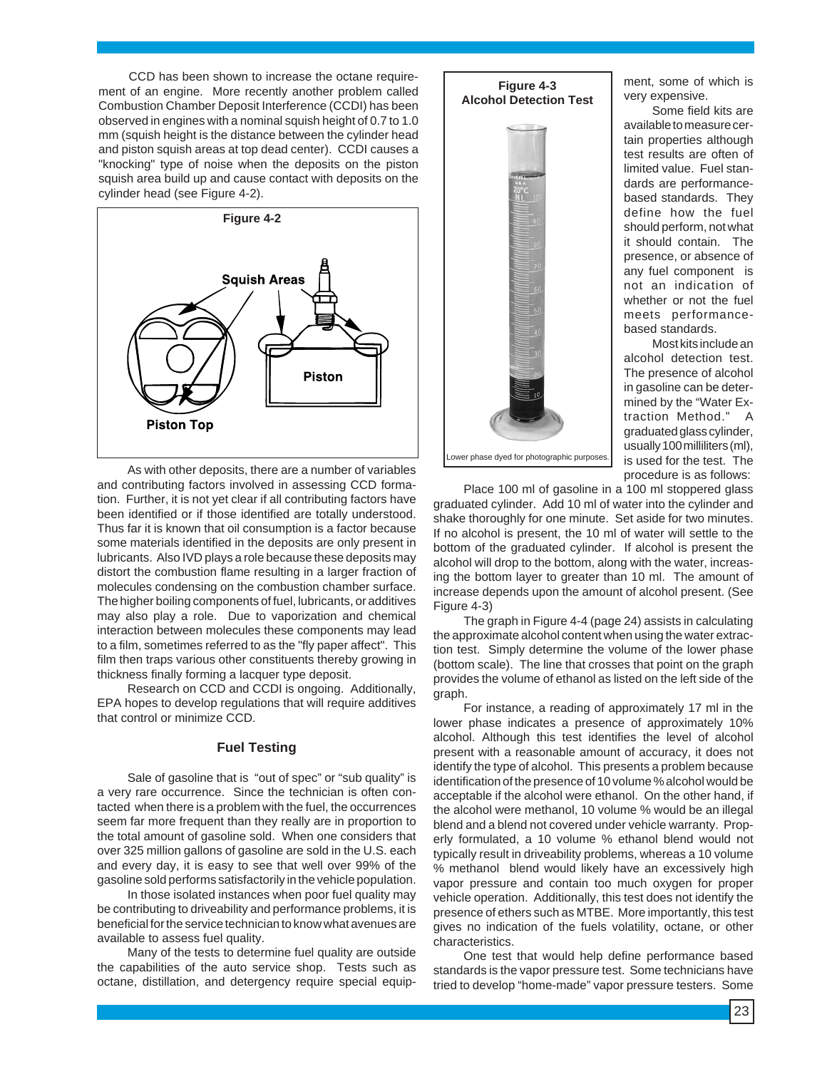CCD has been shown to increase the octane requirement of an engine. More recently another problem called Combustion Chamber Deposit Interference (CCDI) has been observed in engines with a nominal squish height of 0.7 to 1.0 mm (squish height is the distance between the cylinder head and piston squish areas at top dead center). CCDI causes a "knocking" type of noise when the deposits on the piston squish area build up and cause contact with deposits on the cylinder head (see Figure 4-2).



As with other deposits, there are a number of variables and contributing factors involved in assessing CCD formation. Further, it is not yet clear if all contributing factors have been identified or if those identified are totally understood. Thus far it is known that oil consumption is a factor because some materials identified in the deposits are only present in lubricants. Also IVD plays a role because these deposits may distort the combustion flame resulting in a larger fraction of molecules condensing on the combustion chamber surface. The higher boiling components of fuel, lubricants, or additives may also play a role. Due to vaporization and chemical interaction between molecules these components may lead to a film, sometimes referred to as the "fly paper affect". This film then traps various other constituents thereby growing in thickness finally forming a lacquer type deposit.

Research on CCD and CCDI is ongoing. Additionally, EPA hopes to develop regulations that will require additives that control or minimize CCD.

#### **Fuel Testing**

Sale of gasoline that is "out of spec" or "sub quality" is a very rare occurrence. Since the technician is often contacted when there is a problem with the fuel, the occurrences seem far more frequent than they really are in proportion to the total amount of gasoline sold. When one considers that over 325 million gallons of gasoline are sold in the U.S. each and every day, it is easy to see that well over 99% of the gasoline sold performs satisfactorily in the vehicle population.

In those isolated instances when poor fuel quality may be contributing to driveability and performance problems, it is beneficial for the service technician to know what avenues are available to assess fuel quality.

Many of the tests to determine fuel quality are outside the capabilities of the auto service shop. Tests such as octane, distillation, and detergency require special equip-



ment, some of which is very expensive.

Some field kits are available to measure certain properties although test results are often of limited value. Fuel standards are performancebased standards. They define how the fuel should perform, not what it should contain. The presence, or absence of any fuel component is not an indication of whether or not the fuel meets performancebased standards.

Most kits include an alcohol detection test. The presence of alcohol in gasoline can be determined by the "Water Extraction Method." A graduated glass cylinder, usually 100 milliliters (ml), is used for the test. The procedure is as follows:

Place 100 ml of gasoline in a 100 ml stoppered glass graduated cylinder. Add 10 ml of water into the cylinder and shake thoroughly for one minute. Set aside for two minutes. If no alcohol is present, the 10 ml of water will settle to the bottom of the graduated cylinder. If alcohol is present the alcohol will drop to the bottom, along with the water, increasing the bottom layer to greater than 10 ml. The amount of increase depends upon the amount of alcohol present. (See Figure 4-3)

The graph in Figure 4-4 (page 24) assists in calculating the approximate alcohol content when using the water extraction test. Simply determine the volume of the lower phase (bottom scale). The line that crosses that point on the graph provides the volume of ethanol as listed on the left side of the graph.

For instance, a reading of approximately 17 ml in the lower phase indicates a presence of approximately 10% alcohol. Although this test identifies the level of alcohol present with a reasonable amount of accuracy, it does not identify the type of alcohol. This presents a problem because identification of the presence of 10 volume % alcohol would be acceptable if the alcohol were ethanol. On the other hand, if the alcohol were methanol, 10 volume % would be an illegal blend and a blend not covered under vehicle warranty. Properly formulated, a 10 volume % ethanol blend would not typically result in driveability problems, whereas a 10 volume % methanol blend would likely have an excessively high vapor pressure and contain too much oxygen for proper vehicle operation. Additionally, this test does not identify the presence of ethers such as MTBE. More importantly, this test gives no indication of the fuels volatility, octane, or other characteristics.

One test that would help define performance based standards is the vapor pressure test. Some technicians have tried to develop "home-made" vapor pressure testers. Some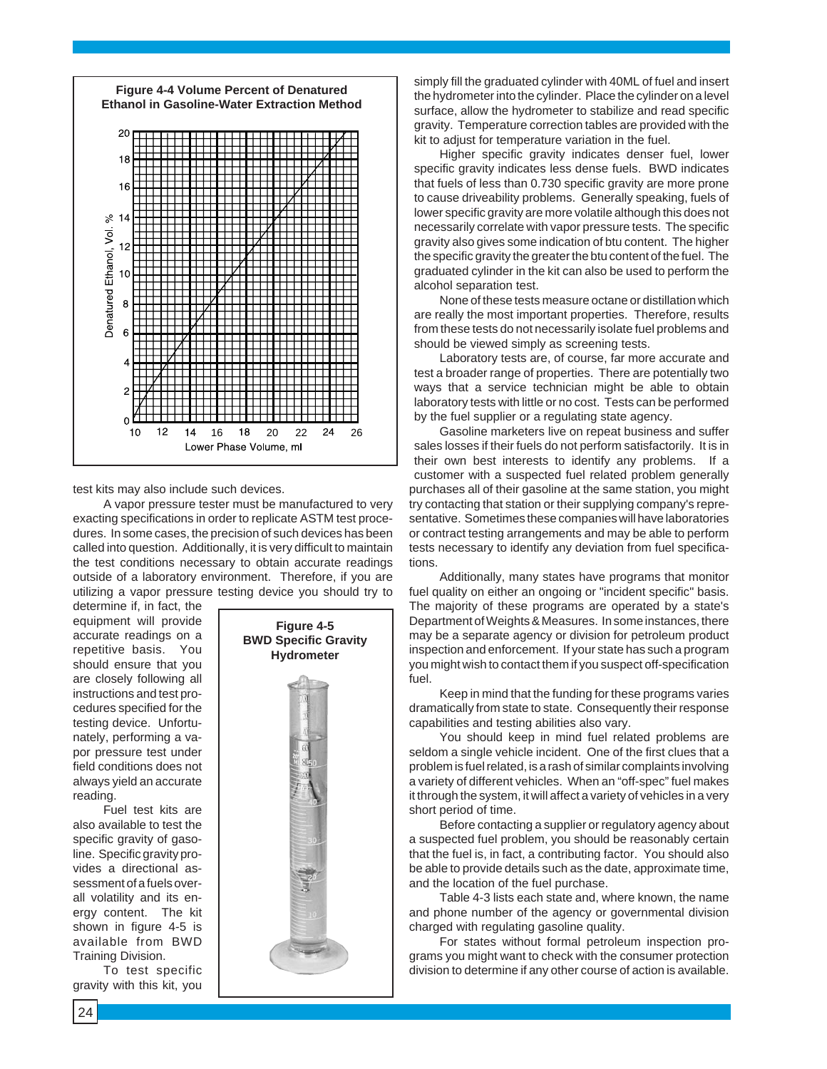

test kits may also include such devices.

A vapor pressure tester must be manufactured to very exacting specifications in order to replicate ASTM test procedures. In some cases, the precision of such devices has been called into question. Additionally, it is very difficult to maintain the test conditions necessary to obtain accurate readings outside of a laboratory environment. Therefore, if you are utilizing a vapor pressure testing device you should try to

determine if, in fact, the equipment will provide accurate readings on a repetitive basis. You should ensure that you are closely following all instructions and test procedures specified for the testing device. Unfortunately, performing a vapor pressure test under field conditions does not always yield an accurate reading.

Fuel test kits are also available to test the specific gravity of gasoline. Specific gravity provides a directional assessment of a fuels overall volatility and its energy content. The kit shown in figure 4-5 is available from BWD Training Division.

To test specific gravity with this kit, you



simply fill the graduated cylinder with 40ML of fuel and insert the hydrometer into the cylinder. Place the cylinder on a level surface, allow the hydrometer to stabilize and read specific gravity. Temperature correction tables are provided with the kit to adjust for temperature variation in the fuel.

Higher specific gravity indicates denser fuel, lower specific gravity indicates less dense fuels. BWD indicates that fuels of less than 0.730 specific gravity are more prone to cause driveability problems. Generally speaking, fuels of lower specific gravity are more volatile although this does not necessarily correlate with vapor pressure tests. The specific gravity also gives some indication of btu content. The higher the specific gravity the greater the btu content of the fuel. The graduated cylinder in the kit can also be used to perform the alcohol separation test.

None of these tests measure octane or distillation which are really the most important properties. Therefore, results from these tests do not necessarily isolate fuel problems and should be viewed simply as screening tests.

Laboratory tests are, of course, far more accurate and test a broader range of properties. There are potentially two ways that a service technician might be able to obtain laboratory tests with little or no cost. Tests can be performed by the fuel supplier or a regulating state agency.

Gasoline marketers live on repeat business and suffer sales losses if their fuels do not perform satisfactorily. It is in their own best interests to identify any problems. If a customer with a suspected fuel related problem generally purchases all of their gasoline at the same station, you might try contacting that station or their supplying company's representative. Sometimes these companies will have laboratories or contract testing arrangements and may be able to perform tests necessary to identify any deviation from fuel specifications.

Additionally, many states have programs that monitor fuel quality on either an ongoing or "incident specific" basis. The majority of these programs are operated by a state's Department of Weights & Measures. In some instances, there may be a separate agency or division for petroleum product inspection and enforcement. If your state has such a program you might wish to contact them if you suspect off-specification fuel.

Keep in mind that the funding for these programs varies dramatically from state to state. Consequently their response capabilities and testing abilities also vary.

You should keep in mind fuel related problems are seldom a single vehicle incident. One of the first clues that a problem is fuel related, is a rash of similar complaints involving a variety of different vehicles. When an "off-spec" fuel makes it through the system, it will affect a variety of vehicles in a very short period of time.

Before contacting a supplier or regulatory agency about a suspected fuel problem, you should be reasonably certain that the fuel is, in fact, a contributing factor. You should also be able to provide details such as the date, approximate time, and the location of the fuel purchase.

Table 4-3 lists each state and, where known, the name and phone number of the agency or governmental division charged with regulating gasoline quality.

For states without formal petroleum inspection programs you might want to check with the consumer protection division to determine if any other course of action is available.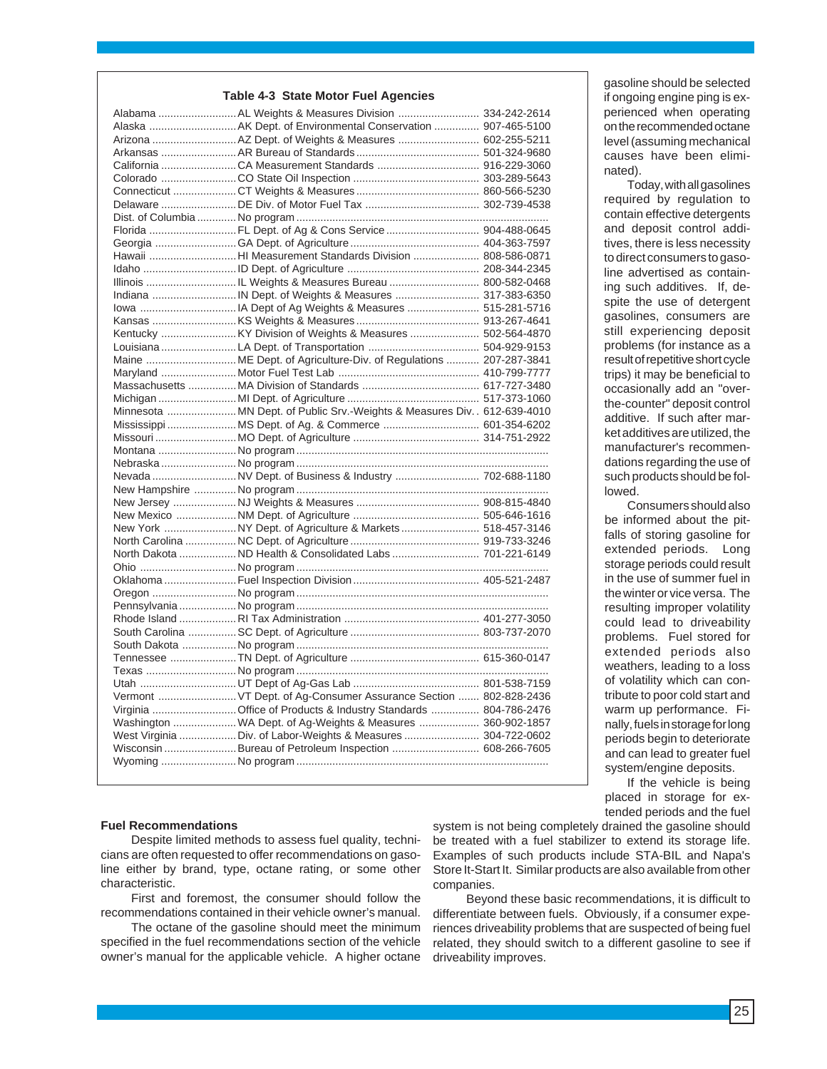#### **Table 4-3 State Motor Fuel Agencies**

| Alabama  AL Weights & Measures Division  334-242-2614                    |  |
|--------------------------------------------------------------------------|--|
| Alaska AK Dept. of Environmental Conservation  907-465-5100              |  |
| Arizona  AZ Dept. of Weights & Measures  602-255-5211                    |  |
|                                                                          |  |
|                                                                          |  |
|                                                                          |  |
|                                                                          |  |
|                                                                          |  |
|                                                                          |  |
| Florida FL Dept. of Ag & Cons Service  904-488-0645                      |  |
|                                                                          |  |
| Hawaii HI Measurement Standards Division  808-586-0871                   |  |
|                                                                          |  |
|                                                                          |  |
|                                                                          |  |
|                                                                          |  |
|                                                                          |  |
|                                                                          |  |
|                                                                          |  |
| Maine  ME Dept. of Agriculture-Div. of Regulations  207-287-3841         |  |
|                                                                          |  |
|                                                                          |  |
|                                                                          |  |
| Minnesota MN Dept. of Public Srv.-Weights & Measures Div. . 612-639-4010 |  |
| Mississippi  MS Dept. of Ag. & Commerce  601-354-6202                    |  |
|                                                                          |  |
|                                                                          |  |
|                                                                          |  |
| Nevada NV Dept. of Business & Industry  702-688-1180                     |  |
|                                                                          |  |
|                                                                          |  |
|                                                                          |  |
| New York NY Dept. of Agriculture & Markets  518-457-3146                 |  |
|                                                                          |  |
| North Dakota ND Health & Consolidated Labs  701-221-6149                 |  |
|                                                                          |  |
|                                                                          |  |
|                                                                          |  |
|                                                                          |  |
|                                                                          |  |
|                                                                          |  |
|                                                                          |  |
|                                                                          |  |
|                                                                          |  |
|                                                                          |  |
| Vermont  VT Dept. of Ag-Consumer Assurance Section  802-828-2436         |  |
| Virginia Office of Products & Industry Standards  804-786-2476           |  |
| Washington  WA Dept. of Ag-Weights & Measures  360-902-1857              |  |
| West Virginia Div. of Labor-Weights & Measures  304-722-0602             |  |
| Wisconsin Bureau of Petroleum Inspection  608-266-7605                   |  |
|                                                                          |  |
|                                                                          |  |

gasoline should be selected if ongoing engine ping is experienced when operating on the recommended octane level (assuming mechanical causes have been eliminated).

Today, with all gasolines required by regulation to contain effective detergents and deposit control additives, there is less necessity to direct consumers to gasoline advertised as containing such additives. If, despite the use of detergent gasolines, consumers are still experiencing deposit problems (for instance as a result of repetitive short cycle trips) it may be beneficial to occasionally add an "overthe-counter" deposit control additive. If such after market additives are utilized, the manufacturer's recommendations regarding the use of such products should be followed.

Consumers should also be informed about the pitfalls of storing gasoline for extended periods. Long storage periods could result in the use of summer fuel in the winter or vice versa. The resulting improper volatility could lead to driveability problems. Fuel stored for extended periods also weathers, leading to a loss of volatility which can contribute to poor cold start and warm up performance. Finally, fuels in storage for long periods begin to deteriorate and can lead to greater fuel system/engine deposits.

If the vehicle is being placed in storage for extended periods and the fuel

#### **Fuel Recommendations**

Despite limited methods to assess fuel quality, technicians are often requested to offer recommendations on gasoline either by brand, type, octane rating, or some other characteristic.

First and foremost, the consumer should follow the recommendations contained in their vehicle owner's manual.

The octane of the gasoline should meet the minimum specified in the fuel recommendations section of the vehicle owner's manual for the applicable vehicle. A higher octane system is not being completely drained the gasoline should be treated with a fuel stabilizer to extend its storage life. Examples of such products include STA-BIL and Napa's Store It-Start It. Similar products are also available from other companies.

Beyond these basic recommendations, it is difficult to differentiate between fuels. Obviously, if a consumer experiences driveability problems that are suspected of being fuel related, they should switch to a different gasoline to see if driveability improves.

25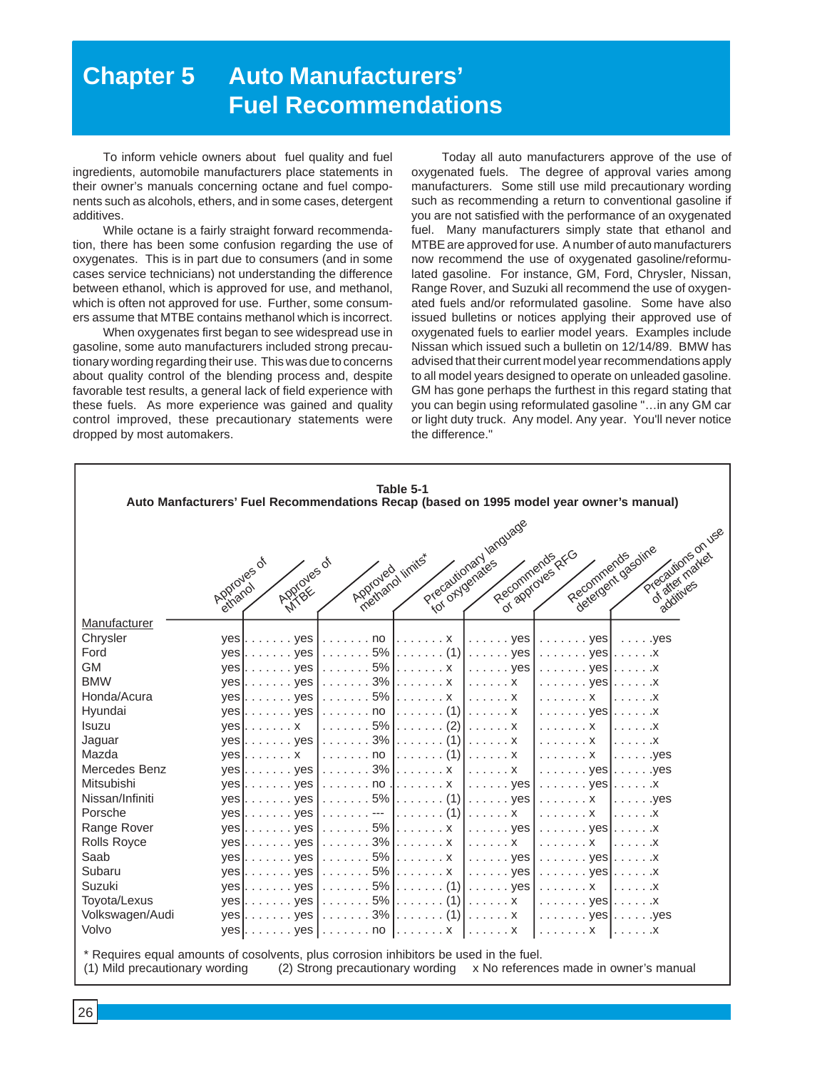# **Chapter 5 Auto Manufacturers' Fuel Recommendations**

To inform vehicle owners about fuel quality and fuel ingredients, automobile manufacturers place statements in their owner's manuals concerning octane and fuel components such as alcohols, ethers, and in some cases, detergent additives.

While octane is a fairly straight forward recommendation, there has been some confusion regarding the use of oxygenates. This is in part due to consumers (and in some cases service technicians) not understanding the difference between ethanol, which is approved for use, and methanol, which is often not approved for use. Further, some consumers assume that MTBE contains methanol which is incorrect.

When oxygenates first began to see widespread use in gasoline, some auto manufacturers included strong precautionary wording regarding their use. This was due to concerns about quality control of the blending process and, despite favorable test results, a general lack of field experience with these fuels. As more experience was gained and quality control improved, these precautionary statements were dropped by most automakers.

Today all auto manufacturers approve of the use of oxygenated fuels. The degree of approval varies among manufacturers. Some still use mild precautionary wording such as recommending a return to conventional gasoline if you are not satisfied with the performance of an oxygenated fuel. Many manufacturers simply state that ethanol and MTBE are approved for use. A number of auto manufacturers now recommend the use of oxygenated gasoline/reformulated gasoline. For instance, GM, Ford, Chrysler, Nissan, Range Rover, and Suzuki all recommend the use of oxygenated fuels and/or reformulated gasoline. Some have also issued bulletins or notices applying their approved use of oxygenated fuels to earlier model years. Examples include Nissan which issued such a bulletin on 12/14/89. BMW has advised that their current model year recommendations apply to all model years designed to operate on unleaded gasoline. GM has gone perhaps the furthest in this regard stating that you can begin using reformulated gasoline "…in any GM car or light duty truck. Any model. Any year. You'll never notice the difference."

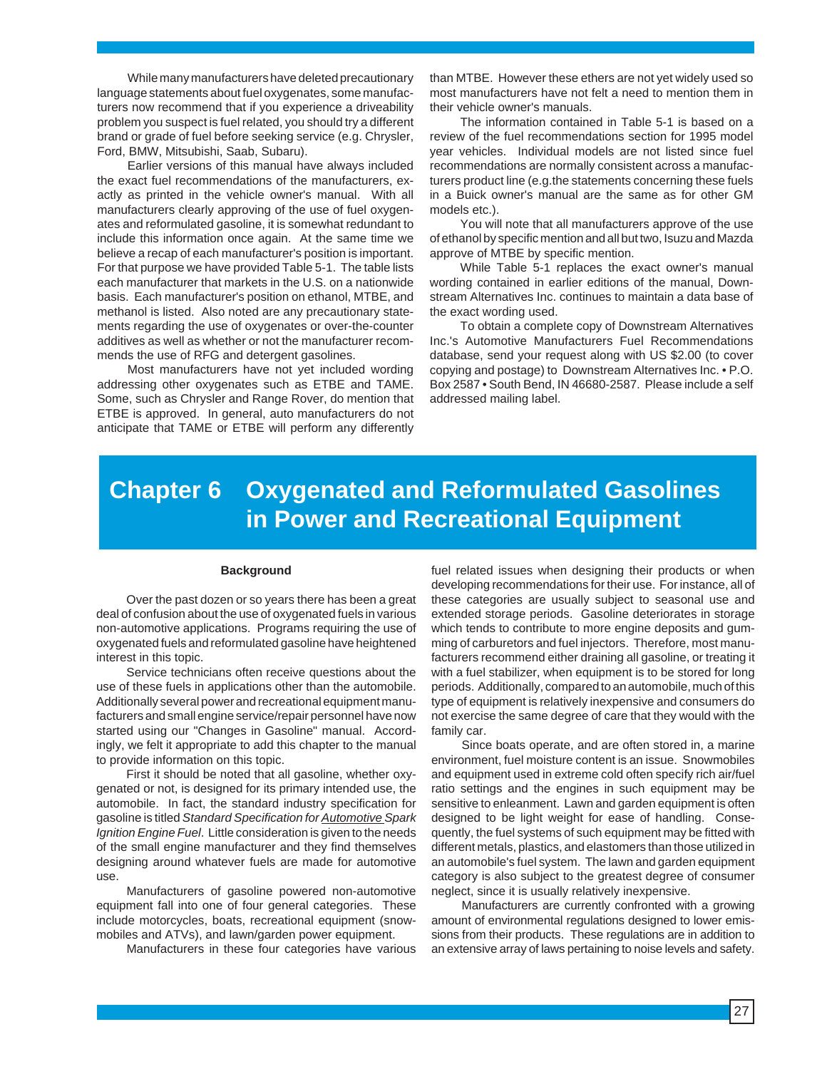While many manufacturers have deleted precautionary language statements about fuel oxygenates, some manufacturers now recommend that if you experience a driveability problem you suspect is fuel related, you should try a different brand or grade of fuel before seeking service (e.g. Chrysler, Ford, BMW, Mitsubishi, Saab, Subaru).

Earlier versions of this manual have always included the exact fuel recommendations of the manufacturers, exactly as printed in the vehicle owner's manual. With all manufacturers clearly approving of the use of fuel oxygenates and reformulated gasoline, it is somewhat redundant to include this information once again. At the same time we believe a recap of each manufacturer's position is important. For that purpose we have provided Table 5-1. The table lists each manufacturer that markets in the U.S. on a nationwide basis. Each manufacturer's position on ethanol, MTBE, and methanol is listed. Also noted are any precautionary statements regarding the use of oxygenates or over-the-counter additives as well as whether or not the manufacturer recommends the use of RFG and detergent gasolines.

Most manufacturers have not yet included wording addressing other oxygenates such as ETBE and TAME. Some, such as Chrysler and Range Rover, do mention that ETBE is approved. In general, auto manufacturers do not anticipate that TAME or ETBE will perform any differently

than MTBE. However these ethers are not yet widely used so most manufacturers have not felt a need to mention them in their vehicle owner's manuals.

The information contained in Table 5-1 is based on a review of the fuel recommendations section for 1995 model year vehicles. Individual models are not listed since fuel recommendations are normally consistent across a manufacturers product line (e.g.the statements concerning these fuels in a Buick owner's manual are the same as for other GM models etc.).

You will note that all manufacturers approve of the use of ethanol by specific mention and all but two, Isuzu and Mazda approve of MTBE by specific mention.

While Table 5-1 replaces the exact owner's manual wording contained in earlier editions of the manual, Downstream Alternatives Inc. continues to maintain a data base of the exact wording used.

To obtain a complete copy of Downstream Alternatives Inc.'s Automotive Manufacturers Fuel Recommendations database, send your request along with US \$2.00 (to cover copying and postage) to Downstream Alternatives Inc. • P.O. Box 2587 • South Bend, IN 46680-2587. Please include a self addressed mailing label.

# **Chapter 6 Oxygenated and Reformulated Gasolines in Power and Recreational Equipment**

#### **Background**

Over the past dozen or so years there has been a great deal of confusion about the use of oxygenated fuels in various non-automotive applications. Programs requiring the use of oxygenated fuels and reformulated gasoline have heightened interest in this topic.

Service technicians often receive questions about the use of these fuels in applications other than the automobile. Additionally several power and recreational equipment manufacturers and small engine service/repair personnel have now started using our "Changes in Gasoline" manual. Accordingly, we felt it appropriate to add this chapter to the manual to provide information on this topic.

First it should be noted that all gasoline, whether oxygenated or not, is designed for its primary intended use, the automobile. In fact, the standard industry specification for gasoline is titled Standard Specification for **Automotive Spark** Ignition Engine Fuel. Little consideration is given to the needs of the small engine manufacturer and they find themselves designing around whatever fuels are made for automotive use.

Manufacturers of gasoline powered non-automotive equipment fall into one of four general categories. These include motorcycles, boats, recreational equipment (snowmobiles and ATVs), and lawn/garden power equipment.

Manufacturers in these four categories have various

fuel related issues when designing their products or when developing recommendations for their use. For instance, all of these categories are usually subject to seasonal use and extended storage periods. Gasoline deteriorates in storage which tends to contribute to more engine deposits and gumming of carburetors and fuel injectors. Therefore, most manufacturers recommend either draining all gasoline, or treating it with a fuel stabilizer, when equipment is to be stored for long periods. Additionally, compared to an automobile, much of this type of equipment is relatively inexpensive and consumers do not exercise the same degree of care that they would with the family car.

Since boats operate, and are often stored in, a marine environment, fuel moisture content is an issue. Snowmobiles and equipment used in extreme cold often specify rich air/fuel ratio settings and the engines in such equipment may be sensitive to enleanment. Lawn and garden equipment is often designed to be light weight for ease of handling. Consequently, the fuel systems of such equipment may be fitted with different metals, plastics, and elastomers than those utilized in an automobile's fuel system. The lawn and garden equipment category is also subject to the greatest degree of consumer neglect, since it is usually relatively inexpensive.

Manufacturers are currently confronted with a growing amount of environmental regulations designed to lower emissions from their products. These regulations are in addition to an extensive array of laws pertaining to noise levels and safety.

27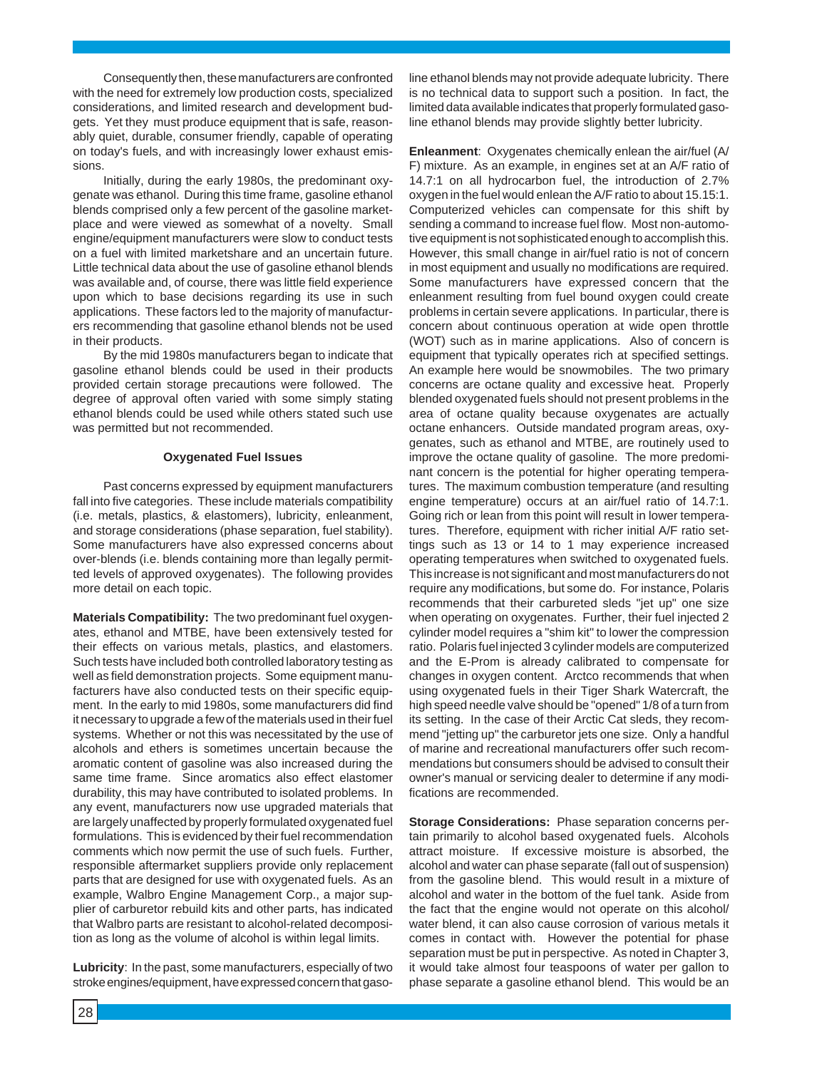Consequently then, these manufacturers are confronted with the need for extremely low production costs, specialized considerations, and limited research and development budgets. Yet they must produce equipment that is safe, reasonably quiet, durable, consumer friendly, capable of operating on today's fuels, and with increasingly lower exhaust emissions.

Initially, during the early 1980s, the predominant oxygenate was ethanol. During this time frame, gasoline ethanol blends comprised only a few percent of the gasoline marketplace and were viewed as somewhat of a novelty. Small engine/equipment manufacturers were slow to conduct tests on a fuel with limited marketshare and an uncertain future. Little technical data about the use of gasoline ethanol blends was available and, of course, there was little field experience upon which to base decisions regarding its use in such applications. These factors led to the majority of manufacturers recommending that gasoline ethanol blends not be used in their products.

By the mid 1980s manufacturers began to indicate that gasoline ethanol blends could be used in their products provided certain storage precautions were followed. The degree of approval often varied with some simply stating ethanol blends could be used while others stated such use was permitted but not recommended.

#### **Oxygenated Fuel Issues**

Past concerns expressed by equipment manufacturers fall into five categories. These include materials compatibility (i.e. metals, plastics, & elastomers), lubricity, enleanment, and storage considerations (phase separation, fuel stability). Some manufacturers have also expressed concerns about over-blends (i.e. blends containing more than legally permitted levels of approved oxygenates). The following provides more detail on each topic.

**Materials Compatibility:** The two predominant fuel oxygenates, ethanol and MTBE, have been extensively tested for their effects on various metals, plastics, and elastomers. Such tests have included both controlled laboratory testing as well as field demonstration projects. Some equipment manufacturers have also conducted tests on their specific equipment. In the early to mid 1980s, some manufacturers did find it necessary to upgrade a few of the materials used in their fuel systems. Whether or not this was necessitated by the use of alcohols and ethers is sometimes uncertain because the aromatic content of gasoline was also increased during the same time frame. Since aromatics also effect elastomer durability, this may have contributed to isolated problems. In any event, manufacturers now use upgraded materials that are largely unaffected by properly formulated oxygenated fuel formulations. This is evidenced by their fuel recommendation comments which now permit the use of such fuels. Further, responsible aftermarket suppliers provide only replacement parts that are designed for use with oxygenated fuels. As an example, Walbro Engine Management Corp., a major supplier of carburetor rebuild kits and other parts, has indicated that Walbro parts are resistant to alcohol-related decomposition as long as the volume of alcohol is within legal limits.

**Lubricity**: In the past, some manufacturers, especially of two stroke engines/equipment, have expressed concern that gasoline ethanol blends may not provide adequate lubricity. There is no technical data to support such a position. In fact, the limited data available indicates that properly formulated gasoline ethanol blends may provide slightly better lubricity.

**Enleanment**: Oxygenates chemically enlean the air/fuel (A/ F) mixture. As an example, in engines set at an A/F ratio of 14.7:1 on all hydrocarbon fuel, the introduction of 2.7% oxygen in the fuel would enlean the A/F ratio to about 15.15:1. Computerized vehicles can compensate for this shift by sending a command to increase fuel flow. Most non-automotive equipment is not sophisticated enough to accomplish this. However, this small change in air/fuel ratio is not of concern in most equipment and usually no modifications are required. Some manufacturers have expressed concern that the enleanment resulting from fuel bound oxygen could create problems in certain severe applications. In particular, there is concern about continuous operation at wide open throttle (WOT) such as in marine applications. Also of concern is equipment that typically operates rich at specified settings. An example here would be snowmobiles. The two primary concerns are octane quality and excessive heat. Properly blended oxygenated fuels should not present problems in the area of octane quality because oxygenates are actually octane enhancers. Outside mandated program areas, oxygenates, such as ethanol and MTBE, are routinely used to improve the octane quality of gasoline. The more predominant concern is the potential for higher operating temperatures. The maximum combustion temperature (and resulting engine temperature) occurs at an air/fuel ratio of 14.7:1. Going rich or lean from this point will result in lower temperatures. Therefore, equipment with richer initial A/F ratio settings such as 13 or 14 to 1 may experience increased operating temperatures when switched to oxygenated fuels. This increase is not significant and most manufacturers do not require any modifications, but some do. For instance, Polaris recommends that their carbureted sleds "jet up" one size when operating on oxygenates. Further, their fuel injected 2 cylinder model requires a "shim kit" to lower the compression ratio. Polaris fuel injected 3 cylinder models are computerized and the E-Prom is already calibrated to compensate for changes in oxygen content. Arctco recommends that when using oxygenated fuels in their Tiger Shark Watercraft, the high speed needle valve should be "opened" 1/8 of a turn from its setting. In the case of their Arctic Cat sleds, they recommend "jetting up" the carburetor jets one size. Only a handful of marine and recreational manufacturers offer such recommendations but consumers should be advised to consult their owner's manual or servicing dealer to determine if any modifications are recommended.

**Storage Considerations:** Phase separation concerns pertain primarily to alcohol based oxygenated fuels. Alcohols attract moisture. If excessive moisture is absorbed, the alcohol and water can phase separate (fall out of suspension) from the gasoline blend. This would result in a mixture of alcohol and water in the bottom of the fuel tank. Aside from the fact that the engine would not operate on this alcohol/ water blend, it can also cause corrosion of various metals it comes in contact with. However the potential for phase separation must be put in perspective. As noted in Chapter 3, it would take almost four teaspoons of water per gallon to phase separate a gasoline ethanol blend. This would be an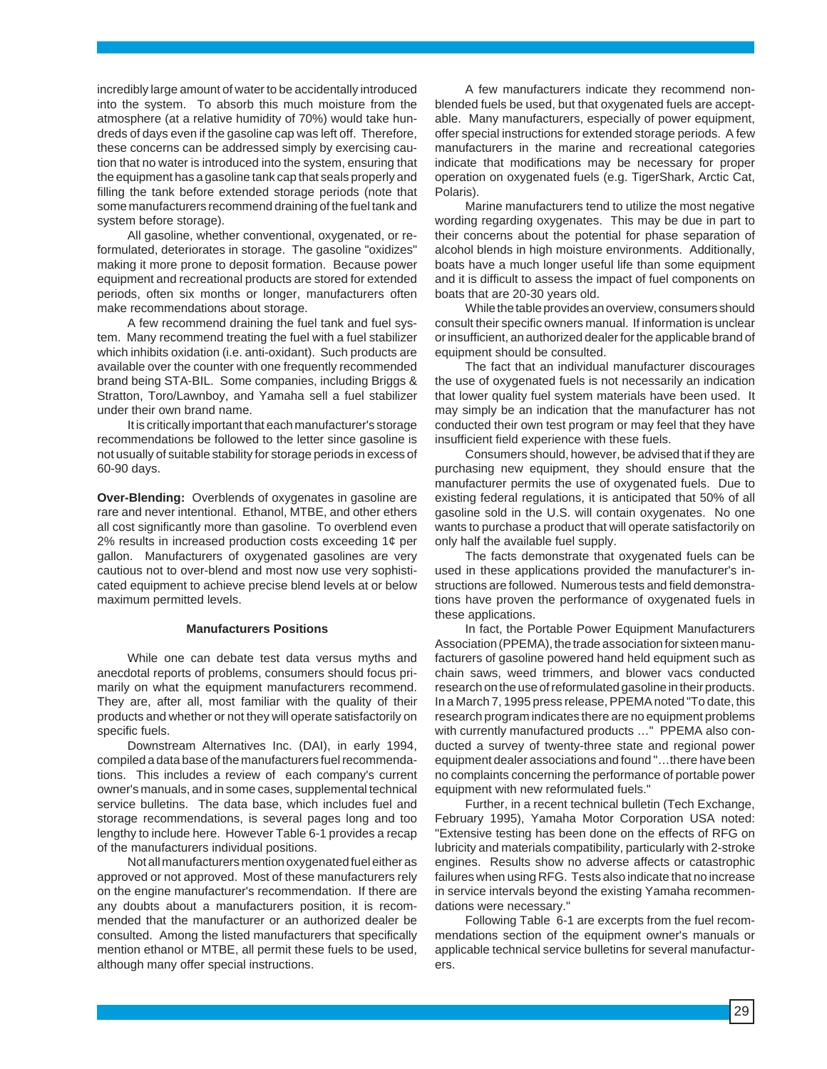incredibly large amount of water to be accidentally introduced into the system. To absorb this much moisture from the atmosphere (at a relative humidity of 70%) would take hundreds of days even if the gasoline cap was left off. Therefore, these concerns can be addressed simply by exercising caution that no water is introduced into the system, ensuring that the equipment has a gasoline tank cap that seals properly and filling the tank before extended storage periods (note that some manufacturers recommend draining of the fuel tank and system before storage).

All gasoline, whether conventional, oxygenated, or reformulated, deteriorates in storage. The gasoline "oxidizes" making it more prone to deposit formation. Because power equipment and recreational products are stored for extended periods, often six months or longer, manufacturers often make recommendations about storage.

A few recommend draining the fuel tank and fuel system. Many recommend treating the fuel with a fuel stabilizer which inhibits oxidation (i.e. anti-oxidant). Such products are available over the counter with one frequently recommended brand being STA-BIL. Some companies, including Briggs & Stratton, Toro/Lawnboy, and Yamaha sell a fuel stabilizer under their own brand name.

It is critically important that each manufacturer's storage recommendations be followed to the letter since gasoline is not usually of suitable stability for storage periods in excess of 60-90 days.

**Over-Blending:** Overblends of oxygenates in gasoline are rare and never intentional. Ethanol, MTBE, and other ethers all cost significantly more than gasoline. To overblend even 2% results in increased production costs exceeding 1¢ per gallon. Manufacturers of oxygenated gasolines are very cautious not to over-blend and most now use very sophisticated equipment to achieve precise blend levels at or below maximum permitted levels.

#### **Manufacturers Positions**

While one can debate test data versus myths and anecdotal reports of problems, consumers should focus primarily on what the equipment manufacturers recommend. They are, after all, most familiar with the quality of their products and whether or not they will operate satisfactorily on specific fuels.

Downstream Alternatives Inc. (DAI), in early 1994, compiled a data base of the manufacturers fuel recommendations. This includes a review of each company's current owner's manuals, and in some cases, supplemental technical service bulletins. The data base, which includes fuel and storage recommendations, is several pages long and too lengthy to include here. However Table 6-1 provides a recap of the manufacturers individual positions.

Not all manufacturers mention oxygenated fuel either as approved or not approved. Most of these manufacturers rely on the engine manufacturer's recommendation. If there are any doubts about a manufacturers position, it is recommended that the manufacturer or an authorized dealer be consulted. Among the listed manufacturers that specifically mention ethanol or MTBE, all permit these fuels to be used, although many offer special instructions.

A few manufacturers indicate they recommend nonblended fuels be used, but that oxygenated fuels are acceptable. Many manufacturers, especially of power equipment, offer special instructions for extended storage periods. A few manufacturers in the marine and recreational categories indicate that modifications may be necessary for proper operation on oxygenated fuels (e.g. TigerShark, Arctic Cat, Polaris).

Marine manufacturers tend to utilize the most negative wording regarding oxygenates. This may be due in part to their concerns about the potential for phase separation of alcohol blends in high moisture environments. Additionally, boats have a much longer useful life than some equipment and it is difficult to assess the impact of fuel components on boats that are 20-30 years old.

While the table provides an overview, consumers should consult their specific owners manual. If information is unclear or insufficient, an authorized dealer for the applicable brand of equipment should be consulted.

The fact that an individual manufacturer discourages the use of oxygenated fuels is not necessarily an indication that lower quality fuel system materials have been used. It may simply be an indication that the manufacturer has not conducted their own test program or may feel that they have insufficient field experience with these fuels.

Consumers should, however, be advised that if they are purchasing new equipment, they should ensure that the manufacturer permits the use of oxygenated fuels. Due to existing federal regulations, it is anticipated that 50% of all gasoline sold in the U.S. will contain oxygenates. No one wants to purchase a product that will operate satisfactorily on only half the available fuel supply.

The facts demonstrate that oxygenated fuels can be used in these applications provided the manufacturer's instructions are followed. Numerous tests and field demonstrations have proven the performance of oxygenated fuels in these applications.

In fact, the Portable Power Equipment Manufacturers Association (PPEMA), the trade association for sixteen manufacturers of gasoline powered hand held equipment such as chain saws, weed trimmers, and blower vacs conducted research on the use of reformulated gasoline in their products. In a March 7, 1995 press release, PPEMA noted "To date, this research program indicates there are no equipment problems with currently manufactured products …" PPEMA also conducted a survey of twenty-three state and regional power equipment dealer associations and found "…there have been no complaints concerning the performance of portable power equipment with new reformulated fuels."

Further, in a recent technical bulletin (Tech Exchange, February 1995), Yamaha Motor Corporation USA noted: "Extensive testing has been done on the effects of RFG on lubricity and materials compatibility, particularly with 2-stroke engines. Results show no adverse affects or catastrophic failures when using RFG. Tests also indicate that no increase in service intervals beyond the existing Yamaha recommendations were necessary."

Following Table 6-1 are excerpts from the fuel recommendations section of the equipment owner's manuals or applicable technical service bulletins for several manufacturers.

29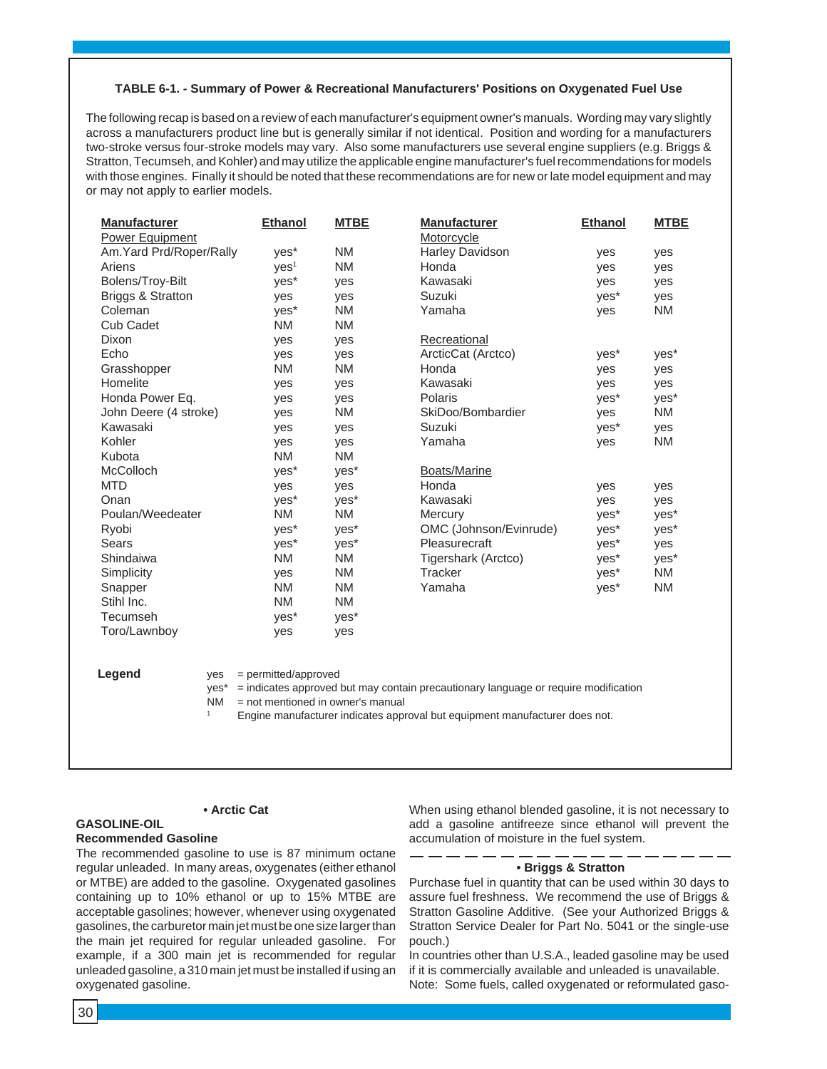#### **TABLE 6-1. - Summary of Power & Recreational Manufacturers' Positions on Oxygenated Fuel Use**

The following recap is based on a review of each manufacturer's equipment owner's manuals. Wording may vary slightly across a manufacturers product line but is generally similar if not identical. Position and wording for a manufacturers two-stroke versus four-stroke models may vary. Also some manufacturers use several engine suppliers (e.g. Briggs & Stratton, Tecumseh, and Kohler) and may utilize the applicable engine manufacturer's fuel recommendations for models with those engines. Finally it should be noted that these recommendations are for new or late model equipment and may or may not apply to earlier models.

| <b>Manufacturer</b>          | <b>Ethanol</b>                    | <b>MTBE</b> | <b>Manufacturer</b>                                                                 | <b>Ethanol</b> | <b>MTBE</b> |
|------------------------------|-----------------------------------|-------------|-------------------------------------------------------------------------------------|----------------|-------------|
| <b>Power Equipment</b>       |                                   |             | Motorcycle                                                                          |                |             |
| Am.Yard Prd/Roper/Rally      | yes*                              | <b>NM</b>   | <b>Harley Davidson</b>                                                              | yes            | yes         |
| Ariens                       | VES <sup>1</sup>                  | <b>NM</b>   | Honda                                                                               | yes            | yes         |
| Bolens/Troy-Bilt             | yes*                              | yes         | Kawasaki                                                                            | yes            | yes         |
| <b>Briggs &amp; Stratton</b> | yes                               | yes         | Suzuki                                                                              | yes*           | yes         |
| Coleman                      | yes*                              | <b>NM</b>   | Yamaha                                                                              | yes            | <b>NM</b>   |
| <b>Cub Cadet</b>             | <b>NM</b>                         | <b>NM</b>   |                                                                                     |                |             |
| Dixon                        | ves                               | yes         | Recreational                                                                        |                |             |
| Echo                         | yes                               | yes         | ArcticCat (Arctco)                                                                  | yes*           | yes*        |
| Grasshopper                  | <b>NM</b>                         | <b>NM</b>   | Honda                                                                               | yes            | yes         |
| Homelite                     | yes                               | yes         | Kawasaki                                                                            | yes            | yes         |
| Honda Power Eq.              | yes                               | yes         | Polaris                                                                             | yes*           | yes*        |
| John Deere (4 stroke)        | yes                               | <b>NM</b>   | SkiDoo/Bombardier                                                                   | yes            | <b>NM</b>   |
| Kawasaki                     | yes                               | yes         | Suzuki                                                                              | yes*           | yes         |
| Kohler                       | yes                               | yes         | Yamaha                                                                              | yes            | <b>NM</b>   |
| Kubota                       | <b>NM</b>                         | <b>NM</b>   |                                                                                     |                |             |
| McColloch                    | yes*                              | yes*        | Boats/Marine                                                                        |                |             |
| <b>MTD</b>                   | yes                               | yes         | Honda                                                                               | yes            | yes         |
| Onan                         | yes*                              | yes*        | Kawasaki                                                                            | yes            | yes         |
| Poulan/Weedeater             | <b>NM</b>                         | <b>NM</b>   | Mercury                                                                             | yes*           | yes*        |
| Ryobi                        | yes*                              | yes*        | OMC (Johnson/Evinrude)                                                              | yes*           | yes*        |
| <b>Sears</b>                 | yes*                              | yes*        | Pleasurecraft                                                                       | yes*           | yes         |
| Shindaiwa                    | <b>NM</b>                         | <b>NM</b>   | Tigershark (Arctco)                                                                 | yes*           | yes*        |
| Simplicity                   | yes                               | <b>NM</b>   | Tracker                                                                             | yes*           | <b>NM</b>   |
| Snapper                      | <b>NM</b>                         | <b>NM</b>   | Yamaha                                                                              | yes*           | <b>NM</b>   |
| Stihl Inc.                   | <b>NM</b>                         | <b>NM</b>   |                                                                                     |                |             |
| Tecumseh                     | yes*                              | yes*        |                                                                                     |                |             |
| Toro/Lawnboy                 | yes                               | yes         |                                                                                     |                |             |
|                              |                                   |             |                                                                                     |                |             |
|                              |                                   |             |                                                                                     |                |             |
| Legend<br>yes                | = permitted/approved              |             |                                                                                     |                |             |
| yes*                         |                                   |             | = indicates approved but may contain precautionary language or require modification |                |             |
| <b>NM</b>                    | = not mentioned in owner's manual |             |                                                                                     |                |             |
| $\mathbf{1}$                 |                                   |             | Engine manufacturer indicates approval but equipment manufacturer does not.         |                |             |

#### **GASOLINE-OIL**

#### **Recommended Gasoline**

The recommended gasoline to use is 87 minimum octane regular unleaded. In many areas, oxygenates (either ethanol or MTBE) are added to the gasoline. Oxygenated gasolines containing up to 10% ethanol or up to 15% MTBE are acceptable gasolines; however, whenever using oxygenated gasolines, the carburetor main jet must be one size larger than the main jet required for regular unleaded gasoline. For example, if a 300 main jet is recommended for regular unleaded gasoline, a 310 main jet must be installed if using an oxygenated gasoline.

**• Arctic Cat**

When using ethanol blended gasoline, it is not necessary to add a gasoline antifreeze since ethanol will prevent the accumulation of moisture in the fuel system.

#### **• Briggs & Stratton**

Purchase fuel in quantity that can be used within 30 days to assure fuel freshness. We recommend the use of Briggs & Stratton Gasoline Additive. (See your Authorized Briggs & Stratton Service Dealer for Part No. 5041 or the single-use pouch.)

In countries other than U.S.A., leaded gasoline may be used if it is commercially available and unleaded is unavailable. Note: Some fuels, called oxygenated or reformulated gaso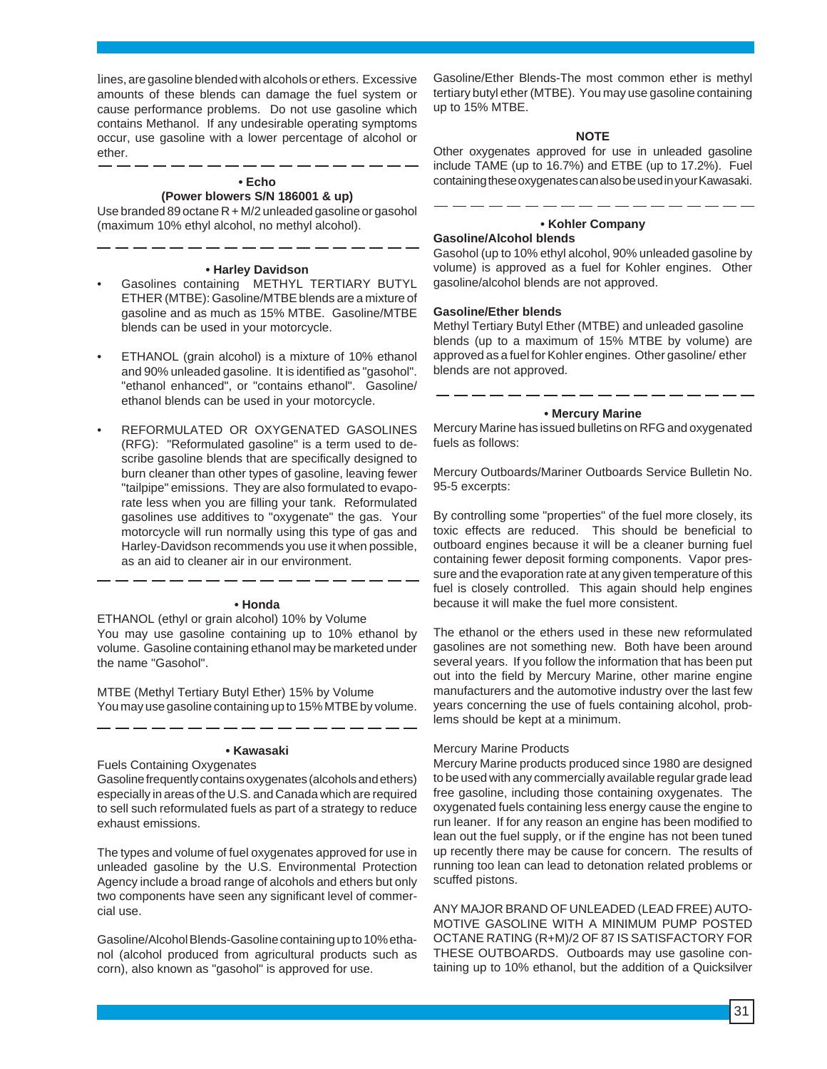lines, are gasoline blended with alcohols or ethers. Excessive amounts of these blends can damage the fuel system or cause performance problems. Do not use gasoline which contains Methanol. If any undesirable operating symptoms occur, use gasoline with a lower percentage of alcohol or ether.

#### **• Echo (Power blowers S/N 186001 & up)**

Use branded 89 octane R + M/2 unleaded gasoline or gasohol (maximum 10% ethyl alcohol, no methyl alcohol).

#### **• Harley Davidson**

- Gasolines containing METHYL TERTIARY BUTYL ETHER (MTBE): Gasoline/MTBE blends are a mixture of gasoline and as much as 15% MTBE. Gasoline/MTBE blends can be used in your motorcycle.
- ETHANOL (grain alcohol) is a mixture of 10% ethanol and 90% unleaded gasoline. It is identified as "gasohol". "ethanol enhanced", or "contains ethanol". Gasoline/ ethanol blends can be used in your motorcycle.
- REFORMULATED OR OXYGENATED GASOLINES (RFG): "Reformulated gasoline" is a term used to describe gasoline blends that are specifically designed to burn cleaner than other types of gasoline, leaving fewer "tailpipe" emissions. They are also formulated to evaporate less when you are filling your tank. Reformulated gasolines use additives to "oxygenate" the gas. Your motorcycle will run normally using this type of gas and Harley-Davidson recommends you use it when possible, as an aid to cleaner air in our environment.

#### **• Honda**

ETHANOL (ethyl or grain alcohol) 10% by Volume You may use gasoline containing up to 10% ethanol by volume. Gasoline containing ethanol may be marketed under the name "Gasohol".

MTBE (Methyl Tertiary Butyl Ether) 15% by Volume You may use gasoline containing up to 15% MTBE by volume.

#### **• Kawasaki**

Fuels Containing Oxygenates Gasoline frequently contains oxygenates (alcohols and ethers) especially in areas of the U.S. and Canada which are required to sell such reformulated fuels as part of a strategy to reduce exhaust emissions.

The types and volume of fuel oxygenates approved for use in unleaded gasoline by the U.S. Environmental Protection Agency include a broad range of alcohols and ethers but only two components have seen any significant level of commercial use.

Gasoline/Alcohol Blends-Gasoline containing up to 10% ethanol (alcohol produced from agricultural products such as corn), also known as "gasohol" is approved for use.

Gasoline/Ether Blends-The most common ether is methyl tertiary butyl ether (MTBE). You may use gasoline containing up to 15% MTBE.

#### **NOTE**

Other oxygenates approved for use in unleaded gasoline include TAME (up to 16.7%) and ETBE (up to 17.2%). Fuel containing these oxygenates can also be used in your Kawasaki.

## **• Kohler Company**

#### **Gasoline/Alcohol blends**

Gasohol (up to 10% ethyl alcohol, 90% unleaded gasoline by volume) is approved as a fuel for Kohler engines. Other gasoline/alcohol blends are not approved.

#### **Gasoline/Ether blends**

Methyl Tertiary Butyl Ether (MTBE) and unleaded gasoline blends (up to a maximum of 15% MTBE by volume) are approved as a fuel for Kohler engines. Other gasoline/ ether blends are not approved.

### - - - -**• Mercury Marine**

Mercury Marine has issued bulletins on RFG and oxygenated fuels as follows:

Mercury Outboards/Mariner Outboards Service Bulletin No. 95-5 excerpts:

By controlling some "properties" of the fuel more closely, its toxic effects are reduced. This should be beneficial to outboard engines because it will be a cleaner burning fuel containing fewer deposit forming components. Vapor pressure and the evaporation rate at any given temperature of this fuel is closely controlled. This again should help engines because it will make the fuel more consistent.

The ethanol or the ethers used in these new reformulated gasolines are not something new. Both have been around several years. If you follow the information that has been put out into the field by Mercury Marine, other marine engine manufacturers and the automotive industry over the last few years concerning the use of fuels containing alcohol, problems should be kept at a minimum.

#### Mercury Marine Products

Mercury Marine products produced since 1980 are designed to be used with any commercially available regular grade lead free gasoline, including those containing oxygenates. The oxygenated fuels containing less energy cause the engine to run leaner. If for any reason an engine has been modified to lean out the fuel supply, or if the engine has not been tuned up recently there may be cause for concern. The results of running too lean can lead to detonation related problems or scuffed pistons.

ANY MAJOR BRAND OF UNLEADED (LEAD FREE) AUTO-MOTIVE GASOLINE WITH A MINIMUM PUMP POSTED OCTANE RATING (R+M)/2 OF 87 IS SATISFACTORY FOR THESE OUTBOARDS. Outboards may use gasoline containing up to 10% ethanol, but the addition of a Quicksilver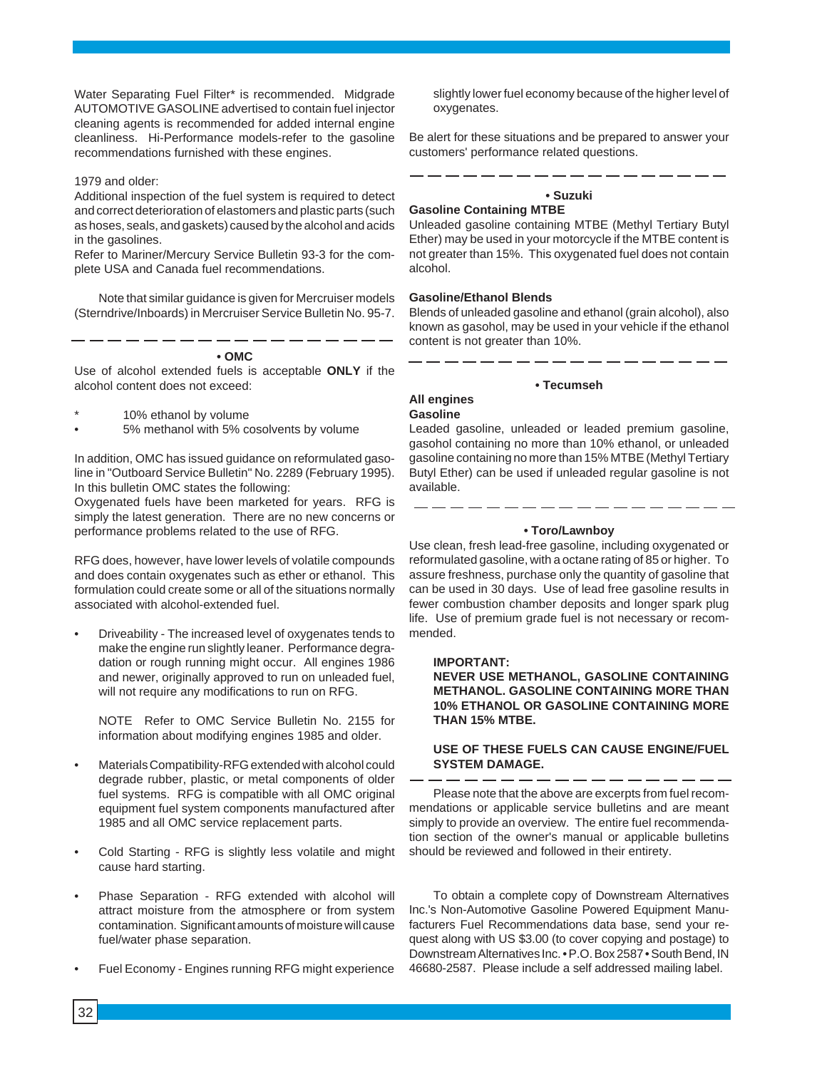Water Separating Fuel Filter\* is recommended. Midgrade AUTOMOTIVE GASOLINE advertised to contain fuel injector cleaning agents is recommended for added internal engine cleanliness. Hi-Performance models-refer to the gasoline recommendations furnished with these engines.

#### 1979 and older:

Additional inspection of the fuel system is required to detect and correct deterioration of elastomers and plastic parts (such as hoses, seals, and gaskets) caused by the alcohol and acids in the gasolines.

Refer to Mariner/Mercury Service Bulletin 93-3 for the complete USA and Canada fuel recommendations.

Note that similar guidance is given for Mercruiser models (Sterndrive/Inboards) in Mercruiser Service Bulletin No. 95-7.

#### **• OMC**

Use of alcohol extended fuels is acceptable **ONLY** if the alcohol content does not exceed:

- 10% ethanol by volume
- 5% methanol with 5% cosolvents by volume

In addition, OMC has issued guidance on reformulated gasoline in "Outboard Service Bulletin" No. 2289 (February 1995). In this bulletin OMC states the following:

Oxygenated fuels have been marketed for years. RFG is simply the latest generation. There are no new concerns or performance problems related to the use of RFG.

RFG does, however, have lower levels of volatile compounds and does contain oxygenates such as ether or ethanol. This formulation could create some or all of the situations normally associated with alcohol-extended fuel.

• Driveability - The increased level of oxygenates tends to make the engine run slightly leaner. Performance degradation or rough running might occur. All engines 1986 and newer, originally approved to run on unleaded fuel, will not require any modifications to run on RFG.

NOTE Refer to OMC Service Bulletin No. 2155 for information about modifying engines 1985 and older.

- Materials Compatibility-RFG extended with alcohol could degrade rubber, plastic, or metal components of older fuel systems. RFG is compatible with all OMC original equipment fuel system components manufactured after 1985 and all OMC service replacement parts.
- Cold Starting RFG is slightly less volatile and might cause hard starting.
- Phase Separation RFG extended with alcohol will attract moisture from the atmosphere or from system contamination. Significant amounts of moisture will cause fuel/water phase separation.
- Fuel Economy Engines running RFG might experience

slightly lower fuel economy because of the higher level of oxygenates.

Be alert for these situations and be prepared to answer your customers' performance related questions.

#### **• Suzuki**

### **Gasoline Containing MTBE**

Unleaded gasoline containing MTBE (Methyl Tertiary Butyl Ether) may be used in your motorcycle if the MTBE content is not greater than 15%. This oxygenated fuel does not contain alcohol.

#### **Gasoline/Ethanol Blends**

Blends of unleaded gasoline and ethanol (grain alcohol), also known as gasohol, may be used in your vehicle if the ethanol content is not greater than 10%.

#### **• Tecumseh**

#### **All engines Gasoline**

Leaded gasoline, unleaded or leaded premium gasoline, gasohol containing no more than 10% ethanol, or unleaded gasoline containing no more than 15% MTBE (Methyl Tertiary Butyl Ether) can be used if unleaded regular gasoline is not available.

#### **• Toro/Lawnboy**

- - - - - - - - - - - -

Use clean, fresh lead-free gasoline, including oxygenated or reformulated gasoline, with a octane rating of 85 or higher. To assure freshness, purchase only the quantity of gasoline that can be used in 30 days. Use of lead free gasoline results in fewer combustion chamber deposits and longer spark plug life. Use of premium grade fuel is not necessary or recommended.

#### **IMPORTANT:**

**NEVER USE METHANOL, GASOLINE CONTAINING METHANOL. GASOLINE CONTAINING MORE THAN 10% ETHANOL OR GASOLINE CONTAINING MORE THAN 15% MTBE.**

#### **USE OF THESE FUELS CAN CAUSE ENGINE/FUEL SYSTEM DAMAGE.**

Please note that the above are excerpts from fuel recommendations or applicable service bulletins and are meant simply to provide an overview. The entire fuel recommendation section of the owner's manual or applicable bulletins should be reviewed and followed in their entirety.

To obtain a complete copy of Downstream Alternatives Inc.'s Non-Automotive Gasoline Powered Equipment Manufacturers Fuel Recommendations data base, send your request along with US \$3.00 (to cover copying and postage) to Downstream Alternatives Inc. • P.O. Box 2587 • South Bend, IN 46680-2587. Please include a self addressed mailing label.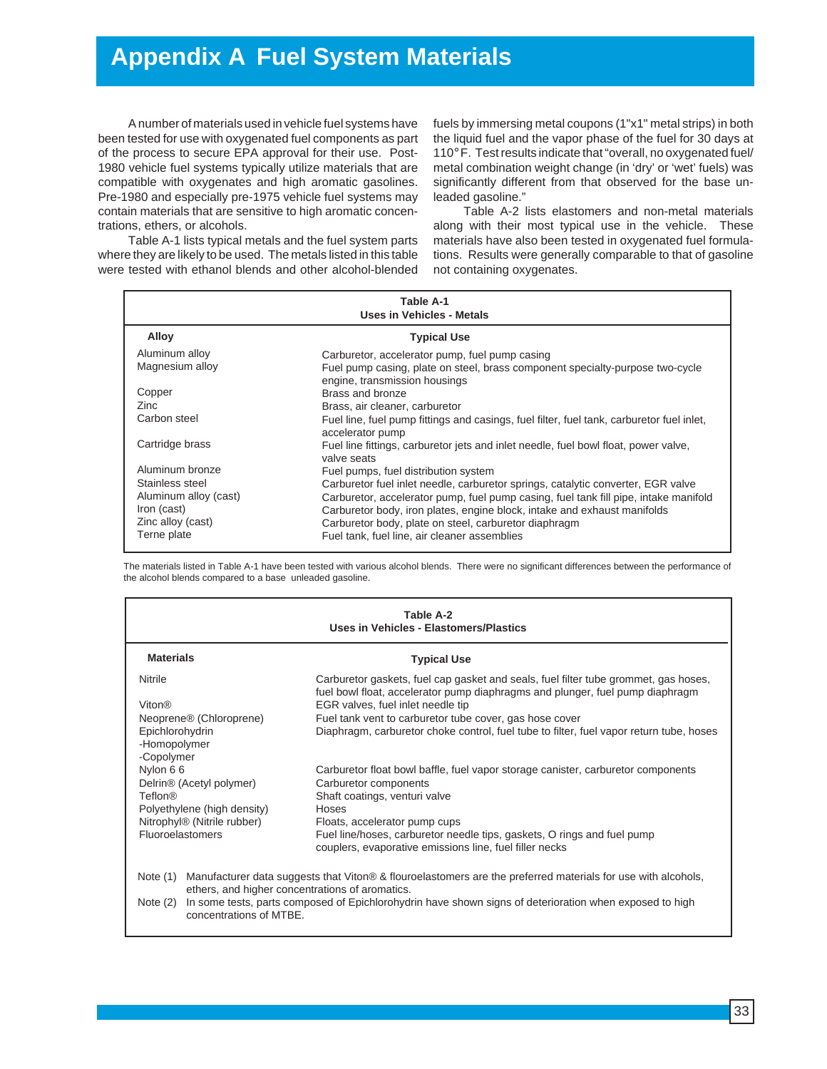# **Appendix A Fuel System Materials**

A number of materials used in vehicle fuel systems have been tested for use with oxygenated fuel components as part of the process to secure EPA approval for their use. Post-1980 vehicle fuel systems typically utilize materials that are compatible with oxygenates and high aromatic gasolines. Pre-1980 and especially pre-1975 vehicle fuel systems may contain materials that are sensitive to high aromatic concentrations, ethers, or alcohols.

Table A-1 lists typical metals and the fuel system parts where they are likely to be used. The metals listed in this table were tested with ethanol blends and other alcohol-blended fuels by immersing metal coupons (1"x1" metal strips) in both the liquid fuel and the vapor phase of the fuel for 30 days at 110° F. Test results indicate that "overall, no oxygenated fuel/ metal combination weight change (in 'dry' or 'wet' fuels) was significantly different from that observed for the base unleaded gasoline."

Table A-2 lists elastomers and non-metal materials along with their most typical use in the vehicle. These materials have also been tested in oxygenated fuel formulations. Results were generally comparable to that of gasoline not containing oxygenates.

| Table A-1<br>Uses in Vehicles - Metals |                                                                                                                |  |  |
|----------------------------------------|----------------------------------------------------------------------------------------------------------------|--|--|
| Alloy                                  | <b>Typical Use</b>                                                                                             |  |  |
| Aluminum alloy                         | Carburetor, accelerator pump, fuel pump casing                                                                 |  |  |
| Magnesium alloy                        | Fuel pump casing, plate on steel, brass component specialty-purpose two-cycle<br>engine, transmission housings |  |  |
| Copper                                 | Brass and bronze                                                                                               |  |  |
| Zinc                                   | Brass, air cleaner, carburetor                                                                                 |  |  |
| Carbon steel                           | Fuel line, fuel pump fittings and casings, fuel filter, fuel tank, carburetor fuel inlet,<br>accelerator pump  |  |  |
| Cartridge brass                        | Fuel line fittings, carburetor jets and inlet needle, fuel bowl float, power valve,<br>valve seats             |  |  |
| Aluminum bronze                        | Fuel pumps, fuel distribution system                                                                           |  |  |
| Stainless steel                        | Carburetor fuel inlet needle, carburetor springs, catalytic converter, EGR valve                               |  |  |
| Aluminum alloy (cast)                  | Carburetor, accelerator pump, fuel pump casing, fuel tank fill pipe, intake manifold                           |  |  |
| Iron (cast)                            | Carburetor body, iron plates, engine block, intake and exhaust manifolds                                       |  |  |
| Zinc alloy (cast)                      | Carburetor body, plate on steel, carburetor diaphragm                                                          |  |  |
| Terne plate                            | Fuel tank, fuel line, air cleaner assemblies                                                                   |  |  |

The materials listed in Table A-1 have been tested with various alcohol blends. There were no significant differences between the performance of the alcohol blends compared to a base unleaded gasoline.

| Table A-2<br>Uses in Vehicles - Elastomers/Plastics                                  |                                                                                                                                                                                                           |  |  |  |
|--------------------------------------------------------------------------------------|-----------------------------------------------------------------------------------------------------------------------------------------------------------------------------------------------------------|--|--|--|
| <b>Materials</b><br><b>Typical Use</b>                                               |                                                                                                                                                                                                           |  |  |  |
| Nitrile<br><b>Viton®</b>                                                             | Carburetor gaskets, fuel cap gasket and seals, fuel filter tube grommet, gas hoses,<br>fuel bowl float, accelerator pump diaphragms and plunger, fuel pump diaphragm<br>EGR valves, fuel inlet needle tip |  |  |  |
|                                                                                      |                                                                                                                                                                                                           |  |  |  |
| Neoprene <sup>®</sup> (Chloroprene)<br>Epichlorohydrin<br>-Homopolymer<br>-Copolymer | Fuel tank vent to carburetor tube cover, gas hose cover<br>Diaphragm, carburetor choke control, fuel tube to filter, fuel vapor return tube, hoses                                                        |  |  |  |
| Nylon 66                                                                             | Carburetor float bowl baffle, fuel vapor storage canister, carburetor components                                                                                                                          |  |  |  |
| Delrin <sup>®</sup> (Acetyl polymer)                                                 | Carburetor components                                                                                                                                                                                     |  |  |  |
| Teflon®                                                                              | Shaft coatings, venturi valve                                                                                                                                                                             |  |  |  |
| Polyethylene (high density)                                                          | Hoses                                                                                                                                                                                                     |  |  |  |
| Nitrophyl <sup>®</sup> (Nitrile rubber)                                              | Floats, accelerator pump cups                                                                                                                                                                             |  |  |  |
| <b>Fluoroelastomers</b>                                                              | Fuel line/hoses, carburetor needle tips, gaskets, O rings and fuel pump<br>couplers, evaporative emissions line, fuel filler necks                                                                        |  |  |  |
| Note $(1)$<br>ethers, and higher concentrations of aromatics.                        | Manufacturer data suggests that Viton® & flouroelastomers are the preferred materials for use with alcohols,                                                                                              |  |  |  |
| Note $(2)$<br>concentrations of MTBE.                                                | In some tests, parts composed of Epichlorohydrin have shown signs of deterioration when exposed to high                                                                                                   |  |  |  |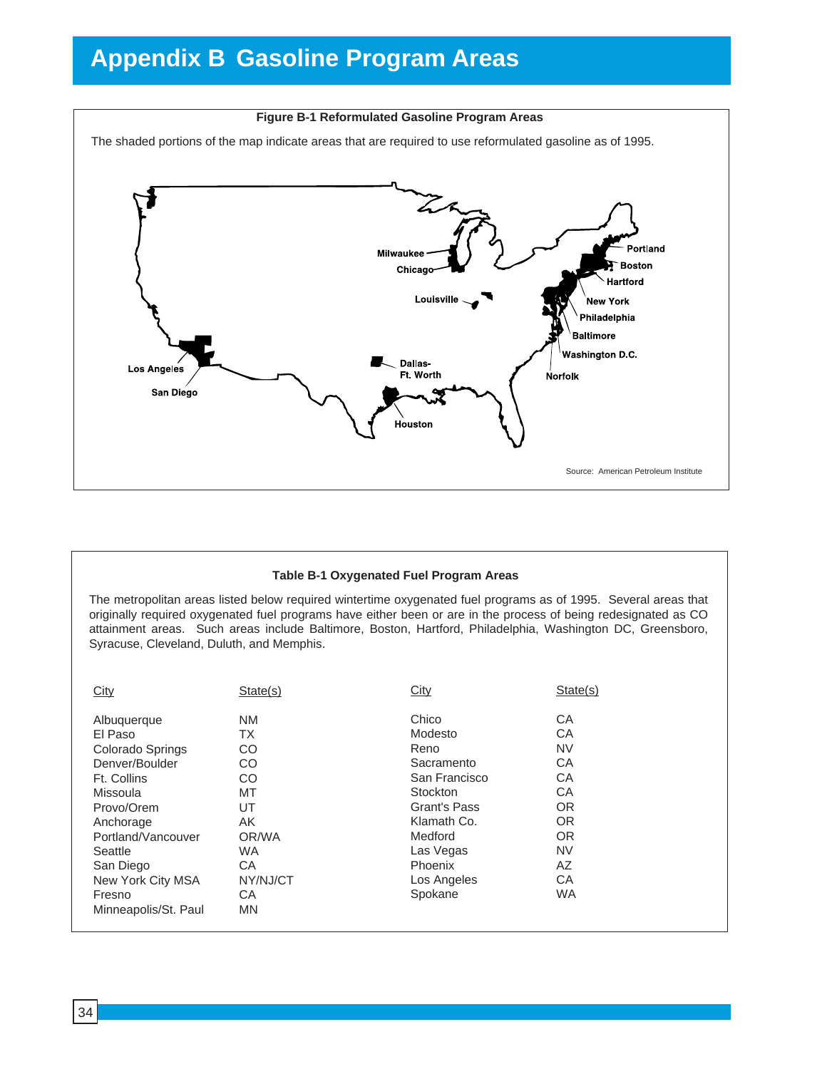# **Appendix B Gasoline Program Areas**



### **Table B-1 Oxygenated Fuel Program Areas**

The metropolitan areas listed below required wintertime oxygenated fuel programs as of 1995. Several areas that originally required oxygenated fuel programs have either been or are in the process of being redesignated as CO attainment areas. Such areas include Baltimore, Boston, Hartford, Philadelphia, Washington DC, Greensboro, Syracuse, Cleveland, Duluth, and Memphis.

| City                 | State(s)  | City                | State(s)  |
|----------------------|-----------|---------------------|-----------|
|                      |           |                     |           |
| Albuquerque          | <b>NM</b> | Chico               | CA        |
| El Paso              | ТX        | Modesto             | СA        |
| Colorado Springs     | CO.       | Reno                | <b>NV</b> |
| Denver/Boulder       | CO.       | Sacramento          | CA        |
| Ft. Collins          | CO        | San Francisco       | CA        |
| Missoula             | MT        | Stockton            | СA        |
| Provo/Orem           | UT        | <b>Grant's Pass</b> | OR.       |
| Anchorage            | AK.       | Klamath Co.         | <b>OR</b> |
| Portland/Vancouver   | OR/WA     | Medford             | <b>OR</b> |
| Seattle              | <b>WA</b> | Las Vegas           | <b>NV</b> |
| San Diego            | CA        | Phoenix             | AZ        |
| New York City MSA    | NY/NJ/CT  | Los Angeles         | CA        |
| Fresno               | СA        | Spokane             | <b>WA</b> |
| Minneapolis/St. Paul | <b>MN</b> |                     |           |
|                      |           |                     |           |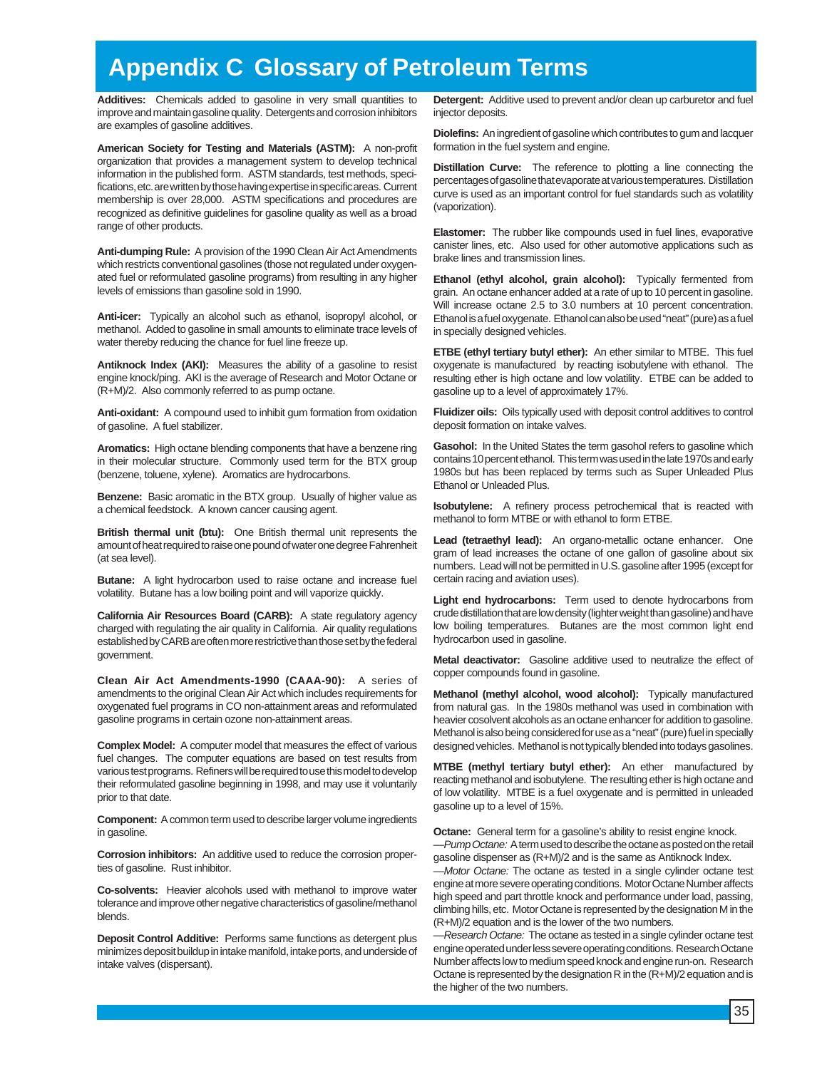# **Appendix C Glossary of Petroleum Terms**

**Additives:** Chemicals added to gasoline in very small quantities to improve and maintain gasoline quality. Detergents and corrosion inhibitors are examples of gasoline additives.

**American Society for Testing and Materials (ASTM):** A non-profit organization that provides a management system to develop technical information in the published form. ASTM standards, test methods, specifications, etc. are written by those having expertise in specific areas. Current membership is over 28,000. ASTM specifications and procedures are recognized as definitive guidelines for gasoline quality as well as a broad range of other products.

**Anti-dumping Rule:** A provision of the 1990 Clean Air Act Amendments which restricts conventional gasolines (those not regulated under oxygenated fuel or reformulated gasoline programs) from resulting in any higher levels of emissions than gasoline sold in 1990.

**Anti-icer:** Typically an alcohol such as ethanol, isopropyl alcohol, or methanol. Added to gasoline in small amounts to eliminate trace levels of water thereby reducing the chance for fuel line freeze up.

**Antiknock Index (AKI):** Measures the ability of a gasoline to resist engine knock/ping. AKI is the average of Research and Motor Octane or (R+M)/2. Also commonly referred to as pump octane.

**Anti-oxidant:** A compound used to inhibit gum formation from oxidation of gasoline. A fuel stabilizer.

**Aromatics:** High octane blending components that have a benzene ring in their molecular structure. Commonly used term for the BTX group (benzene, toluene, xylene). Aromatics are hydrocarbons.

**Benzene:** Basic aromatic in the BTX group. Usually of higher value as a chemical feedstock. A known cancer causing agent.

**British thermal unit (btu):** One British thermal unit represents the amount of heat required to raise one pound of water one degree Fahrenheit (at sea level).

**Butane:** A light hydrocarbon used to raise octane and increase fuel volatility. Butane has a low boiling point and will vaporize quickly.

**California Air Resources Board (CARB):** A state regulatory agency charged with regulating the air quality in California. Air quality regulations established by CARB are often more restrictive than those set by the federal government.

**Clean Air Act Amendments-1990 (CAAA-90):** A series of amendments to the original Clean Air Act which includes requirements for oxygenated fuel programs in CO non-attainment areas and reformulated gasoline programs in certain ozone non-attainment areas.

**Complex Model:** A computer model that measures the effect of various fuel changes. The computer equations are based on test results from various test programs. Refiners will be required to use this model to develop their reformulated gasoline beginning in 1998, and may use it voluntarily prior to that date.

**Component:** A common term used to describe larger volume ingredients in gasoline.

**Corrosion inhibitors:** An additive used to reduce the corrosion properties of gasoline. Rust inhibitor.

**Co-solvents:** Heavier alcohols used with methanol to improve water tolerance and improve other negative characteristics of gasoline/methanol blends.

**Deposit Control Additive:** Performs same functions as detergent plus minimizes deposit buildup in intake manifold, intake ports, and underside of intake valves (dispersant).

**Detergent:** Additive used to prevent and/or clean up carburetor and fuel injector deposits.

**Diolefins:** An ingredient of gasoline which contributes to gum and lacquer formation in the fuel system and engine.

**Distillation Curve:** The reference to plotting a line connecting the percentages of gasoline that evaporate at various temperatures. Distillation curve is used as an important control for fuel standards such as volatility (vaporization).

**Elastomer:** The rubber like compounds used in fuel lines, evaporative canister lines, etc. Also used for other automotive applications such as brake lines and transmission lines.

**Ethanol (ethyl alcohol, grain alcohol):** Typically fermented from grain. An octane enhancer added at a rate of up to 10 percent in gasoline. Will increase octane 2.5 to 3.0 numbers at 10 percent concentration. Ethanol is a fuel oxygenate. Ethanol can also be used "neat" (pure) as a fuel in specially designed vehicles.

**ETBE (ethyl tertiary butyl ether):** An ether similar to MTBE. This fuel oxygenate is manufactured by reacting isobutylene with ethanol. The resulting ether is high octane and low volatility. ETBE can be added to gasoline up to a level of approximately 17%.

**Fluidizer oils:** Oils typically used with deposit control additives to control deposit formation on intake valves.

**Gasohol:** In the United States the term gasohol refers to gasoline which contains 10 percent ethanol. This term was used in the late 1970s and early 1980s but has been replaced by terms such as Super Unleaded Plus Ethanol or Unleaded Plus.

**Isobutylene:** A refinery process petrochemical that is reacted with methanol to form MTBE or with ethanol to form ETBE.

**Lead (tetraethyl lead):** An organo-metallic octane enhancer. One gram of lead increases the octane of one gallon of gasoline about six numbers. Lead will not be permitted in U.S. gasoline after 1995 (except for certain racing and aviation uses).

**Light end hydrocarbons:** Term used to denote hydrocarbons from crude distillation that are low density (lighter weight than gasoline) and have low boiling temperatures. Butanes are the most common light end hydrocarbon used in gasoline.

**Metal deactivator:** Gasoline additive used to neutralize the effect of copper compounds found in gasoline.

**Methanol (methyl alcohol, wood alcohol):** Typically manufactured from natural gas. In the 1980s methanol was used in combination with heavier cosolvent alcohols as an octane enhancer for addition to gasoline. Methanol is also being considered for use as a "neat" (pure) fuel in specially designed vehicles. Methanol is not typically blended into todays gasolines.

**MTBE (methyl tertiary butyl ether):** An ether manufactured by reacting methanol and isobutylene. The resulting ether is high octane and of low volatility. MTBE is a fuel oxygenate and is permitted in unleaded gasoline up to a level of 15%.

**Octane:** General term for a gasoline's ability to resist engine knock. -Pump Octane: A term used to describe the octane as posted on the retail gasoline dispenser as (R+M)/2 and is the same as Antiknock Index.

-Motor Octane: The octane as tested in a single cylinder octane test engine at more severe operating conditions. Motor Octane Number affects high speed and part throttle knock and performance under load, passing, climbing hills, etc. Motor Octane is represented by the designation M in the (R+M)/2 equation and is the lower of the two numbers.

-Research Octane: The octane as tested in a single cylinder octane test engine operated under less severe operating conditions. Research Octane Number affects low to medium speed knock and engine run-on. Research Octane is represented by the designation R in the (R+M)/2 equation and is the higher of the two numbers.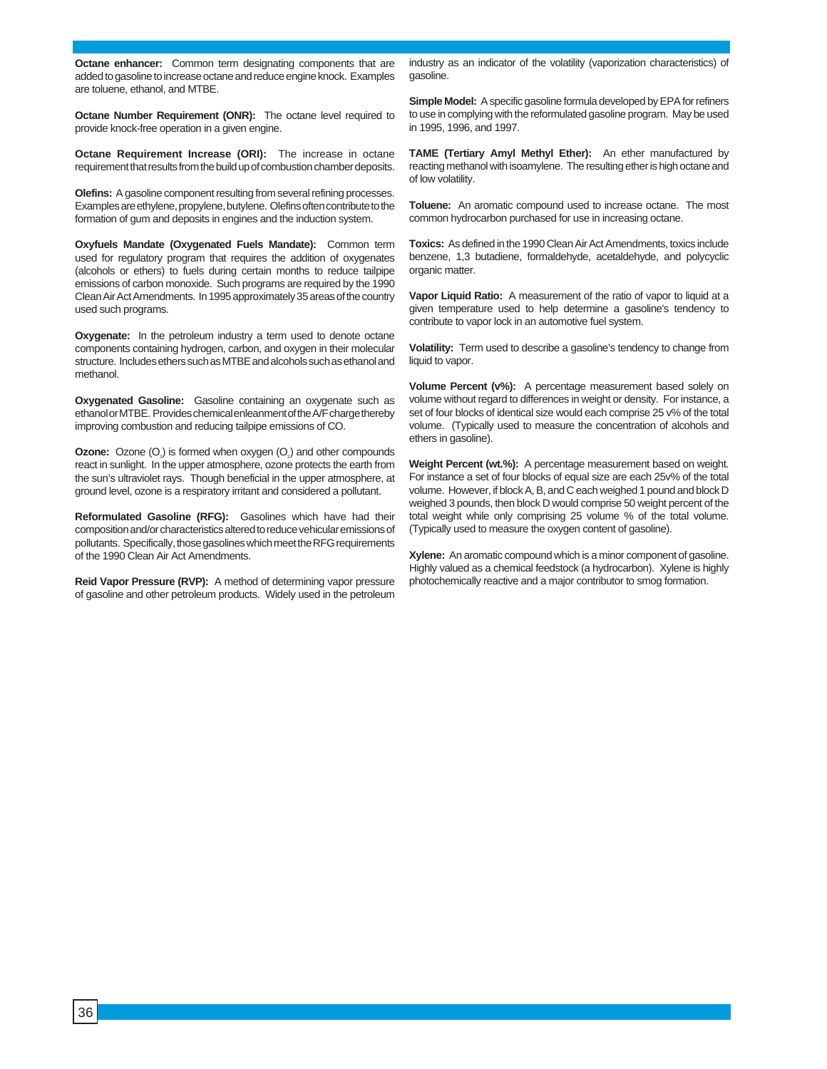**Octane enhancer:** Common term designating components that are added to gasoline to increase octane and reduce engine knock. Examples are toluene, ethanol, and MTBE.

**Octane Number Requirement (ONR):** The octane level required to provide knock-free operation in a given engine.

**Octane Requirement Increase (ORI):** The increase in octane requirement that results from the build up of combustion chamber deposits.

**Olefins:** A gasoline component resulting from several refining processes. Examples are ethylene, propylene, butylene. Olefins often contribute to the formation of gum and deposits in engines and the induction system.

**Oxyfuels Mandate (Oxygenated Fuels Mandate):** Common term used for regulatory program that requires the addition of oxygenates (alcohols or ethers) to fuels during certain months to reduce tailpipe emissions of carbon monoxide. Such programs are required by the 1990 Clean Air Act Amendments. In 1995 approximately 35 areas of the country used such programs.

**Oxygenate:** In the petroleum industry a term used to denote octane components containing hydrogen, carbon, and oxygen in their molecular structure. Includes ethers such as MTBE and alcohols such as ethanol and methanol.

**Oxygenated Gasoline:** Gasoline containing an oxygenate such as ethanol or MTBE. Provides chemical enleanment of the A/F charge thereby improving combustion and reducing tailpipe emissions of CO.

**Ozone:** Ozone (O<sub>3</sub>) is formed when oxygen (O<sub>2</sub>) and other compounds react in sunlight. In the upper atmosphere, ozone protects the earth from the sun's ultraviolet rays. Though beneficial in the upper atmosphere, at ground level, ozone is a respiratory irritant and considered a pollutant.

**Reformulated Gasoline (RFG):** Gasolines which have had their composition and/or characteristics altered to reduce vehicular emissions of pollutants. Specifically, those gasolines which meet the RFG requirements of the 1990 Clean Air Act Amendments.

**Reid Vapor Pressure (RVP):** A method of determining vapor pressure of gasoline and other petroleum products. Widely used in the petroleum

industry as an indicator of the volatility (vaporization characteristics) of gasoline.

**Simple Model:** A specific gasoline formula developed by EPA for refiners to use in complying with the reformulated gasoline program. May be used in 1995, 1996, and 1997.

**TAME (Tertiary Amyl Methyl Ether):** An ether manufactured by reacting methanol with isoamylene. The resulting ether is high octane and of low volatility.

**Toluene:** An aromatic compound used to increase octane. The most common hydrocarbon purchased for use in increasing octane.

**Toxics:** As defined in the 1990 Clean Air Act Amendments, toxics include benzene, 1,3 butadiene, formaldehyde, acetaldehyde, and polycyclic organic matter.

**Vapor Liquid Ratio:** A measurement of the ratio of vapor to liquid at a given temperature used to help determine a gasoline's tendency to contribute to vapor lock in an automotive fuel system.

**Volatility:** Term used to describe a gasoline's tendency to change from liquid to vapor.

**Volume Percent (v%):** A percentage measurement based solely on volume without regard to differences in weight or density. For instance, a set of four blocks of identical size would each comprise 25 v% of the total volume. (Typically used to measure the concentration of alcohols and ethers in gasoline).

**Weight Percent (wt.%):** A percentage measurement based on weight. For instance a set of four blocks of equal size are each 25v% of the total volume. However, if block A, B, and C each weighed 1 pound and block D weighed 3 pounds, then block D would comprise 50 weight percent of the total weight while only comprising 25 volume % of the total volume. (Typically used to measure the oxygen content of gasoline).

**Xylene:** An aromatic compound which is a minor component of gasoline. Highly valued as a chemical feedstock (a hydrocarbon). Xylene is highly photochemically reactive and a major contributor to smog formation.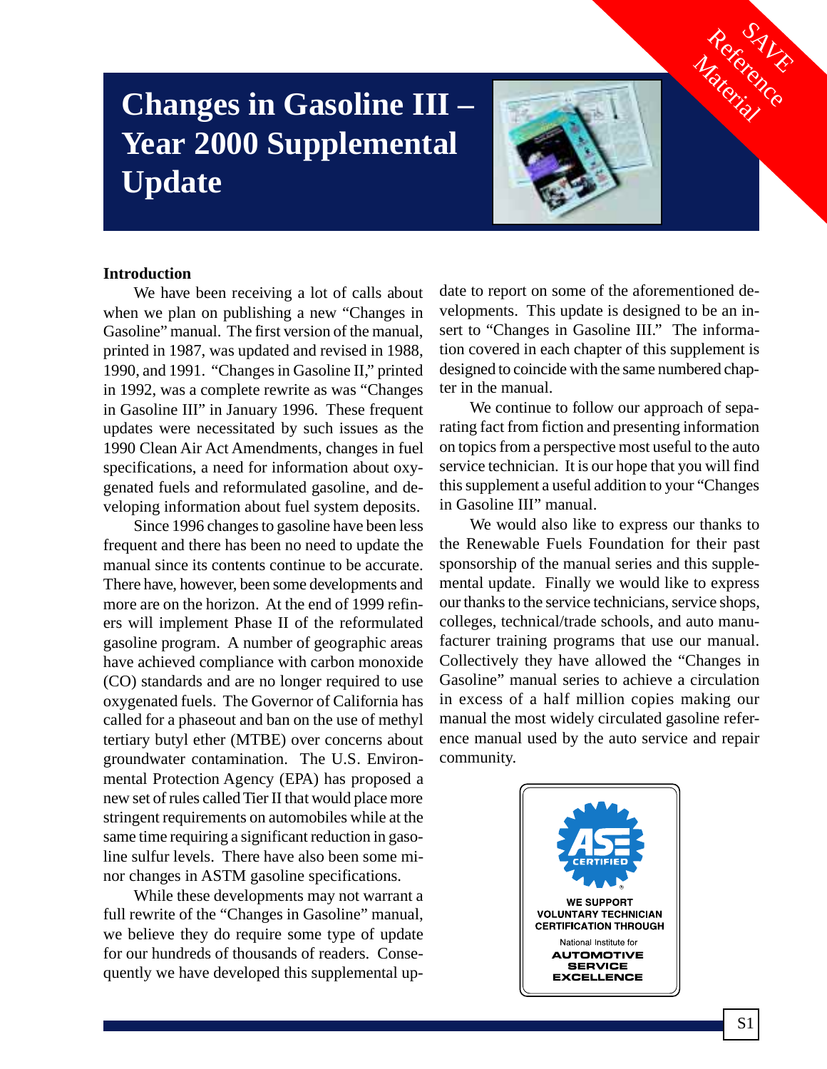# **Changes in Gasoline III – Year 2000 Supplemental Update**



Reference

Material

## **Introduction**

We have been receiving a lot of calls about when we plan on publishing a new "Changes in Gasoline" manual. The first version of the manual, printed in 1987, was updated and revised in 1988, 1990, and 1991. "Changes in Gasoline II," printed in 1992, was a complete rewrite as was "Changes in Gasoline III" in January 1996. These frequent updates were necessitated by such issues as the 1990 Clean Air Act Amendments, changes in fuel specifications, a need for information about oxygenated fuels and reformulated gasoline, and developing information about fuel system deposits.

Since 1996 changes to gasoline have been less frequent and there has been no need to update the manual since its contents continue to be accurate. There have, however, been some developments and more are on the horizon. At the end of 1999 refiners will implement Phase II of the reformulated gasoline program. A number of geographic areas have achieved compliance with carbon monoxide (CO) standards and are no longer required to use oxygenated fuels. The Governor of California has called for a phaseout and ban on the use of methyl tertiary butyl ether (MTBE) over concerns about groundwater contamination. The U.S. Environmental Protection Agency (EPA) has proposed a new set of rules called Tier II that would place more stringent requirements on automobiles while at the same time requiring a significant reduction in gasoline sulfur levels. There have also been some minor changes in ASTM gasoline specifications.

While these developments may not warrant a full rewrite of the "Changes in Gasoline" manual, we believe they do require some type of update for our hundreds of thousands of readers. Consequently we have developed this supplemental up-

date to report on some of the aforementioned developments. This update is designed to be an insert to "Changes in Gasoline III." The information covered in each chapter of this supplement is designed to coincide with the same numbered chapter in the manual.

We continue to follow our approach of separating fact from fiction and presenting information on topics from a perspective most useful to the auto service technician. It is our hope that you will find this supplement a useful addition to your "Changes in Gasoline III" manual.

We would also like to express our thanks to the Renewable Fuels Foundation for their past sponsorship of the manual series and this supplemental update. Finally we would like to express our thanks to the service technicians, service shops, colleges, technical/trade schools, and auto manufacturer training programs that use our manual. Collectively they have allowed the "Changes in Gasoline" manual series to achieve a circulation in excess of a half million copies making our manual the most widely circulated gasoline reference manual used by the auto service and repair community.

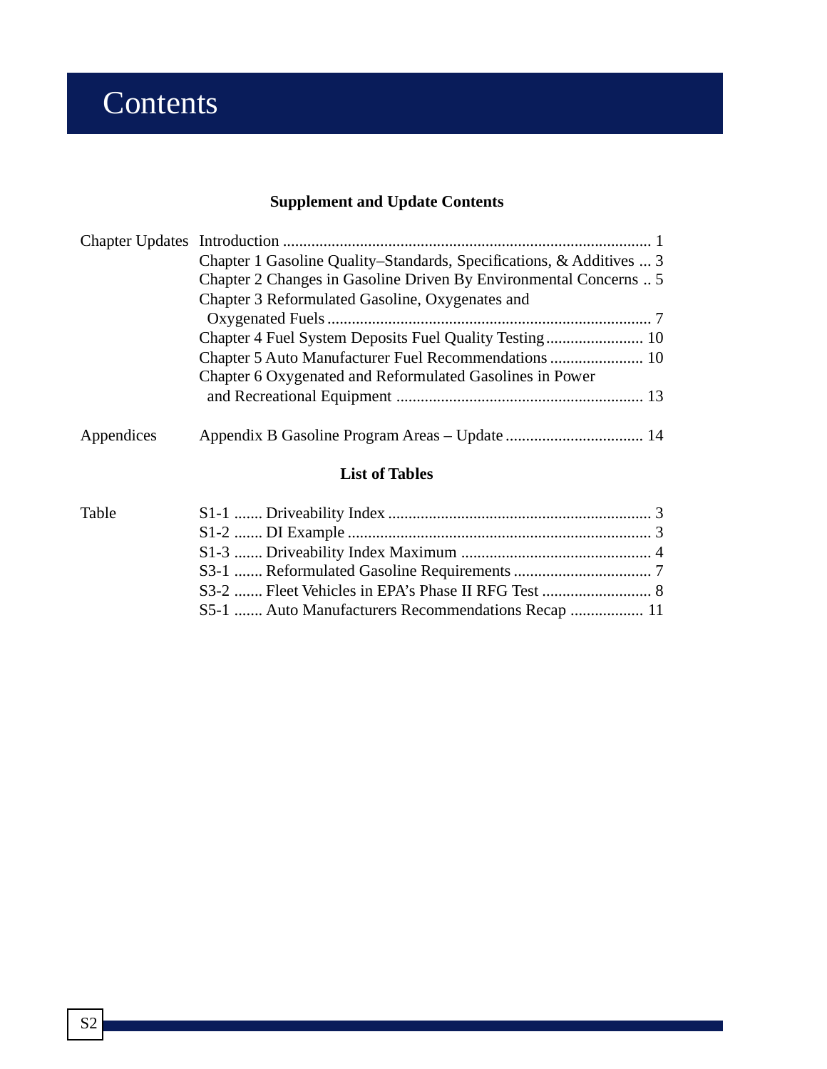# **Contents**

# **Supplement and Update Contents**

|            | Chapter 1 Gasoline Quality–Standards, Specifications, & Additives  3 |  |
|------------|----------------------------------------------------------------------|--|
|            | Chapter 2 Changes in Gasoline Driven By Environmental Concerns  5    |  |
|            | Chapter 3 Reformulated Gasoline, Oxygenates and                      |  |
|            |                                                                      |  |
|            |                                                                      |  |
|            |                                                                      |  |
|            | Chapter 6 Oxygenated and Reformulated Gasolines in Power             |  |
|            |                                                                      |  |
| Appendices |                                                                      |  |

# **List of Tables**

| Table |  |
|-------|--|
|       |  |
|       |  |
|       |  |
|       |  |
|       |  |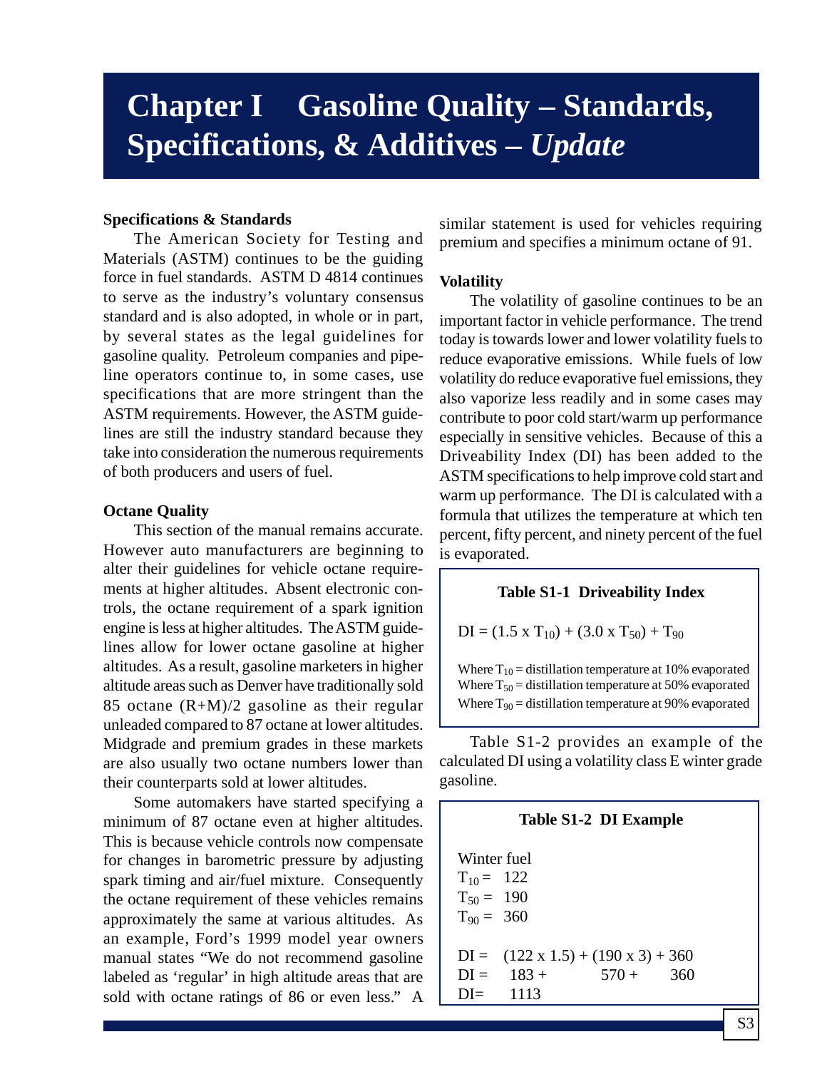# **Chapter I Gasoline Quality – Standards, Specifications, & Additives –** *Update*

# **Specifications & Standards**

The American Society for Testing and Materials (ASTM) continues to be the guiding force in fuel standards. ASTM D 4814 continues to serve as the industry's voluntary consensus standard and is also adopted, in whole or in part, by several states as the legal guidelines for gasoline quality. Petroleum companies and pipeline operators continue to, in some cases, use specifications that are more stringent than the ASTM requirements. However, the ASTM guidelines are still the industry standard because they take into consideration the numerous requirements of both producers and users of fuel.

## **Octane Quality**

This section of the manual remains accurate. However auto manufacturers are beginning to alter their guidelines for vehicle octane requirements at higher altitudes. Absent electronic controls, the octane requirement of a spark ignition engine is less at higher altitudes. The ASTM guidelines allow for lower octane gasoline at higher altitudes. As a result, gasoline marketers in higher altitude areas such as Denver have traditionally sold 85 octane  $(R+M)/2$  gasoline as their regular unleaded compared to 87 octane at lower altitudes. Midgrade and premium grades in these markets are also usually two octane numbers lower than their counterparts sold at lower altitudes.

Some automakers have started specifying a minimum of 87 octane even at higher altitudes. This is because vehicle controls now compensate for changes in barometric pressure by adjusting spark timing and air/fuel mixture. Consequently the octane requirement of these vehicles remains approximately the same at various altitudes. As an example, Ford's 1999 model year owners manual states "We do not recommend gasoline labeled as 'regular' in high altitude areas that are sold with octane ratings of 86 or even less." A

similar statement is used for vehicles requiring premium and specifies a minimum octane of 91.

### **Volatility**

The volatility of gasoline continues to be an important factor in vehicle performance. The trend today is towards lower and lower volatility fuels to reduce evaporative emissions. While fuels of low volatility do reduce evaporative fuel emissions, they also vaporize less readily and in some cases may contribute to poor cold start/warm up performance especially in sensitive vehicles. Because of this a Driveability Index (DI) has been added to the ASTM specifications to help improve cold start and warm up performance. The DI is calculated with a formula that utilizes the temperature at which ten percent, fifty percent, and ninety percent of the fuel is evaporated.

## **Table S1-1 Driveability Index**

$$
DI = (1.5 \times T_{10}) + (3.0 \times T_{50}) + T_{90}
$$

Where  $T_{10}$  = distillation temperature at 10% evaporated Where  $T_{50}$  = distillation temperature at 50% evaporated Where  $T_{90}$  = distillation temperature at 90% evaporated

Table S1-2 provides an example of the calculated DI using a volatility class E winter grade gasoline.

# **Table S1-2 DI Example**

Winter fuel  $T_{10} = 122$  $T_{50} = 190$  $T_{90} = 360$  $DI = (122 \times 1.5) + (190 \times 3) + 360$  $DI = 183 + 570 + 360$ DI= 1113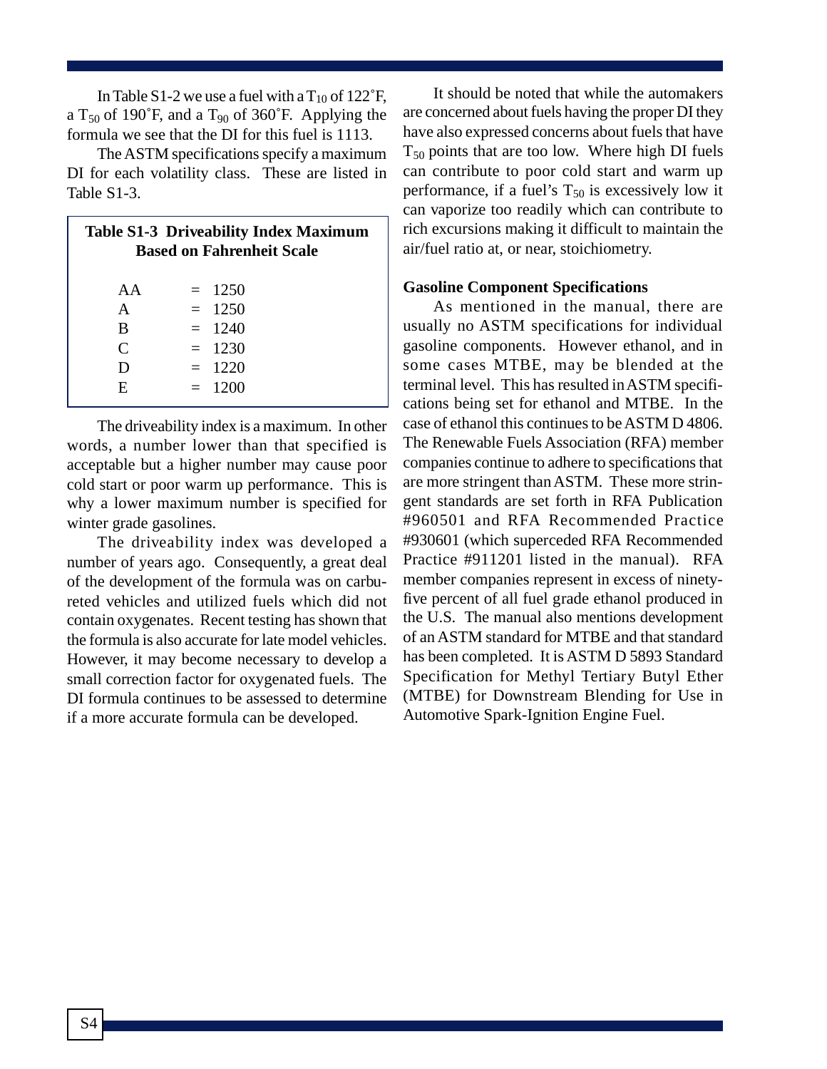In Table S1-2 we use a fuel with a  $T_{10}$  of 122°F, a  $T_{50}$  of 190°F, and a  $T_{90}$  of 360°F. Applying the formula we see that the DI for this fuel is 1113.

The ASTM specifications specify a maximum DI for each volatility class. These are listed in Table S1-3.

| <b>Table S1-3 Driveability Index Maximum</b><br><b>Based on Fahrenheit Scale</b> |  |          |  |
|----------------------------------------------------------------------------------|--|----------|--|
| A A                                                                              |  | $= 1250$ |  |
| A                                                                                |  | $= 1250$ |  |
| B                                                                                |  | $= 1240$ |  |
| $\mathcal{C}_{\mathcal{C}}$                                                      |  | $= 1230$ |  |
| D                                                                                |  | $= 1220$ |  |
| E                                                                                |  | $= 1200$ |  |

The driveability index is a maximum. In other words, a number lower than that specified is acceptable but a higher number may cause poor cold start or poor warm up performance. This is why a lower maximum number is specified for winter grade gasolines.

The driveability index was developed a number of years ago. Consequently, a great deal of the development of the formula was on carbureted vehicles and utilized fuels which did not contain oxygenates. Recent testing has shown that the formula is also accurate for late model vehicles. However, it may become necessary to develop a small correction factor for oxygenated fuels. The DI formula continues to be assessed to determine if a more accurate formula can be developed.

It should be noted that while the automakers are concerned about fuels having the proper DI they have also expressed concerns about fuels that have  $T_{50}$  points that are too low. Where high DI fuels can contribute to poor cold start and warm up performance, if a fuel's  $T_{50}$  is excessively low it can vaporize too readily which can contribute to rich excursions making it difficult to maintain the air/fuel ratio at, or near, stoichiometry.

## **Gasoline Component Specifications**

As mentioned in the manual, there are usually no ASTM specifications for individual gasoline components. However ethanol, and in some cases MTBE, may be blended at the terminal level. This has resulted in ASTM specifications being set for ethanol and MTBE. In the case of ethanol this continues to be ASTM D 4806. The Renewable Fuels Association (RFA) member companies continue to adhere to specifications that are more stringent than ASTM. These more stringent standards are set forth in RFA Publication #960501 and RFA Recommended Practice #930601 (which superceded RFA Recommended Practice #911201 listed in the manual). RFA member companies represent in excess of ninetyfive percent of all fuel grade ethanol produced in the U.S. The manual also mentions development of an ASTM standard for MTBE and that standard has been completed. It is ASTM D 5893 Standard Specification for Methyl Tertiary Butyl Ether (MTBE) for Downstream Blending for Use in Automotive Spark-Ignition Engine Fuel.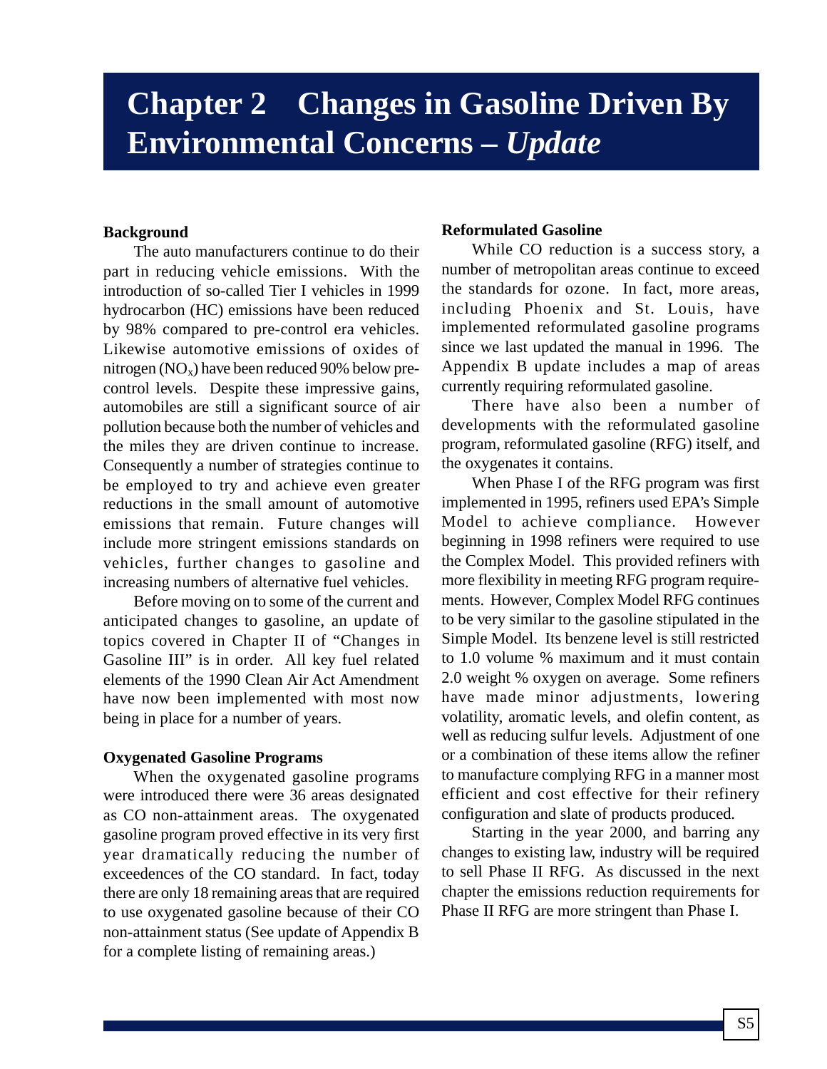# **Chapter 2 Changes in Gasoline Driven By Environmental Concerns –** *Update*

# **Background**

The auto manufacturers continue to do their part in reducing vehicle emissions. With the introduction of so-called Tier I vehicles in 1999 hydrocarbon (HC) emissions have been reduced by 98% compared to pre-control era vehicles. Likewise automotive emissions of oxides of nitrogen ( $NO_x$ ) have been reduced 90% below precontrol levels. Despite these impressive gains, automobiles are still a significant source of air pollution because both the number of vehicles and the miles they are driven continue to increase. Consequently a number of strategies continue to be employed to try and achieve even greater reductions in the small amount of automotive emissions that remain. Future changes will include more stringent emissions standards on vehicles, further changes to gasoline and increasing numbers of alternative fuel vehicles.

Before moving on to some of the current and anticipated changes to gasoline, an update of topics covered in Chapter II of "Changes in Gasoline III" is in order. All key fuel related elements of the 1990 Clean Air Act Amendment have now been implemented with most now being in place for a number of years.

## **Oxygenated Gasoline Programs**

When the oxygenated gasoline programs were introduced there were 36 areas designated as CO non-attainment areas. The oxygenated gasoline program proved effective in its very first year dramatically reducing the number of exceedences of the CO standard. In fact, today there are only 18 remaining areas that are required to use oxygenated gasoline because of their CO non-attainment status (See update of Appendix B for a complete listing of remaining areas.)

# **Reformulated Gasoline**

While CO reduction is a success story, a number of metropolitan areas continue to exceed the standards for ozone. In fact, more areas, including Phoenix and St. Louis, have implemented reformulated gasoline programs since we last updated the manual in 1996. The Appendix B update includes a map of areas currently requiring reformulated gasoline.

There have also been a number of developments with the reformulated gasoline program, reformulated gasoline (RFG) itself, and the oxygenates it contains.

When Phase I of the RFG program was first implemented in 1995, refiners used EPA's Simple Model to achieve compliance. However beginning in 1998 refiners were required to use the Complex Model. This provided refiners with more flexibility in meeting RFG program requirements. However, Complex Model RFG continues to be very similar to the gasoline stipulated in the Simple Model. Its benzene level is still restricted to 1.0 volume % maximum and it must contain 2.0 weight % oxygen on average. Some refiners have made minor adjustments, lowering volatility, aromatic levels, and olefin content, as well as reducing sulfur levels. Adjustment of one or a combination of these items allow the refiner to manufacture complying RFG in a manner most efficient and cost effective for their refinery configuration and slate of products produced.

Starting in the year 2000, and barring any changes to existing law, industry will be required to sell Phase II RFG. As discussed in the next chapter the emissions reduction requirements for Phase II RFG are more stringent than Phase I.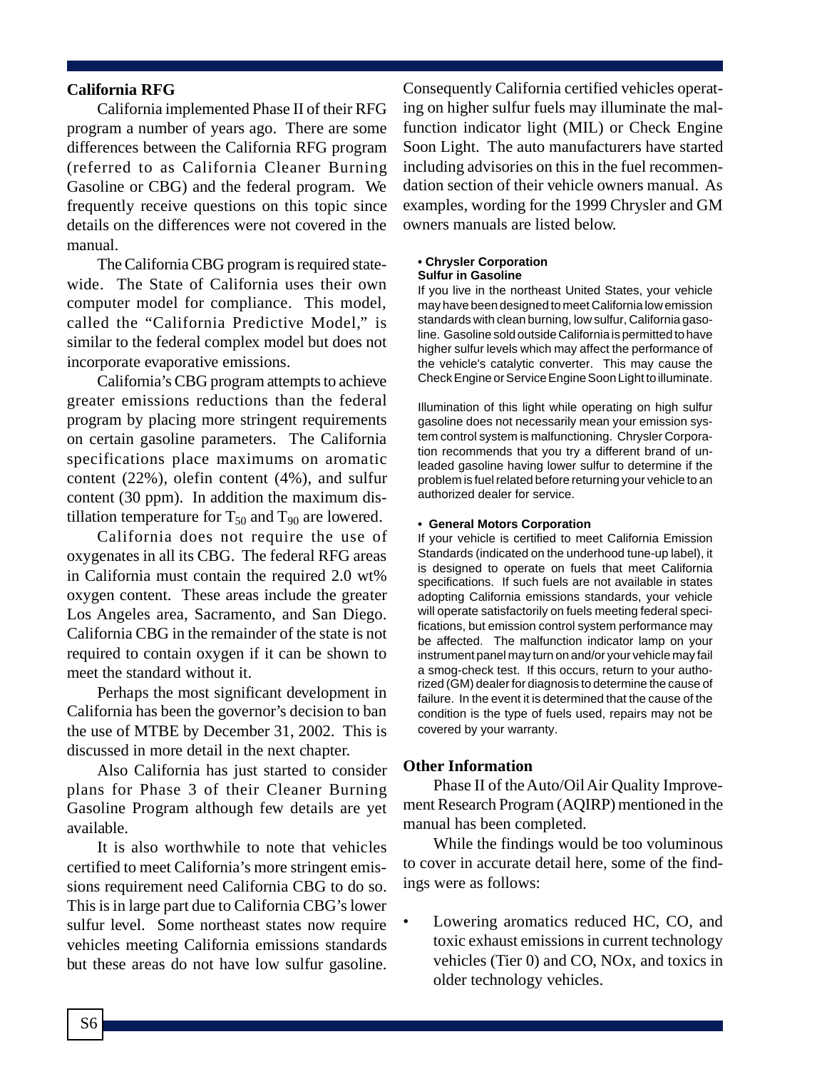## **California RFG**

California implemented Phase II of their RFG program a number of years ago. There are some differences between the California RFG program (referred to as California Cleaner Burning Gasoline or CBG) and the federal program. We frequently receive questions on this topic since details on the differences were not covered in the manual.

The California CBG program is required statewide. The State of California uses their own computer model for compliance. This model, called the "California Predictive Model," is similar to the federal complex model but does not incorporate evaporative emissions.

California's CBG program attempts to achieve greater emissions reductions than the federal program by placing more stringent requirements on certain gasoline parameters. The California specifications place maximums on aromatic content (22%), olefin content (4%), and sulfur content (30 ppm). In addition the maximum distillation temperature for  $T_{50}$  and  $T_{90}$  are lowered.

California does not require the use of oxygenates in all its CBG. The federal RFG areas in California must contain the required 2.0 wt% oxygen content. These areas include the greater Los Angeles area, Sacramento, and San Diego. California CBG in the remainder of the state is not required to contain oxygen if it can be shown to meet the standard without it.

Perhaps the most significant development in California has been the governor's decision to ban the use of MTBE by December 31, 2002. This is discussed in more detail in the next chapter.

Also California has just started to consider plans for Phase 3 of their Cleaner Burning Gasoline Program although few details are yet available.

It is also worthwhile to note that vehicles certified to meet California's more stringent emissions requirement need California CBG to do so. This is in large part due to California CBG's lower sulfur level. Some northeast states now require vehicles meeting California emissions standards but these areas do not have low sulfur gasoline.

Consequently California certified vehicles operating on higher sulfur fuels may illuminate the malfunction indicator light (MIL) or Check Engine Soon Light. The auto manufacturers have started including advisories on this in the fuel recommendation section of their vehicle owners manual. As examples, wording for the 1999 Chrysler and GM owners manuals are listed below.

### **• Chrysler Corporation**

### **Sulfur in Gasoline**

If you live in the northeast United States, your vehicle may have been designed to meet California low emission standards with clean burning, low sulfur, California gasoline. Gasoline sold outside California is permitted to have higher sulfur levels which may affect the performance of the vehicle's catalytic converter. This may cause the Check Engine or Service Engine Soon Light to illuminate.

Illumination of this light while operating on high sulfur gasoline does not necessarily mean your emission system control system is malfunctioning. Chrysler Corporation recommends that you try a different brand of unleaded gasoline having lower sulfur to determine if the problem is fuel related before returning your vehicle to an authorized dealer for service.

#### **• General Motors Corporation**

If your vehicle is certified to meet California Emission Standards (indicated on the underhood tune-up label), it is designed to operate on fuels that meet California specifications. If such fuels are not available in states adopting California emissions standards, your vehicle will operate satisfactorily on fuels meeting federal specifications, but emission control system performance may be affected. The malfunction indicator lamp on your instrument panel may turn on and/or your vehicle may fail a smog-check test. If this occurs, return to your authorized (GM) dealer for diagnosis to determine the cause of failure. In the event it is determined that the cause of the condition is the type of fuels used, repairs may not be covered by your warranty.

#### **Other Information**

Phase II of the Auto/Oil Air Quality Improvement Research Program (AQIRP) mentioned in the manual has been completed.

While the findings would be too voluminous to cover in accurate detail here, some of the findings were as follows:

• Lowering aromatics reduced HC, CO, and toxic exhaust emissions in current technology vehicles (Tier 0) and CO, NOx, and toxics in older technology vehicles.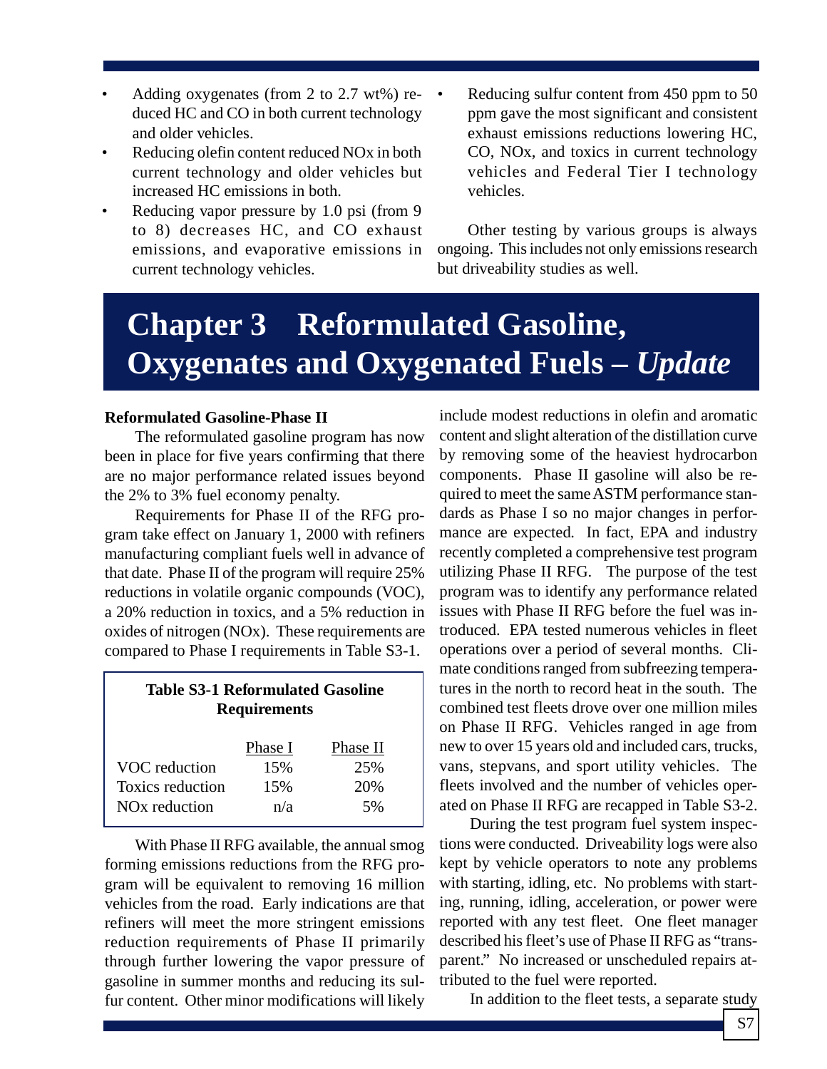- Adding oxygenates (from 2 to 2.7 wt%) reduced HC and CO in both current technology and older vehicles.
- Reducing olefin content reduced NO<sub>x</sub> in both current technology and older vehicles but increased HC emissions in both.
- Reducing vapor pressure by 1.0 psi (from 9 to 8) decreases HC, and CO exhaust emissions, and evaporative emissions in current technology vehicles.
- Reducing sulfur content from 450 ppm to 50 ppm gave the most significant and consistent exhaust emissions reductions lowering HC, CO, NOx, and toxics in current technology vehicles and Federal Tier I technology vehicles.

Other testing by various groups is always ongoing. This includes not only emissions research but driveability studies as well.

# **Chapter 3 Reformulated Gasoline, Oxygenates and Oxygenated Fuels –** *Update*

## **Reformulated Gasoline-Phase II**

The reformulated gasoline program has now been in place for five years confirming that there are no major performance related issues beyond the 2% to 3% fuel economy penalty.

Requirements for Phase II of the RFG program take effect on January 1, 2000 with refiners manufacturing compliant fuels well in advance of that date. Phase II of the program will require 25% reductions in volatile organic compounds (VOC), a 20% reduction in toxics, and a 5% reduction in oxides of nitrogen (NOx). These requirements are compared to Phase I requirements in Table S3-1.

# **Table S3-1 Reformulated Gasoline Requirements**

|                           | Phase I | Phase II |
|---------------------------|---------|----------|
| VOC reduction             | 15%     | 25%      |
| Toxics reduction          | 15%     | 20%      |
| NO <sub>x</sub> reduction | n/a     | 5%       |

With Phase II RFG available, the annual smog forming emissions reductions from the RFG program will be equivalent to removing 16 million vehicles from the road. Early indications are that refiners will meet the more stringent emissions reduction requirements of Phase II primarily through further lowering the vapor pressure of gasoline in summer months and reducing its sulfur content. Other minor modifications will likely

include modest reductions in olefin and aromatic content and slight alteration of the distillation curve by removing some of the heaviest hydrocarbon components. Phase II gasoline will also be required to meet the same ASTM performance standards as Phase I so no major changes in performance are expected. In fact, EPA and industry recently completed a comprehensive test program utilizing Phase II RFG. The purpose of the test program was to identify any performance related issues with Phase II RFG before the fuel was introduced. EPA tested numerous vehicles in fleet operations over a period of several months. Climate conditions ranged from subfreezing temperatures in the north to record heat in the south. The combined test fleets drove over one million miles on Phase II RFG. Vehicles ranged in age from new to over 15 years old and included cars, trucks, vans, stepvans, and sport utility vehicles. The fleets involved and the number of vehicles operated on Phase II RFG are recapped in Table S3-2.

During the test program fuel system inspections were conducted. Driveability logs were also kept by vehicle operators to note any problems with starting, idling, etc. No problems with starting, running, idling, acceleration, or power were reported with any test fleet. One fleet manager described his fleet's use of Phase II RFG as "transparent." No increased or unscheduled repairs attributed to the fuel were reported.

In addition to the fleet tests, a separate study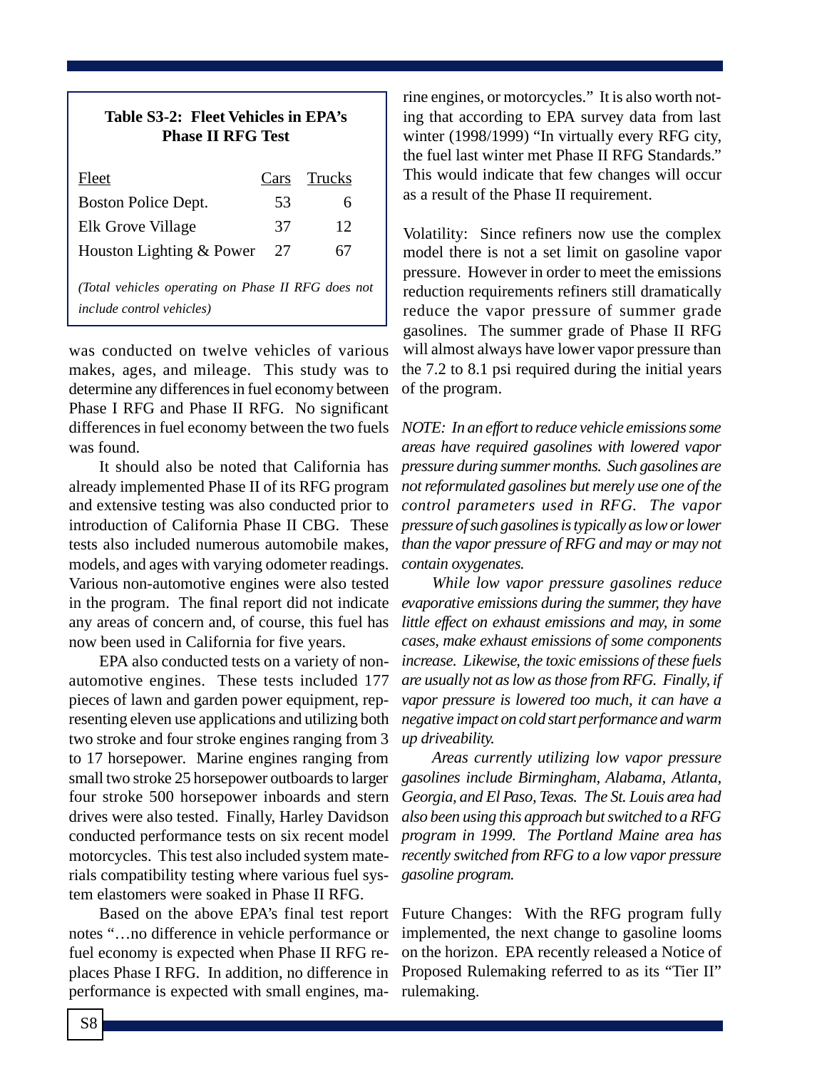| Table S3-2: Fleet Vehicles in EPA's<br><b>Phase II RFG Test</b> |  |  |  |             |
|-----------------------------------------------------------------|--|--|--|-------------|
| Fleet                                                           |  |  |  | Cars Trucks |

| FICCL                                                                                   | v afs | TIUCKS |
|-----------------------------------------------------------------------------------------|-------|--------|
| Boston Police Dept.                                                                     | 53    | 6      |
| Elk Grove Village                                                                       | 37    | 12     |
| Houston Lighting & Power                                                                | 27    | 67     |
| (Total vehicles operating on Phase II RFG does not<br><i>include control vehicles</i> ) |       |        |

was conducted on twelve vehicles of various makes, ages, and mileage. This study was to determine any differences in fuel economy between Phase I RFG and Phase II RFG. No significant differences in fuel economy between the two fuels was found.

It should also be noted that California has already implemented Phase II of its RFG program and extensive testing was also conducted prior to introduction of California Phase II CBG. These tests also included numerous automobile makes, models, and ages with varying odometer readings. Various non-automotive engines were also tested in the program. The final report did not indicate any areas of concern and, of course, this fuel has now been used in California for five years.

EPA also conducted tests on a variety of nonautomotive engines. These tests included 177 pieces of lawn and garden power equipment, representing eleven use applications and utilizing both two stroke and four stroke engines ranging from 3 to 17 horsepower. Marine engines ranging from small two stroke 25 horsepower outboards to larger four stroke 500 horsepower inboards and stern drives were also tested. Finally, Harley Davidson conducted performance tests on six recent model motorcycles. This test also included system materials compatibility testing where various fuel system elastomers were soaked in Phase II RFG.

Based on the above EPA's final test report notes "…no difference in vehicle performance or fuel economy is expected when Phase II RFG replaces Phase I RFG. In addition, no difference in performance is expected with small engines, ma-

rine engines, or motorcycles." It is also worth noting that according to EPA survey data from last winter (1998/1999) "In virtually every RFG city, the fuel last winter met Phase II RFG Standards." This would indicate that few changes will occur as a result of the Phase II requirement.

Volatility: Since refiners now use the complex model there is not a set limit on gasoline vapor pressure. However in order to meet the emissions reduction requirements refiners still dramatically reduce the vapor pressure of summer grade gasolines. The summer grade of Phase II RFG will almost always have lower vapor pressure than the 7.2 to 8.1 psi required during the initial years of the program.

*NOTE: In an effort to reduce vehicle emissions some areas have required gasolines with lowered vapor pressure during summer months. Such gasolines are not reformulated gasolines but merely use one of the control parameters used in RFG. The vapor pressure of such gasolines is typically as low or lower than the vapor pressure of RFG and may or may not contain oxygenates.*

*While low vapor pressure gasolines reduce evaporative emissions during the summer, they have little effect on exhaust emissions and may, in some cases, make exhaust emissions of some components increase. Likewise, the toxic emissions of these fuels are usually not as low as those from RFG. Finally, if vapor pressure is lowered too much, it can have a negative impact on cold start performance and warm up driveability.*

*Areas currently utilizing low vapor pressure gasolines include Birmingham, Alabama, Atlanta, Georgia, and El Paso, Texas. The St. Louis area had also been using this approach but switched to a RFG program in 1999. The Portland Maine area has recently switched from RFG to a low vapor pressure gasoline program.*

Future Changes: With the RFG program fully implemented, the next change to gasoline looms on the horizon. EPA recently released a Notice of Proposed Rulemaking referred to as its "Tier II" rulemaking.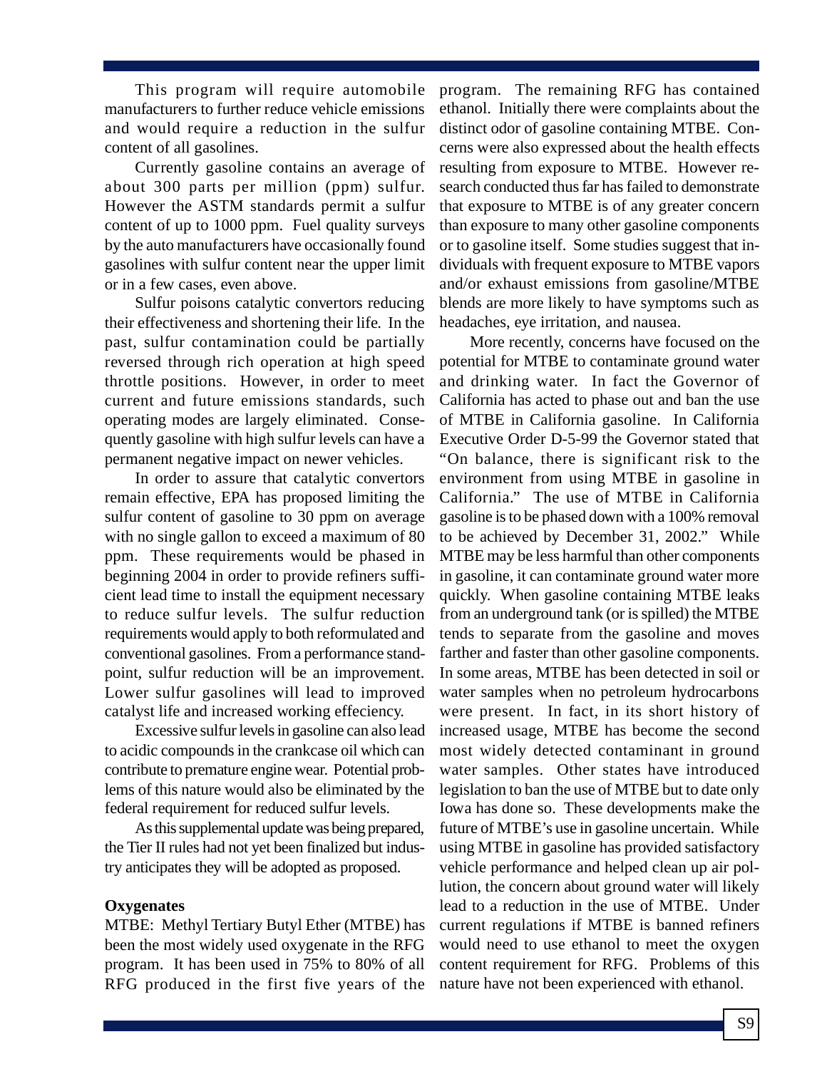This program will require automobile manufacturers to further reduce vehicle emissions and would require a reduction in the sulfur content of all gasolines.

Currently gasoline contains an average of about 300 parts per million (ppm) sulfur. However the ASTM standards permit a sulfur content of up to 1000 ppm. Fuel quality surveys by the auto manufacturers have occasionally found gasolines with sulfur content near the upper limit or in a few cases, even above.

Sulfur poisons catalytic convertors reducing their effectiveness and shortening their life. In the past, sulfur contamination could be partially reversed through rich operation at high speed throttle positions. However, in order to meet current and future emissions standards, such operating modes are largely eliminated. Consequently gasoline with high sulfur levels can have a permanent negative impact on newer vehicles.

In order to assure that catalytic convertors remain effective, EPA has proposed limiting the sulfur content of gasoline to 30 ppm on average with no single gallon to exceed a maximum of 80 ppm. These requirements would be phased in beginning 2004 in order to provide refiners sufficient lead time to install the equipment necessary to reduce sulfur levels. The sulfur reduction requirements would apply to both reformulated and conventional gasolines. From a performance standpoint, sulfur reduction will be an improvement. Lower sulfur gasolines will lead to improved catalyst life and increased working effeciency.

Excessive sulfur levels in gasoline can also lead to acidic compounds in the crankcase oil which can contribute to premature engine wear. Potential problems of this nature would also be eliminated by the federal requirement for reduced sulfur levels.

As this supplemental update was being prepared, the Tier II rules had not yet been finalized but industry anticipates they will be adopted as proposed.

## **Oxygenates**

MTBE: Methyl Tertiary Butyl Ether (MTBE) has been the most widely used oxygenate in the RFG program. It has been used in 75% to 80% of all RFG produced in the first five years of the program. The remaining RFG has contained ethanol. Initially there were complaints about the distinct odor of gasoline containing MTBE. Concerns were also expressed about the health effects resulting from exposure to MTBE. However research conducted thus far has failed to demonstrate that exposure to MTBE is of any greater concern than exposure to many other gasoline components or to gasoline itself. Some studies suggest that individuals with frequent exposure to MTBE vapors and/or exhaust emissions from gasoline/MTBE blends are more likely to have symptoms such as headaches, eye irritation, and nausea.

More recently, concerns have focused on the potential for MTBE to contaminate ground water and drinking water. In fact the Governor of California has acted to phase out and ban the use of MTBE in California gasoline. In California Executive Order D-5-99 the Governor stated that "On balance, there is significant risk to the environment from using MTBE in gasoline in California." The use of MTBE in California gasoline is to be phased down with a 100% removal to be achieved by December 31, 2002." While MTBE may be less harmful than other components in gasoline, it can contaminate ground water more quickly. When gasoline containing MTBE leaks from an underground tank (or is spilled) the MTBE tends to separate from the gasoline and moves farther and faster than other gasoline components. In some areas, MTBE has been detected in soil or water samples when no petroleum hydrocarbons were present. In fact, in its short history of increased usage, MTBE has become the second most widely detected contaminant in ground water samples. Other states have introduced legislation to ban the use of MTBE but to date only Iowa has done so. These developments make the future of MTBE's use in gasoline uncertain. While using MTBE in gasoline has provided satisfactory vehicle performance and helped clean up air pollution, the concern about ground water will likely lead to a reduction in the use of MTBE. Under current regulations if MTBE is banned refiners would need to use ethanol to meet the oxygen content requirement for RFG. Problems of this nature have not been experienced with ethanol.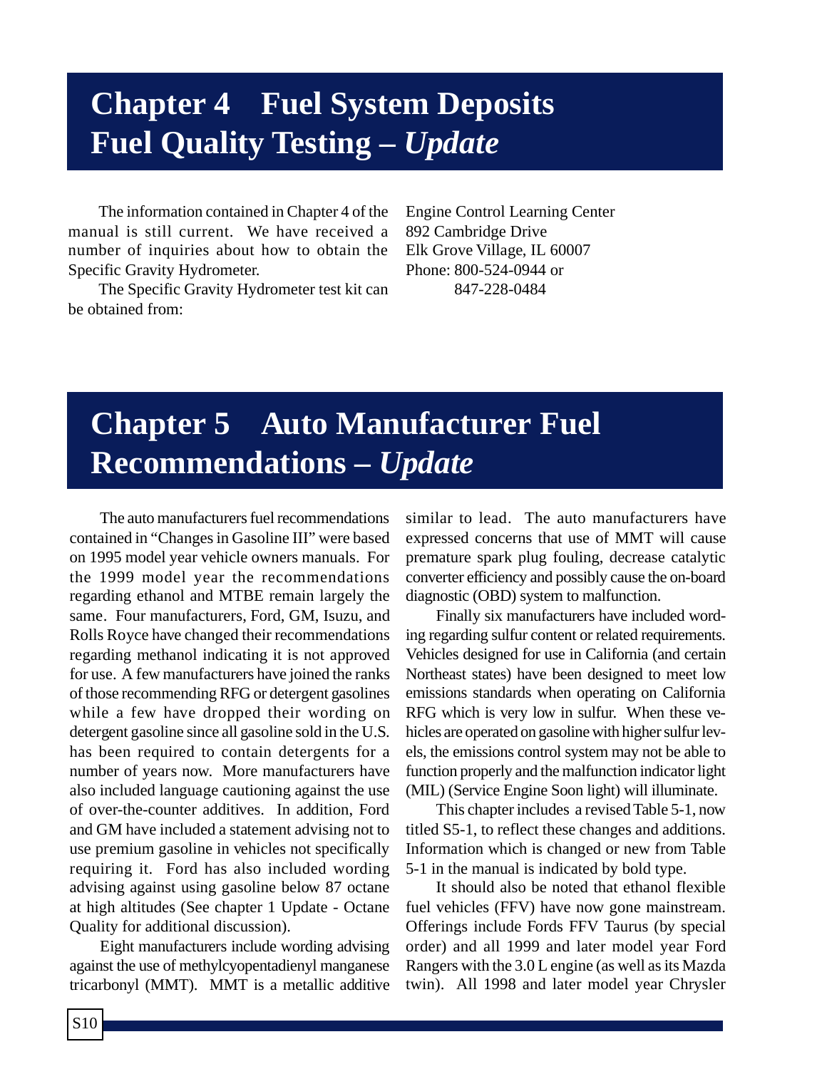# **Chapter 4 Fuel System Deposits Fuel Quality Testing –** *Update*

The information contained in Chapter 4 of the manual is still current. We have received a number of inquiries about how to obtain the Specific Gravity Hydrometer.

The Specific Gravity Hydrometer test kit can be obtained from:

Engine Control Learning Center 892 Cambridge Drive Elk Grove Village, IL 60007 Phone: 800-524-0944 or 847-228-0484

# **Chapter 5 Auto Manufacturer Fuel Recommendations –** *Update*

The auto manufacturers fuel recommendations contained in "Changes in Gasoline III" were based on 1995 model year vehicle owners manuals. For the 1999 model year the recommendations regarding ethanol and MTBE remain largely the same. Four manufacturers, Ford, GM, Isuzu, and Rolls Royce have changed their recommendations regarding methanol indicating it is not approved for use. A few manufacturers have joined the ranks of those recommending RFG or detergent gasolines while a few have dropped their wording on detergent gasoline since all gasoline sold in the U.S. has been required to contain detergents for a number of years now. More manufacturers have also included language cautioning against the use of over-the-counter additives. In addition, Ford and GM have included a statement advising not to use premium gasoline in vehicles not specifically requiring it. Ford has also included wording advising against using gasoline below 87 octane at high altitudes (See chapter 1 Update - Octane Quality for additional discussion).

Eight manufacturers include wording advising against the use of methylcyopentadienyl manganese tricarbonyl (MMT). MMT is a metallic additive similar to lead. The auto manufacturers have expressed concerns that use of MMT will cause premature spark plug fouling, decrease catalytic converter efficiency and possibly cause the on-board diagnostic (OBD) system to malfunction.

Finally six manufacturers have included wording regarding sulfur content or related requirements. Vehicles designed for use in California (and certain Northeast states) have been designed to meet low emissions standards when operating on California RFG which is very low in sulfur. When these vehicles are operated on gasoline with higher sulfur levels, the emissions control system may not be able to function properly and the malfunction indicator light (MIL) (Service Engine Soon light) will illuminate.

This chapter includes a revised Table 5-1, now titled S5-1, to reflect these changes and additions. Information which is changed or new from Table 5-1 in the manual is indicated by bold type.

It should also be noted that ethanol flexible fuel vehicles (FFV) have now gone mainstream. Offerings include Fords FFV Taurus (by special order) and all 1999 and later model year Ford Rangers with the 3.0 L engine (as well as its Mazda twin). All 1998 and later model year Chrysler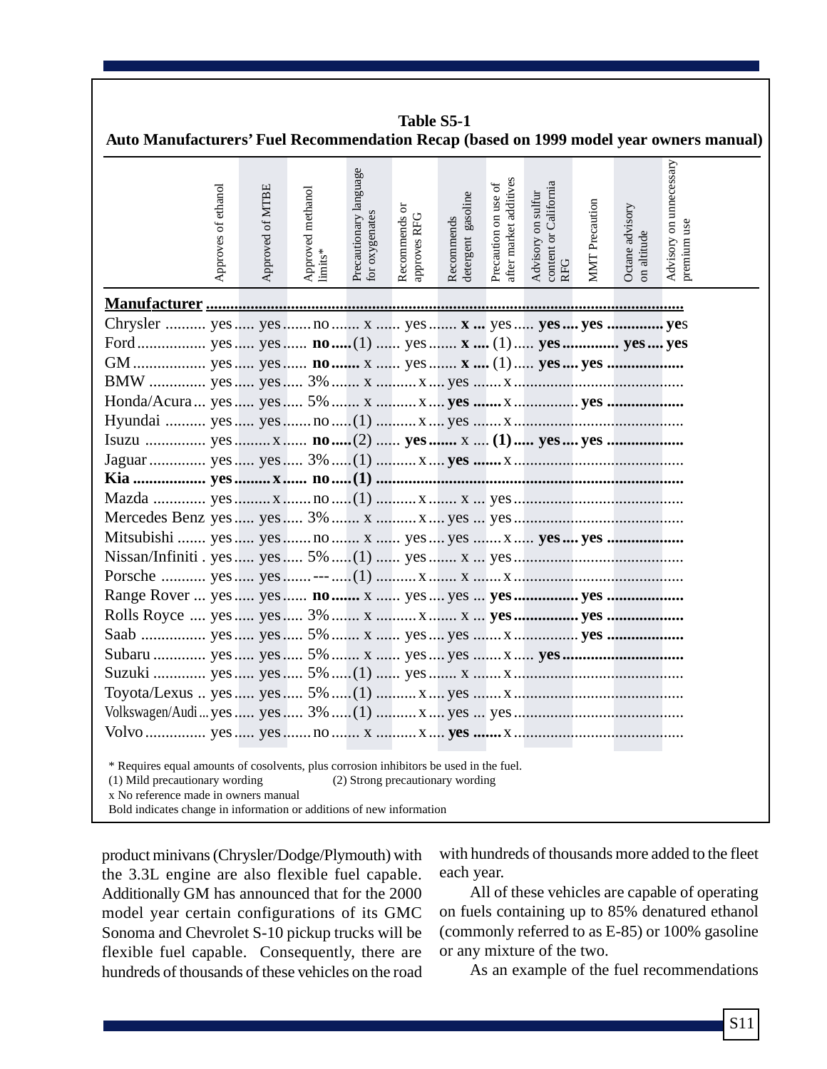| Auto Manufacturers' Fuel Recommendation Recap (based on 1999 model year owners manual)                                                                                                                                                   |                  |                              |                                          | Table S5-1                    |                                  |                                                |                                                                               |                       |                                |                                        |
|------------------------------------------------------------------------------------------------------------------------------------------------------------------------------------------------------------------------------------------|------------------|------------------------------|------------------------------------------|-------------------------------|----------------------------------|------------------------------------------------|-------------------------------------------------------------------------------|-----------------------|--------------------------------|----------------------------------------|
| Approves of ethanol                                                                                                                                                                                                                      | Approved of MTBE | Approved methanol<br>limits* | Precautionary language<br>for oxygenates | Recommends or<br>approves RFG | detergent gasoline<br>Recommends | after market additives<br>Precaution on use of | content or California<br>RFG<br>sulfur<br>$\overline{\mathrm{m}}$<br>Advisory | <b>MMT</b> Precaution | Octane advisory<br>on altitude | Advisory on unnecessary<br>premium use |
|                                                                                                                                                                                                                                          |                  |                              |                                          |                               |                                  |                                                |                                                                               |                       |                                |                                        |
|                                                                                                                                                                                                                                          |                  |                              |                                          |                               |                                  |                                                |                                                                               |                       |                                |                                        |
|                                                                                                                                                                                                                                          |                  |                              |                                          |                               |                                  |                                                |                                                                               |                       |                                |                                        |
|                                                                                                                                                                                                                                          |                  |                              |                                          |                               |                                  |                                                |                                                                               |                       |                                |                                        |
|                                                                                                                                                                                                                                          |                  |                              |                                          |                               |                                  |                                                |                                                                               |                       |                                |                                        |
|                                                                                                                                                                                                                                          |                  |                              |                                          |                               |                                  |                                                |                                                                               |                       |                                |                                        |
|                                                                                                                                                                                                                                          |                  |                              |                                          |                               |                                  |                                                |                                                                               |                       |                                |                                        |
|                                                                                                                                                                                                                                          |                  |                              |                                          |                               |                                  |                                                |                                                                               |                       |                                |                                        |
|                                                                                                                                                                                                                                          |                  |                              |                                          |                               |                                  |                                                |                                                                               |                       |                                |                                        |
|                                                                                                                                                                                                                                          |                  |                              |                                          |                               |                                  |                                                |                                                                               |                       |                                |                                        |
|                                                                                                                                                                                                                                          |                  |                              |                                          |                               |                                  |                                                |                                                                               |                       |                                |                                        |
|                                                                                                                                                                                                                                          |                  |                              |                                          |                               |                                  |                                                |                                                                               |                       |                                |                                        |
|                                                                                                                                                                                                                                          |                  |                              |                                          |                               |                                  |                                                |                                                                               |                       |                                |                                        |
|                                                                                                                                                                                                                                          |                  |                              |                                          |                               |                                  |                                                |                                                                               |                       |                                |                                        |
|                                                                                                                                                                                                                                          |                  |                              |                                          |                               |                                  |                                                |                                                                               |                       |                                |                                        |
|                                                                                                                                                                                                                                          |                  |                              |                                          |                               |                                  |                                                |                                                                               |                       |                                |                                        |
|                                                                                                                                                                                                                                          |                  |                              |                                          |                               |                                  |                                                |                                                                               |                       |                                |                                        |
|                                                                                                                                                                                                                                          |                  |                              |                                          |                               |                                  |                                                |                                                                               |                       |                                |                                        |
|                                                                                                                                                                                                                                          |                  |                              |                                          |                               |                                  |                                                |                                                                               |                       |                                |                                        |
|                                                                                                                                                                                                                                          |                  |                              |                                          |                               |                                  |                                                |                                                                               |                       |                                |                                        |
|                                                                                                                                                                                                                                          |                  |                              |                                          |                               |                                  |                                                |                                                                               |                       |                                |                                        |
|                                                                                                                                                                                                                                          |                  |                              |                                          |                               |                                  |                                                |                                                                               |                       |                                |                                        |
| * Requires equal amounts of cosolvents, plus corrosion inhibitors be used in the fuel.<br>(1) Mild precautionary wording<br>x No reference made in owners manual<br>Bold indicates change in information or additions of new information |                  |                              | (2) Strong precautionary wording         |                               |                                  |                                                |                                                                               |                       |                                |                                        |

product minivans (Chrysler/Dodge/Plymouth) with the 3.3L engine are also flexible fuel capable. Additionally GM has announced that for the 2000 model year certain configurations of its GMC Sonoma and Chevrolet S-10 pickup trucks will be flexible fuel capable. Consequently, there are hundreds of thousands of these vehicles on the road

with hundreds of thousands more added to the fleet each year.

All of these vehicles are capable of operating on fuels containing up to 85% denatured ethanol (commonly referred to as E-85) or 100% gasoline or any mixture of the two.

As an example of the fuel recommendations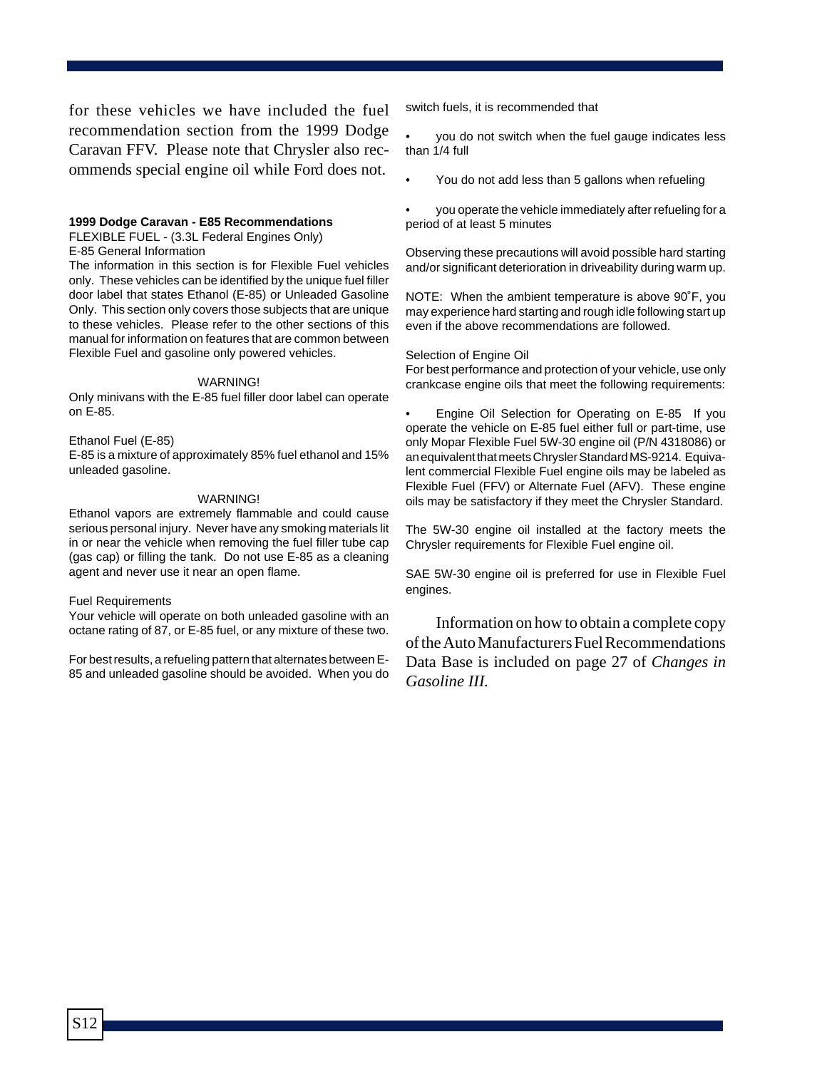for these vehicles we have included the fuel recommendation section from the 1999 Dodge Caravan FFV. Please note that Chrysler also recommends special engine oil while Ford does not.

#### **1999 Dodge Caravan - E85 Recommendations**

FLEXIBLE FUEL - (3.3L Federal Engines Only)

E-85 General Information

The information in this section is for Flexible Fuel vehicles only. These vehicles can be identified by the unique fuel filler door label that states Ethanol (E-85) or Unleaded Gasoline Only. This section only covers those subjects that are unique to these vehicles. Please refer to the other sections of this manual for information on features that are common between Flexible Fuel and gasoline only powered vehicles.

#### WARNING!

Only minivans with the E-85 fuel filler door label can operate on E-85.

#### Ethanol Fuel (E-85)

E-85 is a mixture of approximately 85% fuel ethanol and 15% unleaded gasoline.

#### WARNING!

Ethanol vapors are extremely flammable and could cause serious personal injury. Never have any smoking materials lit in or near the vehicle when removing the fuel filler tube cap (gas cap) or filling the tank. Do not use E-85 as a cleaning agent and never use it near an open flame.

#### Fuel Requirements

Your vehicle will operate on both unleaded gasoline with an octane rating of 87, or E-85 fuel, or any mixture of these two.

For best results, a refueling pattern that alternates between E-85 and unleaded gasoline should be avoided. When you do switch fuels, it is recommended that

• you do not switch when the fuel gauge indicates less than 1/4 full

• You do not add less than 5 gallons when refueling

• you operate the vehicle immediately after refueling for a period of at least 5 minutes

Observing these precautions will avoid possible hard starting and/or significant deterioration in driveability during warm up.

NOTE: When the ambient temperature is above 90˚F, you may experience hard starting and rough idle following start up even if the above recommendations are followed.

#### Selection of Engine Oil

For best performance and protection of your vehicle, use only crankcase engine oils that meet the following requirements:

• Engine Oil Selection for Operating on E-85 If you operate the vehicle on E-85 fuel either full or part-time, use only Mopar Flexible Fuel 5W-30 engine oil (P/N 4318086) or an equivalent that meets Chrysler Standard MS-9214. Equivalent commercial Flexible Fuel engine oils may be labeled as Flexible Fuel (FFV) or Alternate Fuel (AFV). These engine oils may be satisfactory if they meet the Chrysler Standard.

The 5W-30 engine oil installed at the factory meets the Chrysler requirements for Flexible Fuel engine oil.

SAE 5W-30 engine oil is preferred for use in Flexible Fuel engines.

Information on how to obtain a complete copy of the Auto Manufacturers Fuel Recommendations Data Base is included on page 27 of *Changes in Gasoline III.*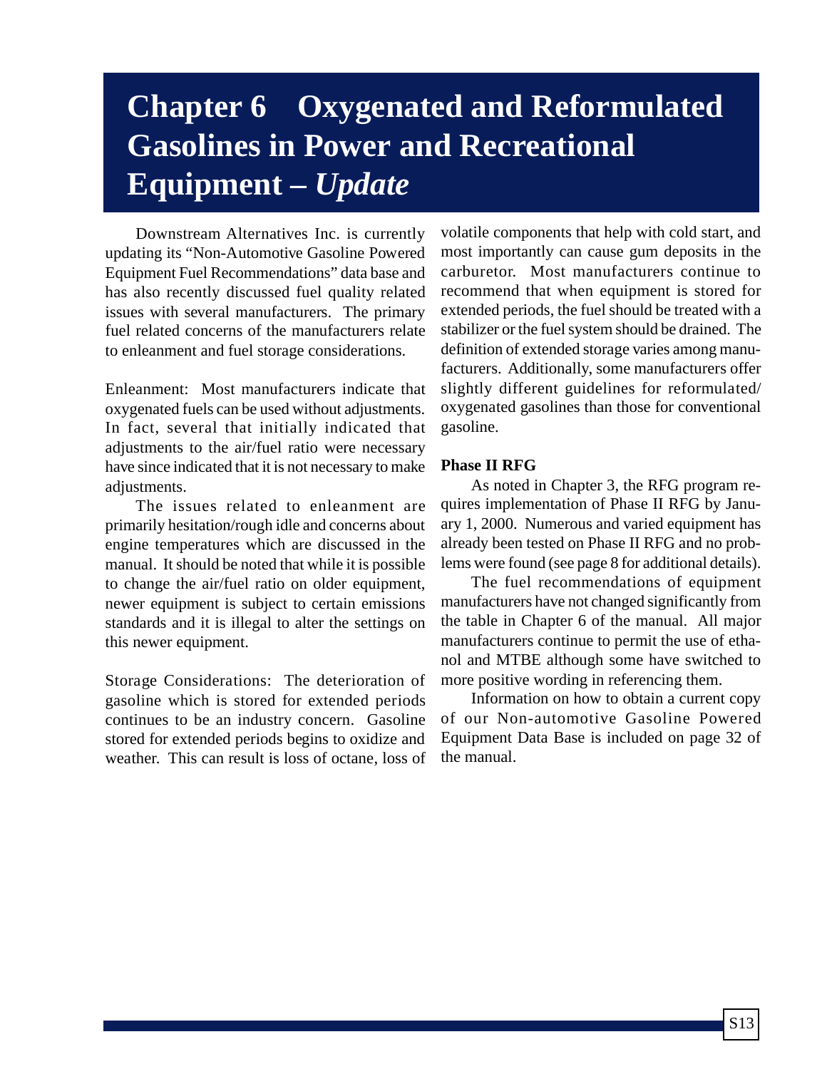# **Chapter 6 Oxygenated and Reformulated Gasolines in Power and Recreational Equipment –** *Update*

Downstream Alternatives Inc. is currently updating its "Non-Automotive Gasoline Powered Equipment Fuel Recommendations" data base and has also recently discussed fuel quality related issues with several manufacturers. The primary fuel related concerns of the manufacturers relate to enleanment and fuel storage considerations.

Enleanment: Most manufacturers indicate that oxygenated fuels can be used without adjustments. In fact, several that initially indicated that adjustments to the air/fuel ratio were necessary have since indicated that it is not necessary to make adjustments.

The issues related to enleanment are primarily hesitation/rough idle and concerns about engine temperatures which are discussed in the manual. It should be noted that while it is possible to change the air/fuel ratio on older equipment, newer equipment is subject to certain emissions standards and it is illegal to alter the settings on this newer equipment.

Storage Considerations: The deterioration of gasoline which is stored for extended periods continues to be an industry concern. Gasoline stored for extended periods begins to oxidize and weather. This can result is loss of octane, loss of

volatile components that help with cold start, and most importantly can cause gum deposits in the carburetor. Most manufacturers continue to recommend that when equipment is stored for extended periods, the fuel should be treated with a stabilizer or the fuel system should be drained. The definition of extended storage varies among manufacturers. Additionally, some manufacturers offer slightly different guidelines for reformulated/ oxygenated gasolines than those for conventional gasoline.

## **Phase II RFG**

As noted in Chapter 3, the RFG program requires implementation of Phase II RFG by January 1, 2000. Numerous and varied equipment has already been tested on Phase II RFG and no problems were found (see page 8 for additional details).

The fuel recommendations of equipment manufacturers have not changed significantly from the table in Chapter 6 of the manual. All major manufacturers continue to permit the use of ethanol and MTBE although some have switched to more positive wording in referencing them.

Information on how to obtain a current copy of our Non-automotive Gasoline Powered Equipment Data Base is included on page 32 of the manual.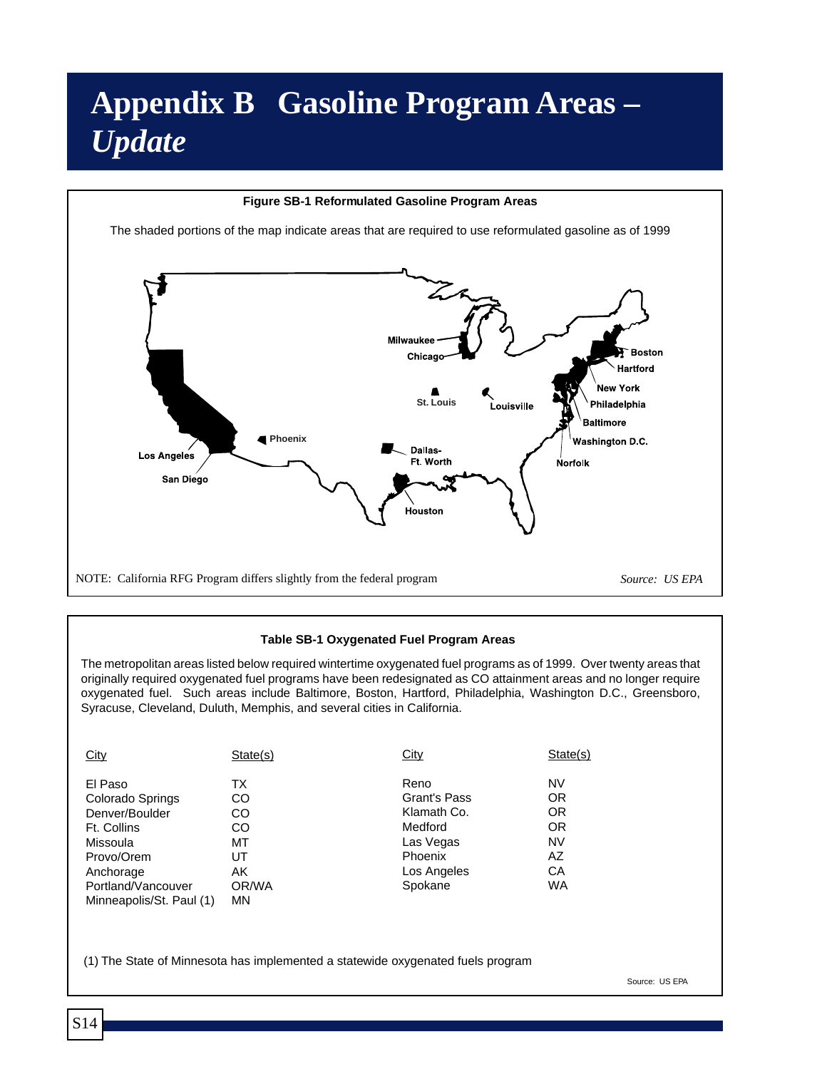# **Appendix B Gasoline Program Areas –** *Update*

#### **Figure SB-1 Reformulated Gasoline Program Areas**

The shaded portions of the map indicate areas that are required to use reformulated gasoline as of 1999



#### **Table SB-1 Oxygenated Fuel Program Areas**

The metropolitan areas listed below required wintertime oxygenated fuel programs as of 1999. Over twenty areas that originally required oxygenated fuel programs have been redesignated as CO attainment areas and no longer require oxygenated fuel. Such areas include Baltimore, Boston, Hartford, Philadelphia, Washington D.C., Greensboro, Syracuse, Cleveland, Duluth, Memphis, and several cities in California.

| City                     | State(s)  | <b>City</b>  | State(s)  |
|--------------------------|-----------|--------------|-----------|
| El Paso                  | ТX        | Reno         | NV        |
| Colorado Springs         | CO        | Grant's Pass | 0R        |
| Denver/Boulder           | CO        | Klamath Co.  | 0R        |
| Ft. Collins              | CO        | Medford      | OR.       |
| Missoula                 | МT        | Las Vegas    | <b>NV</b> |
| Provo/Orem               | UT        | Phoenix      | AZ        |
| Anchorage                | AK        | Los Angeles  | CA        |
| Portland/Vancouver       | OR/WA     | Spokane      | WA        |
| Minneapolis/St. Paul (1) | <b>MN</b> |              |           |

(1) The State of Minnesota has implemented a statewide oxygenated fuels program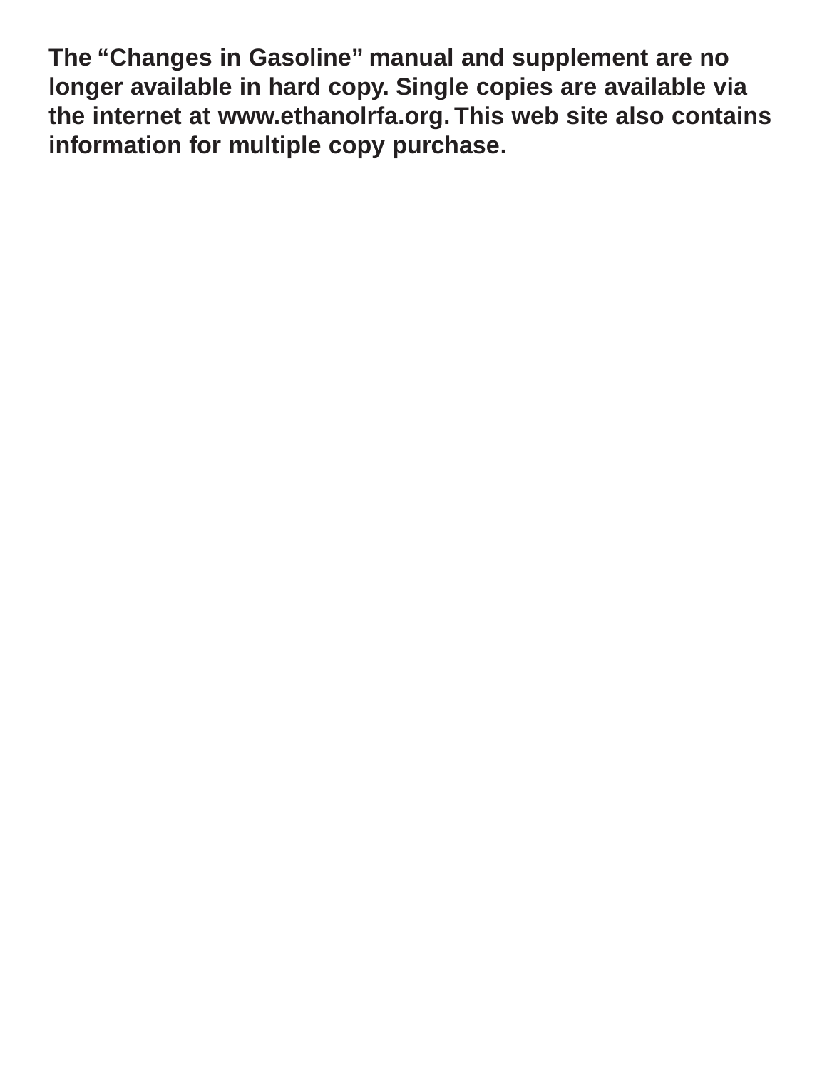**The "Changes in Gasoline" manual and supplement are no longer available in hard copy. Single copies are available via the internet at www.ethanolrfa.org. This web site also contains information for multiple copy purchase.**